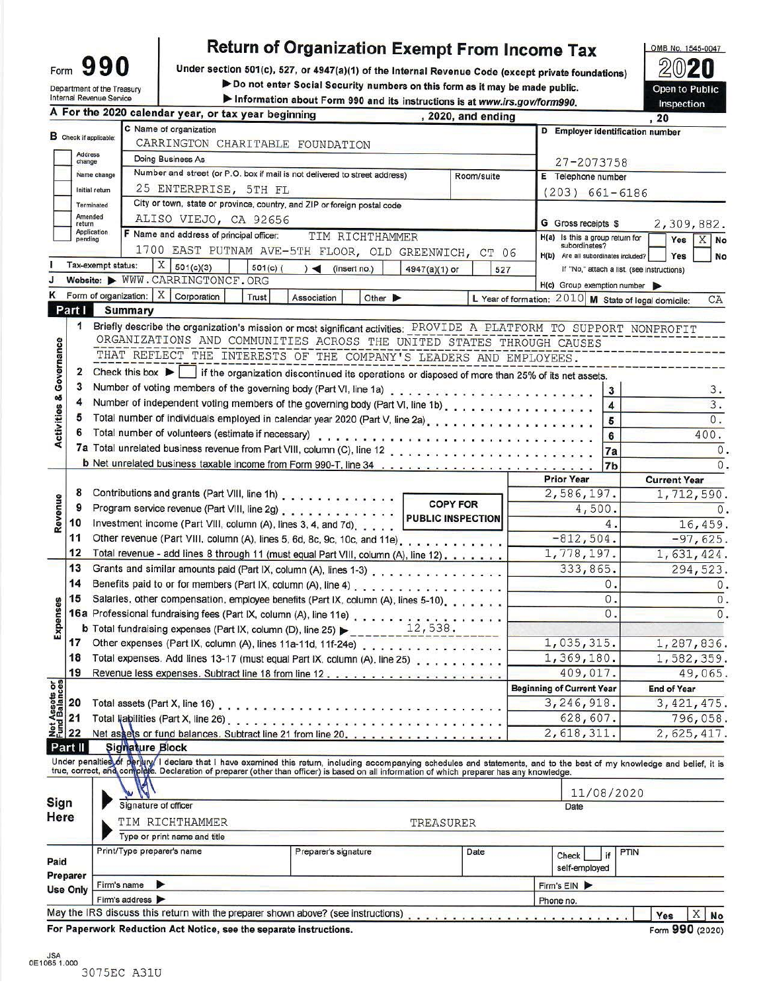| Form                                                   | 90 |  |
|--------------------------------------------------------|----|--|
| Department of the Treasury<br>Internal Revenue Service |    |  |

# **Return of Organization Exempt From Income Tax**

Under section 501(c), 527, or 4947(a)(1) of the Internal Revenue Code (except private foundations)

Do not enter Social Security numbers on this form as it may be made public.

Information about Form 990 and its instructions is at www.irs.gov/form990.

(L Open to Public Inspection

G

OMB No. 1545-0047

|                         |                        |                    |                | A For the 2020 calendar year, or tax year beginning                                                                                                                                                                            |                                            |               | , 2020, and ending       |                                                      |                                            | , 20                |              |  |  |  |
|-------------------------|------------------------|--------------------|----------------|--------------------------------------------------------------------------------------------------------------------------------------------------------------------------------------------------------------------------------|--------------------------------------------|---------------|--------------------------|------------------------------------------------------|--------------------------------------------|---------------------|--------------|--|--|--|
|                         | B Check if applicable: |                    |                | C Name of organization                                                                                                                                                                                                         |                                            |               |                          | D Employer identification number                     |                                            |                     |              |  |  |  |
|                         | <b>Address</b>         |                    |                | CARRINGTON CHARITABLE FOUNDATION                                                                                                                                                                                               |                                            |               |                          |                                                      |                                            |                     |              |  |  |  |
|                         | change                 |                    |                | Doing Business As                                                                                                                                                                                                              |                                            |               |                          | $27 - 2073758$                                       |                                            |                     |              |  |  |  |
|                         |                        | Name change        |                | Number and street (or P.O. box if mail is not delivered to street address)                                                                                                                                                     |                                            |               | Room/suite               | E Telephone number                                   |                                            |                     |              |  |  |  |
|                         |                        | Initial return     |                | 25 ENTERPRISE, 5TH FL                                                                                                                                                                                                          |                                            |               |                          | $(203) 661 - 6186$                                   |                                            |                     |              |  |  |  |
|                         |                        | Terminated         |                | City or town, state or province, country, and ZIP or foreign postal code                                                                                                                                                       |                                            |               |                          |                                                      |                                            |                     |              |  |  |  |
|                         | Amended<br>return      |                    |                | ALISO VIEJO, CA 92656                                                                                                                                                                                                          |                                            |               |                          | <b>G</b> Gross receipts \$                           |                                            |                     | 2,309,882.   |  |  |  |
|                         | pending                | <b>Application</b> |                | F Name and address of principal officer:                                                                                                                                                                                       | TIM RICHTHAMMER                            |               |                          | H(a) Is this a group return for                      |                                            | Yes                 | $X$ No       |  |  |  |
|                         |                        |                    |                | 1700 EAST PUTNAM AVE-5TH FLOOR, OLD GREENWICH, CT 06                                                                                                                                                                           |                                            |               |                          | subordinates?<br>H(b) Are all subordinates included? |                                            | Yes                 | No           |  |  |  |
|                         |                        | Tax-exempt status: |                | $X \mid 501(c)(3)$<br>$501(c)$ (                                                                                                                                                                                               | $)$ (insert no.)                           | 4947(a)(1) or | 527                      |                                                      | If "No," attach a list. (see instructions) |                     |              |  |  |  |
|                         |                        |                    |                | Website: WWW.CARRINGTONCF.ORG                                                                                                                                                                                                  |                                            |               |                          | $H(c)$ Group exemption number                        |                                            |                     |              |  |  |  |
|                         |                        |                    |                | Form of organization: $X$ Corporation<br><b>Trust</b>                                                                                                                                                                          | Association<br>Other $\blacktriangleright$ |               |                          | L Year of formation: 2010 M State of legal domicile: |                                            |                     | CA           |  |  |  |
|                         | Part I                 |                    | <b>Summary</b> |                                                                                                                                                                                                                                |                                            |               |                          |                                                      |                                            |                     |              |  |  |  |
|                         | 1                      |                    |                | Briefly describe the organization's mission or most significant activities: PROVIDE A PLATFORM TO SUPPORT NONPROFIT                                                                                                            |                                            |               |                          |                                                      |                                            |                     |              |  |  |  |
|                         |                        |                    |                | ORGANIZATIONS AND COMMUNITIES ACROSS THE UNITED STATES THROUGH CAUSES                                                                                                                                                          |                                            |               |                          |                                                      |                                            |                     |              |  |  |  |
|                         |                        |                    |                | THAT REFLECT THE INTERESTS OF THE COMPANY'S LEADERS AND EMPLOYEES.                                                                                                                                                             |                                            |               |                          |                                                      |                                            |                     |              |  |  |  |
|                         | 2                      |                    |                | Check this box $\blacktriangleright$   if the organization discontinued its operations or disposed of more than 25% of its net assets.                                                                                         |                                            |               |                          |                                                      |                                            |                     |              |  |  |  |
| Governance              | 3                      |                    |                |                                                                                                                                                                                                                                |                                            |               |                          |                                                      | 3                                          |                     | 3.           |  |  |  |
|                         | 4                      |                    |                | Number of independent voting members of the governing body (Part VI, line 1b)                                                                                                                                                  |                                            |               |                          |                                                      | 4                                          |                     | 3.           |  |  |  |
| <b>Activities &amp;</b> | 5                      |                    |                |                                                                                                                                                                                                                                |                                            |               |                          |                                                      | 5                                          |                     | 0.           |  |  |  |
|                         | 6                      |                    |                |                                                                                                                                                                                                                                |                                            |               |                          |                                                      | 6                                          |                     | 400.         |  |  |  |
|                         |                        |                    |                |                                                                                                                                                                                                                                |                                            |               |                          |                                                      | 7a                                         |                     | $\Omega$     |  |  |  |
|                         |                        |                    |                |                                                                                                                                                                                                                                |                                            |               |                          |                                                      | 7 <sub>b</sub>                             |                     | $\Omega$     |  |  |  |
|                         |                        |                    |                |                                                                                                                                                                                                                                |                                            |               |                          | <b>Prior Year</b>                                    |                                            | <b>Current Year</b> |              |  |  |  |
|                         | 8                      |                    |                | Contributions and grants (Part VIII, line 1h)                                                                                                                                                                                  |                                            |               |                          | 2,586,197.                                           |                                            |                     | 1,712,590    |  |  |  |
|                         | 9                      |                    |                | Program service revenue (Part VIII, line 2g)                                                                                                                                                                                   |                                            |               | <b>COPY FOR</b>          | 4,500.                                               |                                            |                     | $\Omega$     |  |  |  |
| Revenue                 | 10                     |                    |                | Investment income (Part VIII, column (A), lines 3, 4, and 7d),                                                                                                                                                                 |                                            |               | <b>PUBLIC INSPECTION</b> |                                                      | 4.                                         |                     | 16,459       |  |  |  |
|                         | 11                     |                    |                | Other revenue (Part VIII, column (A), lines 5, 6d, 8c, 9c, 10c, and 11e).                                                                                                                                                      |                                            |               |                          | $-812,504.$                                          |                                            |                     | $-97,625$    |  |  |  |
|                         | 12                     |                    |                | Total revenue - add lines 8 through 11 (must equal Part VIII, column (A), line 12)                                                                                                                                             |                                            |               |                          | 1,778,197.                                           |                                            |                     | 1,631,424    |  |  |  |
|                         | 13                     |                    |                | Grants and similar amounts paid (Part IX, column (A), lines 1-3)                                                                                                                                                               |                                            |               |                          | 333,865.                                             |                                            |                     | 294,523      |  |  |  |
|                         | 14                     |                    |                | Benefits paid to or for members (Part IX, column (A), line 4)                                                                                                                                                                  |                                            |               |                          |                                                      | 0.                                         |                     | $\Omega$     |  |  |  |
|                         | 15                     |                    |                | Salaries, other compensation, employee benefits (Part IX, column (A), lines 5-10).                                                                                                                                             |                                            |               |                          |                                                      | 0.                                         |                     | $\mathbf{0}$ |  |  |  |
| Expenses                |                        |                    |                |                                                                                                                                                                                                                                |                                            |               |                          |                                                      | 0.                                         |                     | $\Omega$     |  |  |  |
|                         |                        |                    |                |                                                                                                                                                                                                                                |                                            |               |                          |                                                      |                                            |                     |              |  |  |  |
|                         | 17                     |                    |                | Other expenses (Part IX, column (A), lines 11a-11d, 11f-24e)                                                                                                                                                                   |                                            |               |                          | 1,035,315.                                           |                                            |                     | 1,287,836    |  |  |  |
|                         | 18                     |                    |                | Total expenses. Add lines 13-17 (must equal Part IX, column (A), line 25)                                                                                                                                                      |                                            |               |                          | 1,369,180.                                           |                                            |                     | 1,582,359    |  |  |  |
|                         | 19                     |                    |                |                                                                                                                                                                                                                                |                                            |               |                          | 409,017.                                             |                                            |                     | 49,065       |  |  |  |
|                         |                        |                    |                |                                                                                                                                                                                                                                |                                            |               |                          | <b>Beginning of Current Year</b>                     |                                            | <b>End of Year</b>  |              |  |  |  |
|                         |                        |                    |                | Total assets (Part X, line 16).                                                                                                                                                                                                |                                            |               |                          | 3, 246, 918.                                         |                                            |                     | 3, 421, 475  |  |  |  |
|                         |                        |                    |                | Total liabilities (Part X, line 26) enters and contact of the contact of the contact of the contact of the contact of the contact of the contact of the contact of the contact of the contact of the contact of the contact of |                                            |               |                          | 628,607.                                             |                                            |                     | 796,058      |  |  |  |
|                         |                        |                    |                | Net assets or fund balances. Subtract line 21 from line 20.                                                                                                                                                                    |                                            |               |                          | 2,618,311.                                           |                                            |                     | 2,625,417    |  |  |  |
|                         | Part II                |                    |                | <b>Signature Block</b>                                                                                                                                                                                                         |                                            |               |                          |                                                      |                                            |                     |              |  |  |  |
|                         |                        |                    |                | Under penalties of perlary I declare that I have examined this return, including accompanying schedules and statements, and to the best of my knowledge and belief, it is                                                      |                                            |               |                          |                                                      |                                            |                     |              |  |  |  |
|                         |                        |                    |                | true, correct, and complete. Declaration of preparer (other than officer) is based on all information of which preparer has any knowledge.                                                                                     |                                            |               |                          |                                                      |                                            |                     |              |  |  |  |
|                         |                        |                    |                |                                                                                                                                                                                                                                |                                            |               |                          |                                                      | 11/08/2020                                 |                     |              |  |  |  |
| Sign                    |                        |                    |                | Signature of officer                                                                                                                                                                                                           |                                            |               |                          | Date                                                 |                                            |                     |              |  |  |  |
| Here                    |                        |                    |                | TIM RICHTHAMMER                                                                                                                                                                                                                |                                            | TREASURER     |                          |                                                      |                                            |                     |              |  |  |  |
|                         |                        |                    |                | Type or print name and title                                                                                                                                                                                                   |                                            |               |                          |                                                      |                                            |                     |              |  |  |  |
|                         |                        |                    |                | Print/Type preparer's name                                                                                                                                                                                                     | Preparer's signature                       |               | Date                     | Check                                                | PTIN                                       |                     |              |  |  |  |
| Paid                    |                        |                    |                |                                                                                                                                                                                                                                |                                            |               |                          | self-employed                                        |                                            |                     |              |  |  |  |
|                         | Preparer               |                    | Firm's name    | ⋗                                                                                                                                                                                                                              |                                            |               |                          | Firm's EIN                                           |                                            |                     |              |  |  |  |
|                         | <b>Use Only</b>        |                    | Firm's address |                                                                                                                                                                                                                                |                                            |               |                          | Phone no.                                            |                                            |                     |              |  |  |  |
|                         |                        |                    |                | May the IRS discuss this return with the preparer shown above? (see instructions)                                                                                                                                              |                                            |               |                          |                                                      |                                            | Yes                 | X<br>No      |  |  |  |
|                         |                        |                    |                |                                                                                                                                                                                                                                |                                            |               |                          |                                                      |                                            |                     |              |  |  |  |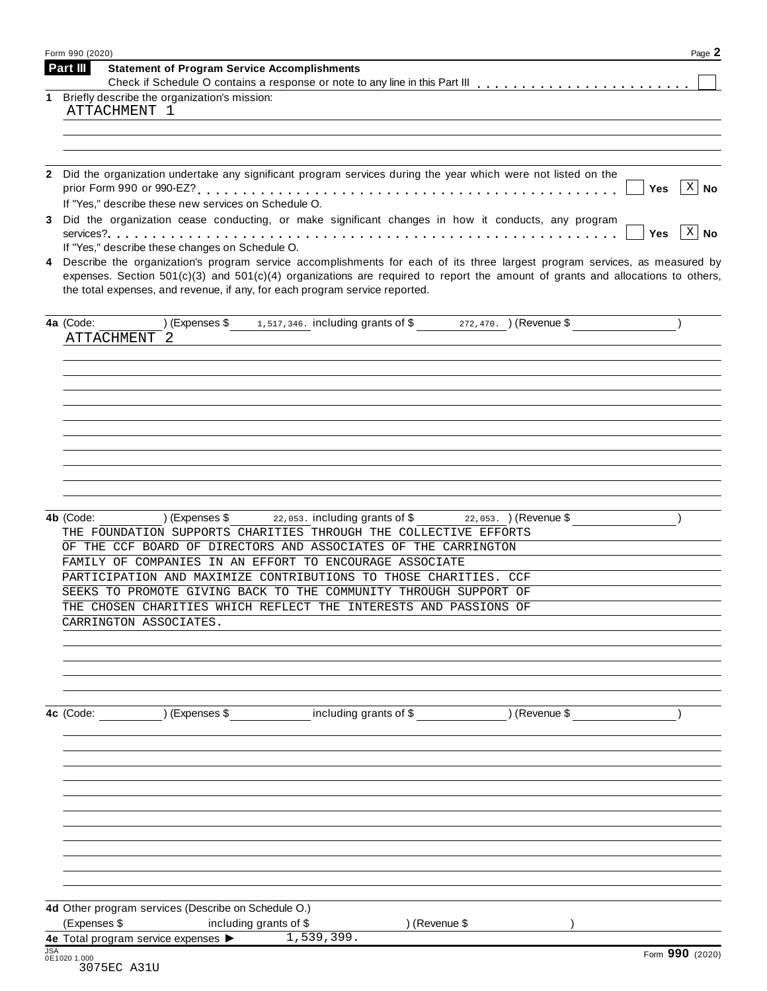| Part III<br><b>Statement of Program Service Accomplishments</b><br>Briefly describe the organization's mission:<br>1<br>ATTACHMENT 1<br>2 Did the organization undertake any significant program services during the year which were not listed on the<br>$\lceil x \rceil$ No<br><b>Yes</b><br>If "Yes," describe these new services on Schedule O.<br>Did the organization cease conducting, or make significant changes in how it conducts, any program<br>3<br>$ X $ No<br><b>Yes</b><br>If "Yes," describe these changes on Schedule O.<br>Describe the organization's program service accomplishments for each of its three largest program services, as measured by<br>4<br>expenses. Section $501(c)(3)$ and $501(c)(4)$ organizations are required to report the amount of grants and allocations to others,<br>the total expenses, and revenue, if any, for each program service reported.<br>(Expenses \$1,517,346. including grants of \$272,470. ) (Revenue \$<br>4a (Code:<br>ATTACHMENT 2<br>$22,053$ . including grants of \$ $22,053$ . $($ Revenue \$<br>) (Expenses \$<br>4b (Code:<br>THE FOUNDATION SUPPORTS CHARITIES THROUGH THE COLLECTIVE EFFORTS<br>OF THE CCF BOARD OF DIRECTORS AND ASSOCIATES OF THE CARRINGTON<br>FAMILY OF COMPANIES IN AN EFFORT TO ENCOURAGE ASSOCIATE<br>PARTICIPATION AND MAXIMIZE CONTRIBUTIONS TO THOSE CHARITIES. CCF<br>SEEKS TO PROMOTE GIVING BACK TO THE COMMUNITY THROUGH SUPPORT OF<br>THE CHOSEN CHARITIES WHICH REFLECT THE INTERESTS AND PASSIONS OF<br>CARRINGTON ASSOCIATES.<br>(Expenses \$ including grants of \$ ) (Revenue \$<br>4c (Code:<br>(Expenses \$<br>including grants of \$<br>) (Revenue \$<br>1,539,399.<br>Form 990 (2020) | Form 990 (2020)                                     | Page 2 |
|-------------------------------------------------------------------------------------------------------------------------------------------------------------------------------------------------------------------------------------------------------------------------------------------------------------------------------------------------------------------------------------------------------------------------------------------------------------------------------------------------------------------------------------------------------------------------------------------------------------------------------------------------------------------------------------------------------------------------------------------------------------------------------------------------------------------------------------------------------------------------------------------------------------------------------------------------------------------------------------------------------------------------------------------------------------------------------------------------------------------------------------------------------------------------------------------------------------------------------------------------------------------------------------------------------------------------------------------------------------------------------------------------------------------------------------------------------------------------------------------------------------------------------------------------------------------------------------------------------------------------------------------------------------------------------------------------------------|-----------------------------------------------------|--------|
|                                                                                                                                                                                                                                                                                                                                                                                                                                                                                                                                                                                                                                                                                                                                                                                                                                                                                                                                                                                                                                                                                                                                                                                                                                                                                                                                                                                                                                                                                                                                                                                                                                                                                                             |                                                     |        |
|                                                                                                                                                                                                                                                                                                                                                                                                                                                                                                                                                                                                                                                                                                                                                                                                                                                                                                                                                                                                                                                                                                                                                                                                                                                                                                                                                                                                                                                                                                                                                                                                                                                                                                             |                                                     |        |
|                                                                                                                                                                                                                                                                                                                                                                                                                                                                                                                                                                                                                                                                                                                                                                                                                                                                                                                                                                                                                                                                                                                                                                                                                                                                                                                                                                                                                                                                                                                                                                                                                                                                                                             |                                                     |        |
|                                                                                                                                                                                                                                                                                                                                                                                                                                                                                                                                                                                                                                                                                                                                                                                                                                                                                                                                                                                                                                                                                                                                                                                                                                                                                                                                                                                                                                                                                                                                                                                                                                                                                                             |                                                     |        |
|                                                                                                                                                                                                                                                                                                                                                                                                                                                                                                                                                                                                                                                                                                                                                                                                                                                                                                                                                                                                                                                                                                                                                                                                                                                                                                                                                                                                                                                                                                                                                                                                                                                                                                             |                                                     |        |
|                                                                                                                                                                                                                                                                                                                                                                                                                                                                                                                                                                                                                                                                                                                                                                                                                                                                                                                                                                                                                                                                                                                                                                                                                                                                                                                                                                                                                                                                                                                                                                                                                                                                                                             |                                                     |        |
|                                                                                                                                                                                                                                                                                                                                                                                                                                                                                                                                                                                                                                                                                                                                                                                                                                                                                                                                                                                                                                                                                                                                                                                                                                                                                                                                                                                                                                                                                                                                                                                                                                                                                                             |                                                     |        |
|                                                                                                                                                                                                                                                                                                                                                                                                                                                                                                                                                                                                                                                                                                                                                                                                                                                                                                                                                                                                                                                                                                                                                                                                                                                                                                                                                                                                                                                                                                                                                                                                                                                                                                             |                                                     |        |
|                                                                                                                                                                                                                                                                                                                                                                                                                                                                                                                                                                                                                                                                                                                                                                                                                                                                                                                                                                                                                                                                                                                                                                                                                                                                                                                                                                                                                                                                                                                                                                                                                                                                                                             |                                                     |        |
|                                                                                                                                                                                                                                                                                                                                                                                                                                                                                                                                                                                                                                                                                                                                                                                                                                                                                                                                                                                                                                                                                                                                                                                                                                                                                                                                                                                                                                                                                                                                                                                                                                                                                                             |                                                     |        |
|                                                                                                                                                                                                                                                                                                                                                                                                                                                                                                                                                                                                                                                                                                                                                                                                                                                                                                                                                                                                                                                                                                                                                                                                                                                                                                                                                                                                                                                                                                                                                                                                                                                                                                             |                                                     |        |
|                                                                                                                                                                                                                                                                                                                                                                                                                                                                                                                                                                                                                                                                                                                                                                                                                                                                                                                                                                                                                                                                                                                                                                                                                                                                                                                                                                                                                                                                                                                                                                                                                                                                                                             |                                                     |        |
|                                                                                                                                                                                                                                                                                                                                                                                                                                                                                                                                                                                                                                                                                                                                                                                                                                                                                                                                                                                                                                                                                                                                                                                                                                                                                                                                                                                                                                                                                                                                                                                                                                                                                                             |                                                     |        |
|                                                                                                                                                                                                                                                                                                                                                                                                                                                                                                                                                                                                                                                                                                                                                                                                                                                                                                                                                                                                                                                                                                                                                                                                                                                                                                                                                                                                                                                                                                                                                                                                                                                                                                             |                                                     |        |
|                                                                                                                                                                                                                                                                                                                                                                                                                                                                                                                                                                                                                                                                                                                                                                                                                                                                                                                                                                                                                                                                                                                                                                                                                                                                                                                                                                                                                                                                                                                                                                                                                                                                                                             |                                                     |        |
|                                                                                                                                                                                                                                                                                                                                                                                                                                                                                                                                                                                                                                                                                                                                                                                                                                                                                                                                                                                                                                                                                                                                                                                                                                                                                                                                                                                                                                                                                                                                                                                                                                                                                                             |                                                     |        |
|                                                                                                                                                                                                                                                                                                                                                                                                                                                                                                                                                                                                                                                                                                                                                                                                                                                                                                                                                                                                                                                                                                                                                                                                                                                                                                                                                                                                                                                                                                                                                                                                                                                                                                             |                                                     |        |
|                                                                                                                                                                                                                                                                                                                                                                                                                                                                                                                                                                                                                                                                                                                                                                                                                                                                                                                                                                                                                                                                                                                                                                                                                                                                                                                                                                                                                                                                                                                                                                                                                                                                                                             |                                                     |        |
|                                                                                                                                                                                                                                                                                                                                                                                                                                                                                                                                                                                                                                                                                                                                                                                                                                                                                                                                                                                                                                                                                                                                                                                                                                                                                                                                                                                                                                                                                                                                                                                                                                                                                                             |                                                     |        |
|                                                                                                                                                                                                                                                                                                                                                                                                                                                                                                                                                                                                                                                                                                                                                                                                                                                                                                                                                                                                                                                                                                                                                                                                                                                                                                                                                                                                                                                                                                                                                                                                                                                                                                             |                                                     |        |
|                                                                                                                                                                                                                                                                                                                                                                                                                                                                                                                                                                                                                                                                                                                                                                                                                                                                                                                                                                                                                                                                                                                                                                                                                                                                                                                                                                                                                                                                                                                                                                                                                                                                                                             |                                                     |        |
|                                                                                                                                                                                                                                                                                                                                                                                                                                                                                                                                                                                                                                                                                                                                                                                                                                                                                                                                                                                                                                                                                                                                                                                                                                                                                                                                                                                                                                                                                                                                                                                                                                                                                                             |                                                     |        |
|                                                                                                                                                                                                                                                                                                                                                                                                                                                                                                                                                                                                                                                                                                                                                                                                                                                                                                                                                                                                                                                                                                                                                                                                                                                                                                                                                                                                                                                                                                                                                                                                                                                                                                             | 4d Other program services (Describe on Schedule O.) |        |
|                                                                                                                                                                                                                                                                                                                                                                                                                                                                                                                                                                                                                                                                                                                                                                                                                                                                                                                                                                                                                                                                                                                                                                                                                                                                                                                                                                                                                                                                                                                                                                                                                                                                                                             | 4e Total program service expenses ><br><b>JSA</b>   |        |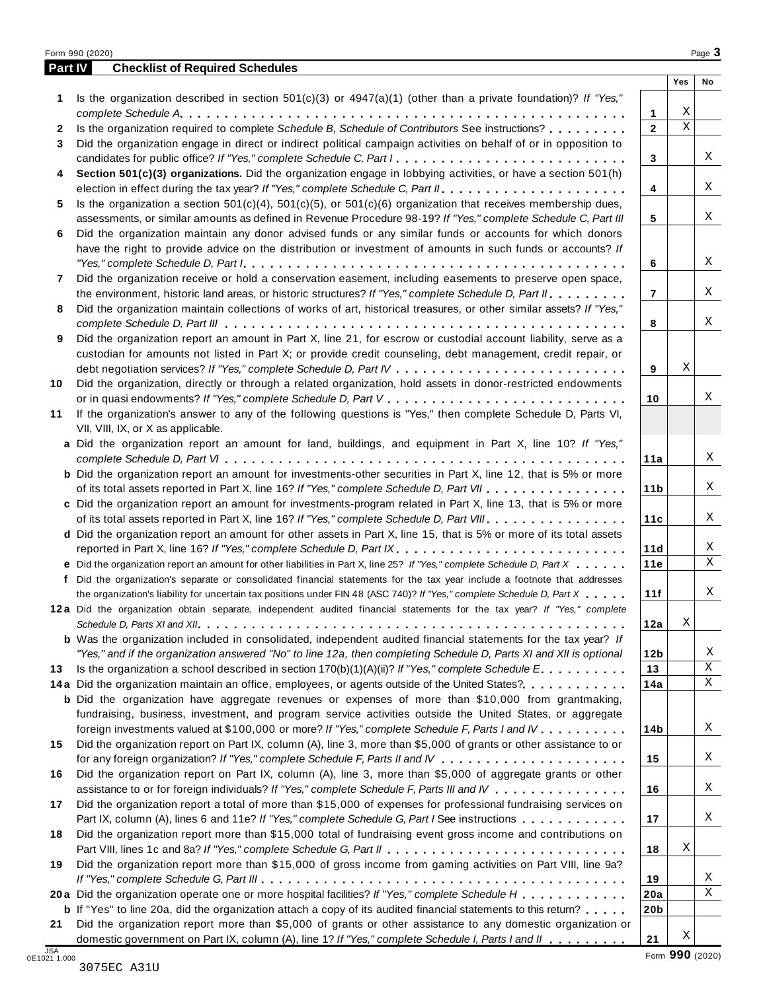|         | Form 990 (2020)                                                                                                                                                                                                                                      |                 |             | Page 3 |
|---------|------------------------------------------------------------------------------------------------------------------------------------------------------------------------------------------------------------------------------------------------------|-----------------|-------------|--------|
| Part IV | <b>Checklist of Required Schedules</b>                                                                                                                                                                                                               |                 | Yes         | No     |
| 1.      | Is the organization described in section $501(c)(3)$ or $4947(a)(1)$ (other than a private foundation)? If "Yes,"                                                                                                                                    |                 |             |        |
|         |                                                                                                                                                                                                                                                      | $\mathbf{1}$    | Χ           |        |
| 2       | Is the organization required to complete Schedule B, Schedule of Contributors See instructions?                                                                                                                                                      | $\mathbf{2}$    | $\mathbf X$ |        |
| 3       | Did the organization engage in direct or indirect political campaign activities on behalf of or in opposition to                                                                                                                                     |                 |             |        |
|         |                                                                                                                                                                                                                                                      | 3               |             | Χ      |
| 4       | Section 501(c)(3) organizations. Did the organization engage in lobbying activities, or have a section 501(h)                                                                                                                                        |                 |             |        |
|         |                                                                                                                                                                                                                                                      | 4               |             | Χ      |
| 5       | Is the organization a section $501(c)(4)$ , $501(c)(5)$ , or $501(c)(6)$ organization that receives membership dues,                                                                                                                                 |                 |             |        |
|         | assessments, or similar amounts as defined in Revenue Procedure 98-19? If "Yes," complete Schedule C, Part III                                                                                                                                       | 5               |             | Χ      |
| 6       | Did the organization maintain any donor advised funds or any similar funds or accounts for which donors                                                                                                                                              |                 |             |        |
|         | have the right to provide advice on the distribution or investment of amounts in such funds or accounts? If                                                                                                                                          |                 |             |        |
|         |                                                                                                                                                                                                                                                      | 6               |             | Χ      |
| 7       | Did the organization receive or hold a conservation easement, including easements to preserve open space,                                                                                                                                            |                 |             |        |
|         | the environment, historic land areas, or historic structures? If "Yes," complete Schedule D, Part II.                                                                                                                                                | $\overline{7}$  |             | Χ      |
| 8       | Did the organization maintain collections of works of art, historical treasures, or other similar assets? If "Yes,"                                                                                                                                  | 8               |             | Χ      |
| 9       | Did the organization report an amount in Part X, line 21, for escrow or custodial account liability, serve as a                                                                                                                                      |                 |             |        |
|         | custodian for amounts not listed in Part X; or provide credit counseling, debt management, credit repair, or                                                                                                                                         |                 |             |        |
|         |                                                                                                                                                                                                                                                      | 9               | Χ           |        |
| 10      | Did the organization, directly or through a related organization, hold assets in donor-restricted endowments                                                                                                                                         |                 |             |        |
|         |                                                                                                                                                                                                                                                      | 10              |             | Χ      |
| 11      | If the organization's answer to any of the following questions is "Yes," then complete Schedule D, Parts VI,                                                                                                                                         |                 |             |        |
|         | VII, VIII, IX, or X as applicable.                                                                                                                                                                                                                   |                 |             |        |
|         | a Did the organization report an amount for land, buildings, and equipment in Part X, line 10? If "Yes,"                                                                                                                                             |                 |             |        |
|         |                                                                                                                                                                                                                                                      | 11a             |             | Χ      |
|         | <b>b</b> Did the organization report an amount for investments-other securities in Part X, line 12, that is 5% or more                                                                                                                               |                 |             |        |
|         | of its total assets reported in Part X, line 16? If "Yes," complete Schedule D, Part VII                                                                                                                                                             | 11 <sub>b</sub> |             | Χ      |
|         | c Did the organization report an amount for investments-program related in Part X, line 13, that is 5% or more                                                                                                                                       |                 |             |        |
|         | of its total assets reported in Part X, line 16? If "Yes," complete Schedule D, Part VIII                                                                                                                                                            | 11c             |             | Χ      |
|         | d Did the organization report an amount for other assets in Part X, line 15, that is 5% or more of its total assets                                                                                                                                  |                 |             | X      |
|         | reported in Part X, line 16? If "Yes," complete Schedule D, Part IX.                                                                                                                                                                                 | 11d             |             | X      |
|         | e Did the organization report an amount for other liabilities in Part X, line 25? If "Yes," complete Schedule D, Part X<br>f Did the organization's separate or consolidated financial statements for the tax year include a footnote that addresses | 11e             |             |        |
|         | the organization's liability for uncertain tax positions under FIN 48 (ASC 740)? If "Yes," complete Schedule D, Part X                                                                                                                               | 11f             |             | Χ      |
|         | 12a Did the organization obtain separate, independent audited financial statements for the tax year? If "Yes," complete                                                                                                                              |                 |             |        |
|         |                                                                                                                                                                                                                                                      | 12a             | Χ           |        |
|         | <b>b</b> Was the organization included in consolidated, independent audited financial statements for the tax year? If                                                                                                                                |                 |             |        |
|         | "Yes," and if the organization answered "No" to line 12a, then completing Schedule D, Parts XI and XII is optional                                                                                                                                   | 12b             |             | Χ      |
| 13      | Is the organization a school described in section $170(b)(1)(A)(ii)$ ? If "Yes," complete Schedule E                                                                                                                                                 | 13              |             | Χ      |
|         | 14a Did the organization maintain an office, employees, or agents outside of the United States?.                                                                                                                                                     | 14a             |             | X      |
|         | <b>b</b> Did the organization have aggregate revenues or expenses of more than \$10,000 from grantmaking,                                                                                                                                            |                 |             |        |
|         | fundraising, business, investment, and program service activities outside the United States, or aggregate                                                                                                                                            |                 |             |        |
|         | foreign investments valued at \$100,000 or more? If "Yes," complete Schedule F, Parts I and IV                                                                                                                                                       | 14b             |             | Χ      |
| 15      | Did the organization report on Part IX, column (A), line 3, more than \$5,000 of grants or other assistance to or                                                                                                                                    |                 |             |        |
|         |                                                                                                                                                                                                                                                      | 15              |             | Χ      |
| 16      | Did the organization report on Part IX, column (A), line 3, more than \$5,000 of aggregate grants or other                                                                                                                                           |                 |             |        |
|         | assistance to or for foreign individuals? If "Yes," complete Schedule F, Parts III and IV                                                                                                                                                            | 16              |             | Χ      |
| 17      | Did the organization report a total of more than \$15,000 of expenses for professional fundraising services on                                                                                                                                       |                 |             | Χ      |
| 18      | Part IX, column (A), lines 6 and 11e? If "Yes," complete Schedule G, Part I See instructions<br>Did the organization report more than \$15,000 total of fundraising event gross income and contributions on                                          | 17              |             |        |
|         |                                                                                                                                                                                                                                                      | 18              | Χ           |        |
| 19      | Did the organization report more than \$15,000 of gross income from gaming activities on Part VIII, line 9a?                                                                                                                                         |                 |             |        |
|         |                                                                                                                                                                                                                                                      | 19              |             | Χ      |
|         | 20a Did the organization operate one or more hospital facilities? If "Yes," complete Schedule H                                                                                                                                                      | 20a             |             | Χ      |
|         | <b>b</b> If "Yes" to line 20a, did the organization attach a copy of its audited financial statements to this return?                                                                                                                                | 20 <sub>b</sub> |             |        |
| 21      | Did the organization report more than \$5,000 of grants or other assistance to any domestic organization or                                                                                                                                          |                 |             |        |
|         | domestic government on Part IX, column (A), line 1? If "Yes," complete Schedule I, Parts I and II                                                                                                                                                    | 21              | Χ           |        |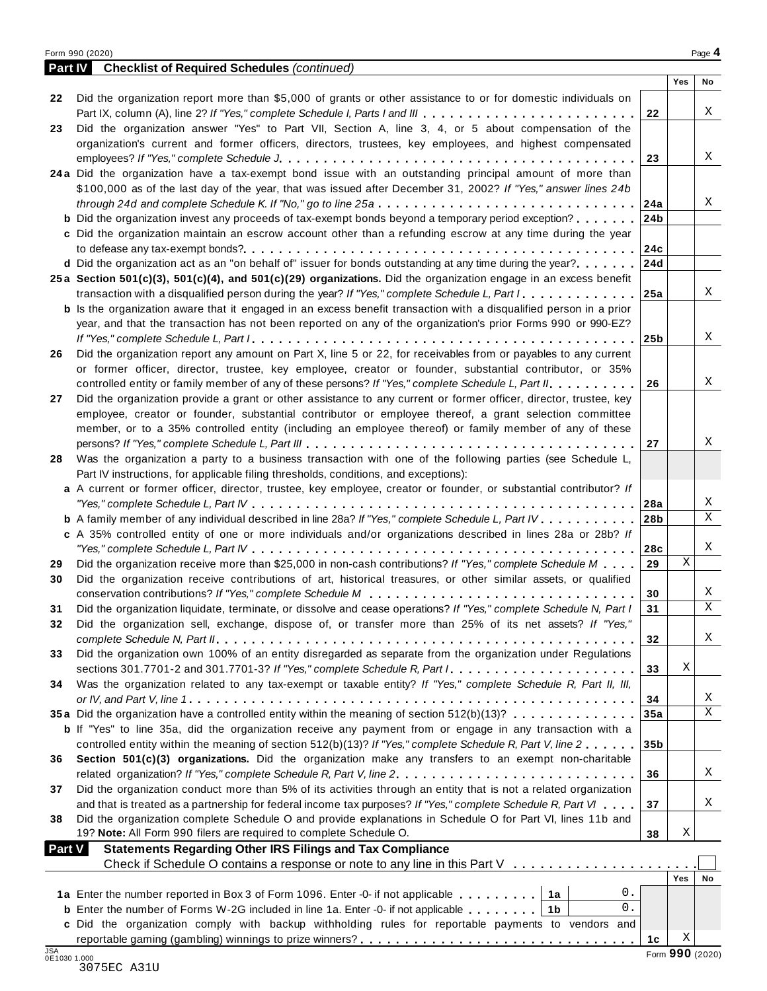|--|--|

|               | <b>Part IV</b> Checklist of Required Schedules (continued)                                                                |                 |     |             |
|---------------|---------------------------------------------------------------------------------------------------------------------------|-----------------|-----|-------------|
|               |                                                                                                                           |                 | Yes | No          |
| 22            | Did the organization report more than \$5,000 of grants or other assistance to or for domestic individuals on             |                 |     |             |
|               | Part IX, column (A), line 2? If "Yes," complete Schedule I, Parts I and III                                               | 22              |     | Χ           |
| 23            | Did the organization answer "Yes" to Part VII, Section A, line 3, 4, or 5 about compensation of the                       |                 |     |             |
|               | organization's current and former officers, directors, trustees, key employees, and highest compensated                   |                 |     |             |
|               |                                                                                                                           | 23              |     | Χ           |
|               | 24a Did the organization have a tax-exempt bond issue with an outstanding principal amount of more than                   |                 |     |             |
|               | \$100,000 as of the last day of the year, that was issued after December 31, 2002? If "Yes," answer lines 24b             |                 |     |             |
|               | through 24d and complete Schedule K. If "No," go to line 25a                                                              | 24a             |     | Χ           |
|               | <b>b</b> Did the organization invest any proceeds of tax-exempt bonds beyond a temporary period exception?                | 24b             |     |             |
|               | c Did the organization maintain an escrow account other than a refunding escrow at any time during the year               |                 |     |             |
|               |                                                                                                                           | 24c             |     |             |
|               | d Did the organization act as an "on behalf of" issuer for bonds outstanding at any time during the year?                 | 24d             |     |             |
|               | 25a Section 501(c)(3), 501(c)(4), and 501(c)(29) organizations. Did the organization engage in an excess benefit          |                 |     | X           |
|               | transaction with a disqualified person during the year? If "Yes," complete Schedule L, Part I.                            | 25a             |     |             |
|               | <b>b</b> Is the organization aware that it engaged in an excess benefit transaction with a disqualified person in a prior |                 |     |             |
|               | year, and that the transaction has not been reported on any of the organization's prior Forms 990 or 990-EZ?              |                 |     | Χ           |
|               | Did the organization report any amount on Part X, line 5 or 22, for receivables from or payables to any current           | 25 <sub>b</sub> |     |             |
| 26            | or former officer, director, trustee, key employee, creator or founder, substantial contributor, or 35%                   |                 |     |             |
|               | controlled entity or family member of any of these persons? If "Yes," complete Schedule L, Part II.                       | 26              |     | Χ           |
| 27            | Did the organization provide a grant or other assistance to any current or former officer, director, trustee, key         |                 |     |             |
|               | employee, creator or founder, substantial contributor or employee thereof, a grant selection committee                    |                 |     |             |
|               | member, or to a 35% controlled entity (including an employee thereof) or family member of any of these                    |                 |     |             |
|               |                                                                                                                           | 27              |     | Χ           |
| 28            | Was the organization a party to a business transaction with one of the following parties (see Schedule L,                 |                 |     |             |
|               | Part IV instructions, for applicable filing thresholds, conditions, and exceptions):                                      |                 |     |             |
|               | a A current or former officer, director, trustee, key employee, creator or founder, or substantial contributor? If        |                 |     |             |
|               |                                                                                                                           | 28a             |     | X           |
|               | <b>b</b> A family member of any individual described in line 28a? If "Yes," complete Schedule L, Part IV.                 | 28 <sub>b</sub> |     | X           |
|               | c A 35% controlled entity of one or more individuals and/or organizations described in lines 28a or 28b? If               |                 |     |             |
|               |                                                                                                                           | 28c             |     | X           |
| 29            | Did the organization receive more than \$25,000 in non-cash contributions? If "Yes," complete Schedule M                  | 29              | Χ   |             |
| 30            | Did the organization receive contributions of art, historical treasures, or other similar assets, or qualified            |                 |     |             |
|               |                                                                                                                           | 30              |     | X           |
| 31            | Did the organization liquidate, terminate, or dissolve and cease operations? If "Yes," complete Schedule N, Part I        | 31              |     | $\mathbf X$ |
| 32            | Did the organization sell, exchange, dispose of, or transfer more than 25% of its net assets? If "Yes,"                   |                 |     |             |
|               |                                                                                                                           | 32              |     | X           |
| 33            | Did the organization own 100% of an entity disregarded as separate from the organization under Regulations                |                 |     |             |
|               |                                                                                                                           | 33              | Χ   |             |
| 34            | Was the organization related to any tax-exempt or taxable entity? If "Yes," complete Schedule R, Part II, III,            |                 |     |             |
|               |                                                                                                                           | 34              |     | X           |
|               | 35a Did the organization have a controlled entity within the meaning of section 512(b)(13)?                               | 35a             |     | $\mathbf X$ |
|               | <b>b</b> If "Yes" to line 35a, did the organization receive any payment from or engage in any transaction with a          |                 |     |             |
|               | controlled entity within the meaning of section 512(b)(13)? If "Yes," complete Schedule R, Part V, line 2                 | 35 <sub>b</sub> |     |             |
| 36            | Section 501(c)(3) organizations. Did the organization make any transfers to an exempt non-charitable                      |                 |     |             |
|               | related organization? If "Yes," complete Schedule R, Part V, line 2.                                                      | 36              |     | Χ           |
| 37            | Did the organization conduct more than 5% of its activities through an entity that is not a related organization          |                 |     |             |
|               | and that is treated as a partnership for federal income tax purposes? If "Yes," complete Schedule R, Part VI              | 37              |     | X           |
| 38            | Did the organization complete Schedule O and provide explanations in Schedule O for Part VI, lines 11b and                |                 |     |             |
|               | 19? Note: All Form 990 filers are required to complete Schedule O.                                                        | 38              | Χ   |             |
| <b>Part V</b> | <b>Statements Regarding Other IRS Filings and Tax Compliance</b>                                                          |                 |     |             |
|               | Check if Schedule O contains a response or note to any line in this Part V                                                |                 |     |             |
|               |                                                                                                                           |                 | Yes | No          |
|               | 0.<br>1a Enter the number reported in Box 3 of Form 1096. Enter -0- if not applicable<br>1a                               |                 |     |             |
|               | 0.<br><b>b</b> Enter the number of Forms W-2G included in line 1a. Enter -0- if not applicable<br>1 <sub>b</sub>          |                 |     |             |
|               | c Did the organization comply with backup withholding rules for reportable payments to vendors and                        |                 |     |             |
|               |                                                                                                                           | 1c              | Χ   |             |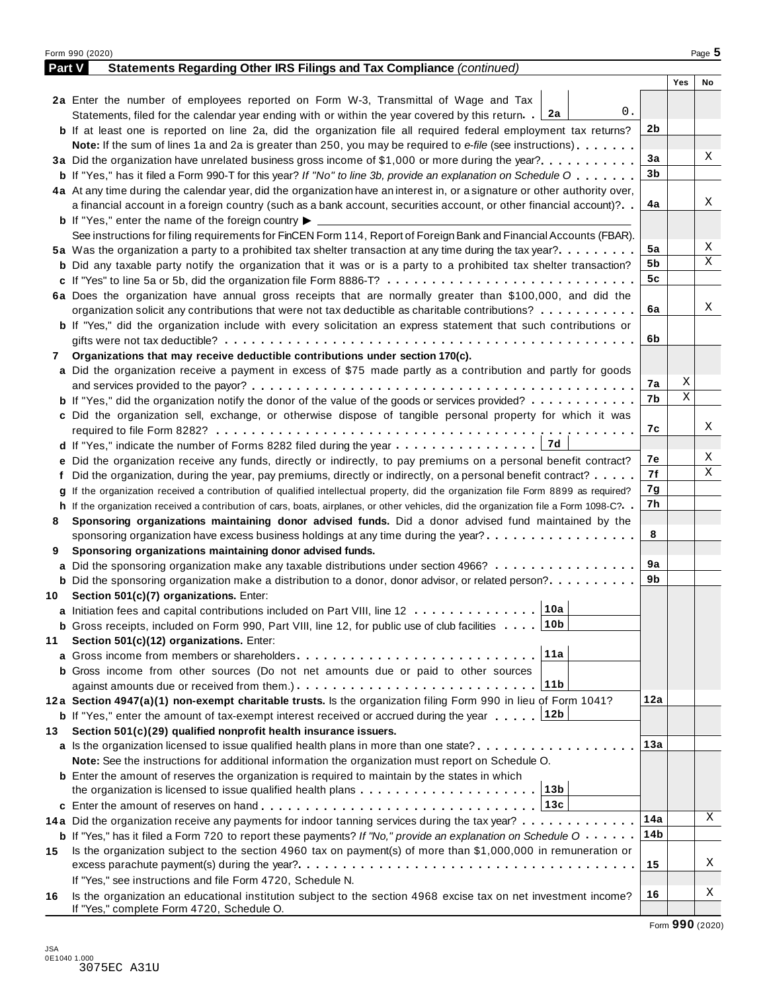|               | Form 990 (2020)                                                                                                                      |     |     | Page 5 |
|---------------|--------------------------------------------------------------------------------------------------------------------------------------|-----|-----|--------|
| <b>Part V</b> | Statements Regarding Other IRS Filings and Tax Compliance (continued)                                                                |     |     |        |
|               |                                                                                                                                      |     | Yes | No     |
|               | 2a Enter the number of employees reported on Form W-3, Transmittal of Wage and Tax                                                   |     |     |        |
|               | 0.<br>Statements, filed for the calendar year ending with or within the year covered by this return. [2a]                            |     |     |        |
|               | <b>b</b> If at least one is reported on line 2a, did the organization file all required federal employment tax returns?              | 2b  |     |        |
|               | <b>Note:</b> If the sum of lines 1a and 2a is greater than 250, you may be required to e-file (see instructions).                    |     |     |        |
|               | 3a Did the organization have unrelated business gross income of \$1,000 or more during the year?                                     | 3a  |     | Χ      |
|               | <b>b</b> If "Yes," has it filed a Form 990-T for this year? If "No" to line 3b, provide an explanation on Schedule O                 | 3b  |     |        |
|               | 4a At any time during the calendar year, did the organization have an interest in, or a signature or other authority over,           |     |     |        |
|               | a financial account in a foreign country (such as a bank account, securities account, or other financial account)?                   | 4a  |     | Χ      |
|               | <b>b</b> If "Yes," enter the name of the foreign country $\blacktriangleright$                                                       |     |     |        |
|               | See instructions for filing requirements for FinCEN Form 114, Report of Foreign Bank and Financial Accounts (FBAR).                  |     |     |        |
|               | 5a Was the organization a party to a prohibited tax shelter transaction at any time during the tax year?                             | 5a  |     | Χ      |
|               | <b>b</b> Did any taxable party notify the organization that it was or is a party to a prohibited tax shelter transaction?            | 5b  |     | Χ      |
|               | c If "Yes" to line 5a or 5b, did the organization file Form 8886-T?                                                                  | 5c  |     |        |
|               |                                                                                                                                      |     |     |        |
|               | 6a Does the organization have annual gross receipts that are normally greater than \$100,000, and did the                            | 6a  |     | Χ      |
|               | organization solicit any contributions that were not tax deductible as charitable contributions?                                     |     |     |        |
|               | <b>b</b> If "Yes," did the organization include with every solicitation an express statement that such contributions or              |     |     |        |
|               |                                                                                                                                      | 6b  |     |        |
| 7             | Organizations that may receive deductible contributions under section 170(c).                                                        |     |     |        |
|               | a Did the organization receive a payment in excess of \$75 made partly as a contribution and partly for goods                        |     |     |        |
|               |                                                                                                                                      | 7а  | Χ   |        |
|               | <b>b</b> If "Yes," did the organization notify the donor of the value of the goods or services provided?                             | 7b  | Χ   |        |
|               | c Did the organization sell, exchange, or otherwise dispose of tangible personal property for which it was                           |     |     |        |
|               |                                                                                                                                      | 7с  |     | Χ      |
|               |                                                                                                                                      |     |     |        |
|               | e Did the organization receive any funds, directly or indirectly, to pay premiums on a personal benefit contract?                    | 7е  |     | Χ      |
|               | f Did the organization, during the year, pay premiums, directly or indirectly, on a personal benefit contract?                       | 7f  |     | Χ      |
|               | If the organization received a contribution of qualified intellectual property, did the organization file Form 8899 as required?     | 7g  |     |        |
|               | h If the organization received a contribution of cars, boats, airplanes, or other vehicles, did the organization file a Form 1098-C? | 7h  |     |        |
| 8             | Sponsoring organizations maintaining donor advised funds. Did a donor advised fund maintained by the                                 |     |     |        |
|               | sponsoring organization have excess business holdings at any time during the year?                                                   | 8   |     |        |
| 9             | Sponsoring organizations maintaining donor advised funds.                                                                            |     |     |        |
|               | a Did the sponsoring organization make any taxable distributions under section 4966?                                                 | 9а  |     |        |
|               | <b>b</b> Did the sponsoring organization make a distribution to a donor, donor advisor, or related person?                           | 9b  |     |        |
| 10            | Section 501(c)(7) organizations. Enter:                                                                                              |     |     |        |
|               | 10a <br>a Initiation fees and capital contributions included on Part VIII, line 12                                                   |     |     |        |
|               | <b>b</b> Gross receipts, included on Form 990, Part VIII, line 12, for public use of club facilities 10b                             |     |     |        |
|               |                                                                                                                                      |     |     |        |
| 11            | Section 501(c)(12) organizations. Enter:<br>11a<br>a Gross income from members or shareholders                                       |     |     |        |
|               |                                                                                                                                      |     |     |        |
|               | <b>b</b> Gross income from other sources (Do not net amounts due or paid to other sources                                            |     |     |        |
|               | 11b                                                                                                                                  |     |     |        |
|               | 12a Section 4947(a)(1) non-exempt charitable trusts. Is the organization filing Form 990 in lieu of Form 1041?                       | 12a |     |        |
|               | 12b<br><b>b</b> If "Yes," enter the amount of tax-exempt interest received or accrued during the year                                |     |     |        |
| 13.           | Section 501(c)(29) qualified nonprofit health insurance issuers.                                                                     |     |     |        |
|               | <b>a</b> Is the organization licensed to issue qualified health plans in more than one state?                                        | 13а |     |        |
|               | Note: See the instructions for additional information the organization must report on Schedule O.                                    |     |     |        |
|               | <b>b</b> Enter the amount of reserves the organization is required to maintain by the states in which                                |     |     |        |
|               | the organization is licensed to issue qualified health plans $\ldots \ldots \ldots \ldots \ldots \ldots \ldots$                      |     |     |        |
|               |                                                                                                                                      |     |     |        |
|               | 14a Did the organization receive any payments for indoor tanning services during the tax year?                                       | 14a |     | Χ      |
|               | <b>b</b> If "Yes," has it filed a Form 720 to report these payments? If "No," provide an explanation on Schedule O                   | 14b |     |        |
| 15            | Is the organization subject to the section 4960 tax on payment(s) of more than \$1,000,000 in remuneration or                        |     |     |        |
|               |                                                                                                                                      | 15  |     | Χ      |
|               | If "Yes," see instructions and file Form 4720, Schedule N.                                                                           |     |     |        |
| 16            | Is the organization an educational institution subject to the section 4968 excise tax on net investment income?                      | 16  |     | Χ      |
|               | If "Yes," complete Form 4720, Schedule O.                                                                                            |     |     |        |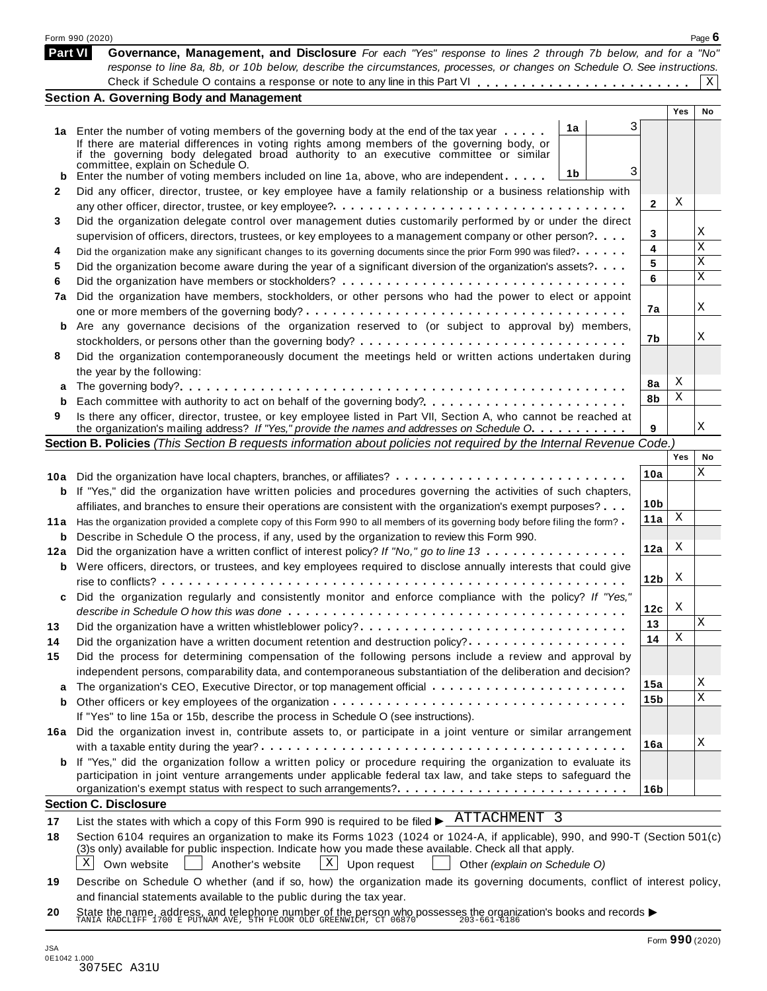|                | Form 990 (2020)                                                                                                                                                                                                  |    |                 |     | Page $6$ |
|----------------|------------------------------------------------------------------------------------------------------------------------------------------------------------------------------------------------------------------|----|-----------------|-----|----------|
| <b>Part VI</b> | Governance, Management, and Disclosure For each "Yes" response to lines 2 through 7b below, and for a "No"                                                                                                       |    |                 |     |          |
|                | response to line 8a, 8b, or 10b below, describe the circumstances, processes, or changes on Schedule O. See instructions.                                                                                        |    |                 |     |          |
|                |                                                                                                                                                                                                                  |    |                 |     | Χ        |
|                | <b>Section A. Governing Body and Management</b>                                                                                                                                                                  |    |                 | Yes | No       |
|                |                                                                                                                                                                                                                  | 1a | 3               |     |          |
|                | 1a Enter the number of voting members of the governing body at the end of the tax year<br>If there are material differences in voting rights among members of the governing body, or                             |    |                 |     |          |
|                | if the governing body delegated broad authority to an executive committee or similar                                                                                                                             |    |                 |     |          |
|                | committée, explain on Schedule O.                                                                                                                                                                                |    | 3               |     |          |
| b              | Enter the number of voting members included on line 1a, above, who are independent                                                                                                                               | 1b |                 |     |          |
| 2              | Did any officer, director, trustee, or key employee have a family relationship or a business relationship with                                                                                                   |    |                 | X   |          |
|                |                                                                                                                                                                                                                  |    | 2               |     |          |
| 3              | Did the organization delegate control over management duties customarily performed by or under the direct                                                                                                        |    |                 |     | Χ        |
|                | supervision of officers, directors, trustees, or key employees to a management company or other person?                                                                                                          |    | 3               |     | X        |
| 4              | Did the organization make any significant changes to its governing documents since the prior Form 990 was filed?                                                                                                 |    | 4               |     | Χ        |
| 5              | Did the organization become aware during the year of a significant diversion of the organization's assets?                                                                                                       |    | 5               |     | Χ        |
| 6              |                                                                                                                                                                                                                  |    | 6               |     |          |
| 7a             | Did the organization have members, stockholders, or other persons who had the power to elect or appoint                                                                                                          |    |                 |     | Χ        |
|                |                                                                                                                                                                                                                  |    | 7a              |     |          |
| b              | Are any governance decisions of the organization reserved to (or subject to approval by) members,                                                                                                                |    |                 |     |          |
|                |                                                                                                                                                                                                                  |    | 7b              |     | Χ        |
| 8              | Did the organization contemporaneously document the meetings held or written actions undertaken during                                                                                                           |    |                 |     |          |
|                | the year by the following:                                                                                                                                                                                       |    |                 |     |          |
| a              |                                                                                                                                                                                                                  |    | 8a              | X   |          |
| b              |                                                                                                                                                                                                                  |    | 8b              | Χ   |          |
| 9              | Is there any officer, director, trustee, or key employee listed in Part VII, Section A, who cannot be reached at<br>the organization's mailing address? If "Yes," provide the names and addresses on Schedule O. |    | 9               |     | Χ        |
|                | Section B. Policies (This Section B requests information about policies not required by the Internal Revenue Code.)                                                                                              |    |                 |     |          |
|                |                                                                                                                                                                                                                  |    |                 | Yes | No       |
|                | 10a Did the organization have local chapters, branches, or affiliates?                                                                                                                                           |    | 10a             |     | Χ        |
| b              | If "Yes," did the organization have written policies and procedures governing the activities of such chapters,                                                                                                   |    |                 |     |          |
|                | affiliates, and branches to ensure their operations are consistent with the organization's exempt purposes?                                                                                                      |    | 10 <sub>b</sub> |     |          |
| 11 a           | Has the organization provided a complete copy of this Form 990 to all members of its governing body before filing the form?                                                                                      |    | 11a             | Χ   |          |
| b              | Describe in Schedule O the process, if any, used by the organization to review this Form 990.                                                                                                                    |    |                 |     |          |
| 12a            | Did the organization have a written conflict of interest policy? If "No," go to line 13                                                                                                                          |    | 12a             | X   |          |
| b              | Were officers, directors, or trustees, and key employees required to disclose annually interests that could give                                                                                                 |    |                 |     |          |
|                |                                                                                                                                                                                                                  |    | 12 <sub>b</sub> | X   |          |
| c              | Did the organization regularly and consistently monitor and enforce compliance with the policy? If "Yes,                                                                                                         |    |                 |     |          |
|                |                                                                                                                                                                                                                  |    | 12c             | X   |          |
| 13             | Did the organization have a written whistleblower policy?                                                                                                                                                        |    | 13              |     | Χ        |
| 14             | Did the organization have a written document retention and destruction policy?                                                                                                                                   |    | 14              | Χ   |          |
| 15             | Did the process for determining compensation of the following persons include a review and approval by                                                                                                           |    |                 |     |          |
|                | independent persons, comparability data, and contemporaneous substantiation of the deliberation and decision?                                                                                                    |    |                 |     |          |
| a              |                                                                                                                                                                                                                  |    | 15a             |     | Χ        |
| b              |                                                                                                                                                                                                                  |    | 15b             |     | X        |
|                | If "Yes" to line 15a or 15b, describe the process in Schedule O (see instructions).                                                                                                                              |    |                 |     |          |
|                | 16a Did the organization invest in, contribute assets to, or participate in a joint venture or similar arrangement                                                                                               |    |                 |     |          |
|                |                                                                                                                                                                                                                  |    | 16a             |     | Χ        |
|                | <b>b</b> If "Yes," did the organization follow a written policy or procedure requiring the organization to evaluate its                                                                                          |    |                 |     |          |
|                | participation in joint venture arrangements under applicable federal tax law, and take steps to safeguard the                                                                                                    |    |                 |     |          |
|                |                                                                                                                                                                                                                  |    | 16b             |     |          |
|                | <b>Section C. Disclosure</b>                                                                                                                                                                                     |    |                 |     |          |
| 17             | List the states with which a copy of this Form 990 is required to be filed $\blacktriangleright$ ATTACHMENT 3                                                                                                    |    |                 |     |          |
| 18             | Section 6104 requires an organization to make its Forms 1023 (1024 or 1024-A, if applicable), 990, and 990-T (Section 501(c)                                                                                     |    |                 |     |          |
|                | (3)s only) available for public inspection. Indicate how you made these available. Check all that apply.                                                                                                         |    |                 |     |          |
|                | $ X $ Upon request<br>Χ<br>Own website<br>Another's website<br>Other (explain on Schedule O)                                                                                                                     |    |                 |     |          |
| 19             | Describe on Schedule O whether (and if so, how) the organization made its governing documents, conflict of interest policy,                                                                                      |    |                 |     |          |
|                | and financial statements available to the public during the tax year.                                                                                                                                            |    |                 |     |          |

**20** and infancial statements available to the public during the tax year.<br>State the name, address, and telephone number of the person who possesses the organization's books and records <br>TANIA RADCLIFF 1700 E PUTNAM AVE, 5TH FL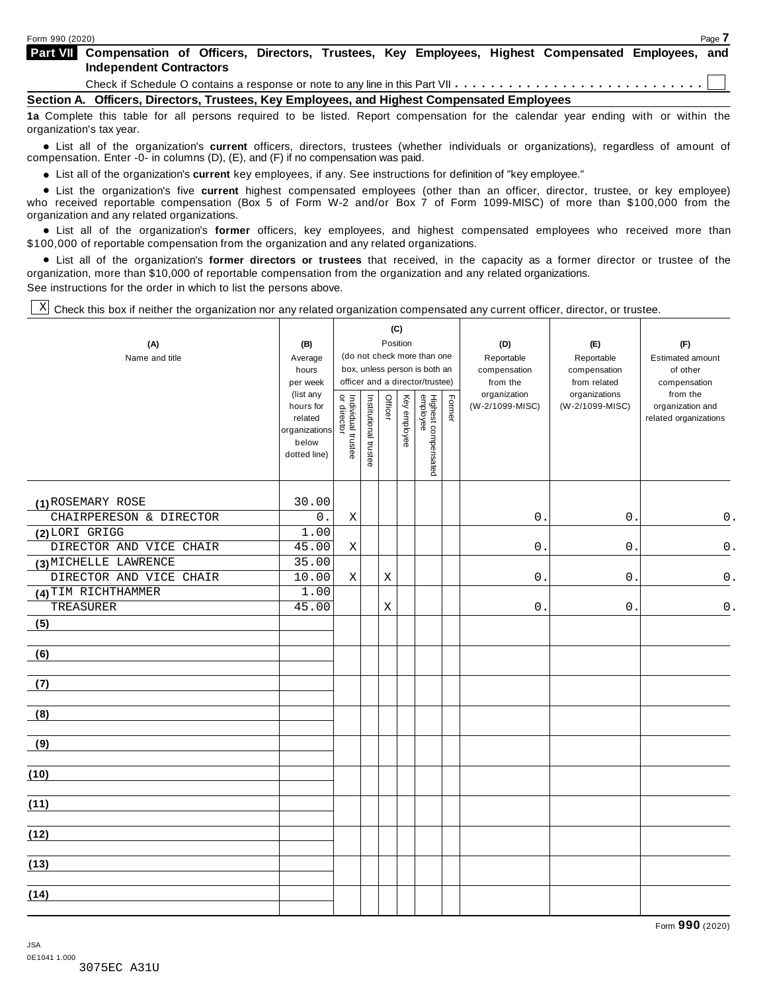| <b>Part VII</b> Compensation of Officers, Directors, Trustees, Key Employees, Highest Compensated Employees, and |  |  |  |  |  |
|------------------------------------------------------------------------------------------------------------------|--|--|--|--|--|
| <b>Independent Contractors</b>                                                                                   |  |  |  |  |  |
|                                                                                                                  |  |  |  |  |  |

**Section A. Officers, Directors, Trustees, Key Employees, and Highest Compensated Employees**

**1a** Complete this table for all persons required to be listed. Report compensation for the calendar year ending with or within the organization's tax year.

anization's lax year.<br>● List all of the organization's **current** officers, directors, trustees (whether individuals or organizations), regardless of amount of<br>nnensation Enter -0- in columns (D) (E) and (E) if no compensa compensation. Enter -0- in columns (D), (E), and (F) if no compensation was paid.

• List all of the organization's current key employees, if any. See instructions for definition of "key employee."

■ List all of the organization's current key employees, if any. See instructions for definition of "key employee."<br>■ List the organization's five current highest compensated employees (other than an officer, director, tru who received reportable compensation (Box 5 of Form W-2 and/or Box 7 of Form 1099-MISC) of more than \$100,000 from the<br>organization and any related organizations.

organization and any related organizations.<br>• List all of the organization's **former** officers, key employees, and highest compensated employees who received more than<br>\$1.00.000 of reportable componention from the erganiza \$100,000 of reportable compensation from the organization and any related organizations.

% List all of the organization's **former directors or trustees** that received, in the capacity as a former director or trustee of the organization, more than \$10,000 of reportable compensation from the organization and any related organizations. See instructions for the order in which to list the persons above.

 $\mathbb{X}$  Check this box if neither the organization nor any related organization compensated any current officer, director, or trustee.

|                         |                        |                                   |                       |                           | (C)          |                                                                  |        |                          |                              |                          |
|-------------------------|------------------------|-----------------------------------|-----------------------|---------------------------|--------------|------------------------------------------------------------------|--------|--------------------------|------------------------------|--------------------------|
| (A)                     | (B)                    |                                   |                       |                           | Position     |                                                                  |        | (D)                      | (E)                          | (F)                      |
| Name and title          | Average                |                                   |                       |                           |              | (do not check more than one                                      |        | Reportable               | Reportable                   | <b>Estimated amount</b>  |
|                         | hours<br>per week      |                                   |                       |                           |              | box, unless person is both an<br>officer and a director/trustee) |        | compensation<br>from the | compensation<br>from related | of other<br>compensation |
|                         | (list any              |                                   |                       |                           |              |                                                                  |        | organization             | organizations                | from the                 |
|                         | hours for              | Individual trustee<br>or director | Institutional trustee | Officer                   | Key employee |                                                                  | Former | (W-2/1099-MISC)          | (W-2/1099-MISC)              | organization and         |
|                         | related                |                                   |                       |                           |              |                                                                  |        |                          |                              | related organizations    |
|                         | organizations<br>below |                                   |                       |                           |              |                                                                  |        |                          |                              |                          |
|                         | dotted line)           |                                   |                       |                           |              |                                                                  |        |                          |                              |                          |
|                         |                        |                                   |                       |                           |              | Highest compensated<br>employee                                  |        |                          |                              |                          |
|                         |                        |                                   |                       |                           |              |                                                                  |        |                          |                              |                          |
| (1) ROSEMARY ROSE       | 30.00                  |                                   |                       |                           |              |                                                                  |        |                          |                              |                          |
| CHAIRPERESON & DIRECTOR | 0.                     | $\mathbf X$                       |                       |                           |              |                                                                  |        | 0                        | $\mathsf{O}$ .               | 0.                       |
| (2) LORI GRIGG          | 1.00                   |                                   |                       |                           |              |                                                                  |        |                          |                              |                          |
| DIRECTOR AND VICE CHAIR | 45.00                  | Χ                                 |                       |                           |              |                                                                  |        | 0                        | $\mathsf{O}$                 | $0$ .                    |
| (3) MICHELLE LAWRENCE   | 35.00                  |                                   |                       |                           |              |                                                                  |        |                          |                              |                          |
| DIRECTOR AND VICE CHAIR | 10.00                  | $\mathbf X$                       |                       | $\boldsymbol{\mathrm{X}}$ |              |                                                                  |        | 0                        | 0                            | $\mathsf 0$ .            |
| (4) TIM RICHTHAMMER     | 1.00                   |                                   |                       |                           |              |                                                                  |        |                          |                              |                          |
| TREASURER               | 45.00                  |                                   |                       | $\rm X$                   |              |                                                                  |        | 0                        | 0                            | $\mathsf 0$ .            |
| (5)                     |                        |                                   |                       |                           |              |                                                                  |        |                          |                              |                          |
|                         |                        |                                   |                       |                           |              |                                                                  |        |                          |                              |                          |
| (6)                     |                        |                                   |                       |                           |              |                                                                  |        |                          |                              |                          |
| (7)                     |                        |                                   |                       |                           |              |                                                                  |        |                          |                              |                          |
|                         |                        |                                   |                       |                           |              |                                                                  |        |                          |                              |                          |
| (8)                     |                        |                                   |                       |                           |              |                                                                  |        |                          |                              |                          |
|                         |                        |                                   |                       |                           |              |                                                                  |        |                          |                              |                          |
| (9)                     |                        |                                   |                       |                           |              |                                                                  |        |                          |                              |                          |
|                         |                        |                                   |                       |                           |              |                                                                  |        |                          |                              |                          |
| (10)                    |                        |                                   |                       |                           |              |                                                                  |        |                          |                              |                          |
|                         |                        |                                   |                       |                           |              |                                                                  |        |                          |                              |                          |
| (11)                    |                        |                                   |                       |                           |              |                                                                  |        |                          |                              |                          |
| (12)                    |                        |                                   |                       |                           |              |                                                                  |        |                          |                              |                          |
|                         |                        |                                   |                       |                           |              |                                                                  |        |                          |                              |                          |
| (13)                    |                        |                                   |                       |                           |              |                                                                  |        |                          |                              |                          |
|                         |                        |                                   |                       |                           |              |                                                                  |        |                          |                              |                          |
| (14)                    |                        |                                   |                       |                           |              |                                                                  |        |                          |                              |                          |
|                         |                        |                                   |                       |                           |              |                                                                  |        |                          |                              |                          |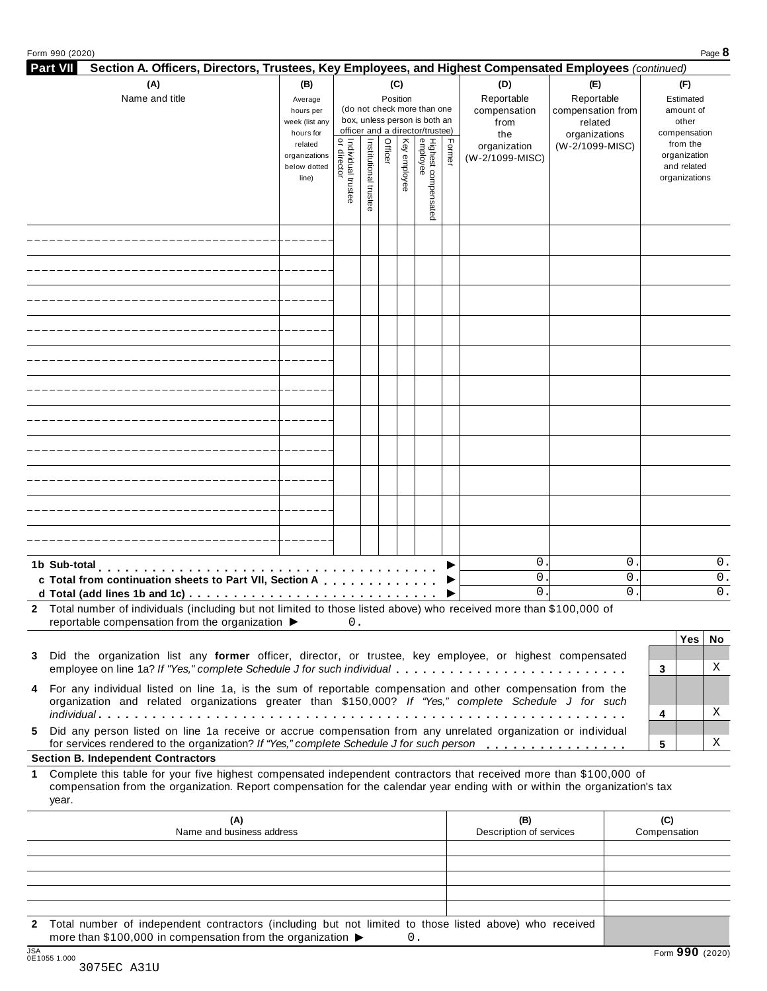|  |  | Form 990 (2020) |
|--|--|-----------------|
|--|--|-----------------|

| Form 990 (2020)                                                                                                                                                                                                                                                                                            |                                                                                                                                                                                         |                                     |                       |         |              |                                 |        |                                                  |                                                                    |       |                                                 |                                                          | Page 8 |  |
|------------------------------------------------------------------------------------------------------------------------------------------------------------------------------------------------------------------------------------------------------------------------------------------------------------|-----------------------------------------------------------------------------------------------------------------------------------------------------------------------------------------|-------------------------------------|-----------------------|---------|--------------|---------------------------------|--------|--------------------------------------------------|--------------------------------------------------------------------|-------|-------------------------------------------------|----------------------------------------------------------|--------|--|
| <b>Part VII</b><br>Section A. Officers, Directors, Trustees, Key Employees, and Highest Compensated Employees (continued)                                                                                                                                                                                  |                                                                                                                                                                                         |                                     |                       |         |              |                                 |        |                                                  |                                                                    |       |                                                 | (F)                                                      |        |  |
| Name and title                                                                                                                                                                                                                                                                                             | (A)<br>(B)<br>(C)<br>Position<br>Average<br>(do not check more than one<br>hours per<br>box, unless person is both an<br>week (list any<br>officer and a director/trustee)<br>hours for |                                     |                       |         |              |                                 |        | (D)<br>Reportable<br>compensation<br>from<br>the | (E)<br>Reportable<br>compensation from<br>related<br>organizations |       | Estimated<br>amount of<br>other<br>compensation |                                                          |        |  |
|                                                                                                                                                                                                                                                                                                            | related<br>organizations<br>below dotted<br>line)                                                                                                                                       | Individual trustee<br>  or director | Institutional trustee | Officer | Key employee | Highest compensated<br>employee | Former | organization<br>(W-2/1099-MISC)                  | (W-2/1099-MISC)                                                    |       |                                                 | from the<br>organization<br>and related<br>organizations |        |  |
|                                                                                                                                                                                                                                                                                                            |                                                                                                                                                                                         |                                     |                       |         |              |                                 |        |                                                  |                                                                    |       |                                                 |                                                          |        |  |
|                                                                                                                                                                                                                                                                                                            |                                                                                                                                                                                         |                                     |                       |         |              |                                 |        |                                                  |                                                                    |       |                                                 |                                                          |        |  |
|                                                                                                                                                                                                                                                                                                            |                                                                                                                                                                                         |                                     |                       |         |              |                                 |        |                                                  |                                                                    |       |                                                 |                                                          |        |  |
|                                                                                                                                                                                                                                                                                                            |                                                                                                                                                                                         |                                     |                       |         |              |                                 |        |                                                  |                                                                    |       |                                                 |                                                          |        |  |
|                                                                                                                                                                                                                                                                                                            |                                                                                                                                                                                         |                                     |                       |         |              |                                 |        |                                                  |                                                                    |       |                                                 |                                                          |        |  |
|                                                                                                                                                                                                                                                                                                            |                                                                                                                                                                                         |                                     |                       |         |              |                                 |        |                                                  |                                                                    |       |                                                 |                                                          |        |  |
|                                                                                                                                                                                                                                                                                                            |                                                                                                                                                                                         |                                     |                       |         |              |                                 |        |                                                  |                                                                    |       |                                                 |                                                          |        |  |
|                                                                                                                                                                                                                                                                                                            |                                                                                                                                                                                         |                                     |                       |         |              |                                 |        |                                                  |                                                                    |       |                                                 |                                                          |        |  |
|                                                                                                                                                                                                                                                                                                            |                                                                                                                                                                                         |                                     |                       |         |              |                                 |        |                                                  |                                                                    |       |                                                 |                                                          |        |  |
|                                                                                                                                                                                                                                                                                                            |                                                                                                                                                                                         |                                     |                       |         |              |                                 |        |                                                  |                                                                    |       |                                                 |                                                          |        |  |
|                                                                                                                                                                                                                                                                                                            |                                                                                                                                                                                         |                                     |                       |         |              |                                 |        |                                                  |                                                                    |       |                                                 |                                                          |        |  |
| 1b Sub-total                                                                                                                                                                                                                                                                                               |                                                                                                                                                                                         |                                     |                       |         |              |                                 |        | $0$ .                                            |                                                                    | 0     |                                                 |                                                          | 0.     |  |
| c Total from continuation sheets to Part VII, Section A                                                                                                                                                                                                                                                    |                                                                                                                                                                                         |                                     |                       |         |              |                                 |        | $0$ .                                            |                                                                    | $0$ . |                                                 |                                                          | 0.     |  |
| d Total (add lines 1b and 1c) $\ldots \ldots \ldots \ldots \ldots \ldots \ldots \ldots \ldots \ldots \ldots$<br>2 Total number of individuals (including but not limited to those listed above) who received more than \$100,000 of<br>reportable compensation from the organization $\blacktriangleright$ |                                                                                                                                                                                         | 0.                                  |                       |         |              |                                 |        | 0.                                               |                                                                    | 0     |                                                 |                                                          | 0.     |  |
|                                                                                                                                                                                                                                                                                                            |                                                                                                                                                                                         |                                     |                       |         |              |                                 |        |                                                  |                                                                    |       |                                                 | Yes                                                      | No     |  |
| 3 Did the organization list any former officer, director, or trustee, key employee, or highest compensated                                                                                                                                                                                                 |                                                                                                                                                                                         |                                     |                       |         |              |                                 |        |                                                  |                                                                    |       |                                                 |                                                          |        |  |
| employee on line 1a? If "Yes," complete Schedule J for such individual<br>4 For any individual listed on line 1a, is the sum of reportable compensation and other compensation from the                                                                                                                    |                                                                                                                                                                                         |                                     |                       |         |              |                                 |        |                                                  |                                                                    |       | 3                                               |                                                          | Χ      |  |
| organization and related organizations greater than \$150,000? If "Yes," complete Schedule J for such                                                                                                                                                                                                      |                                                                                                                                                                                         |                                     |                       |         |              |                                 |        |                                                  |                                                                    |       | 4                                               |                                                          | Χ      |  |
| 5 Did any person listed on line 1a receive or accrue compensation from any unrelated organization or individual<br>for services rendered to the organization? If "Yes," complete Schedule J for such person                                                                                                |                                                                                                                                                                                         |                                     |                       |         |              |                                 |        |                                                  |                                                                    |       | 5                                               |                                                          | Χ      |  |
| <b>Section B. Independent Contractors</b>                                                                                                                                                                                                                                                                  |                                                                                                                                                                                         |                                     |                       |         |              |                                 |        |                                                  |                                                                    |       |                                                 |                                                          |        |  |
| Complete this table for your five highest compensated independent contractors that received more than \$100,000 of<br>1<br>compensation from the organization. Report compensation for the calendar year ending with or within the organization's tax<br>year.                                             |                                                                                                                                                                                         |                                     |                       |         |              |                                 |        |                                                  |                                                                    |       |                                                 |                                                          |        |  |
| (A)<br>Name and business address                                                                                                                                                                                                                                                                           |                                                                                                                                                                                         |                                     |                       |         |              |                                 |        | (B)<br>Description of services                   |                                                                    |       | (C)<br>Compensation                             |                                                          |        |  |
|                                                                                                                                                                                                                                                                                                            |                                                                                                                                                                                         |                                     |                       |         |              |                                 |        |                                                  |                                                                    |       |                                                 |                                                          |        |  |
|                                                                                                                                                                                                                                                                                                            |                                                                                                                                                                                         |                                     |                       |         |              |                                 |        |                                                  |                                                                    |       |                                                 |                                                          |        |  |

**2** Total number of independent contractors (including but not limited to those listed above) who received more than \$100,000 in compensation from the organization  $\triangleright$  0.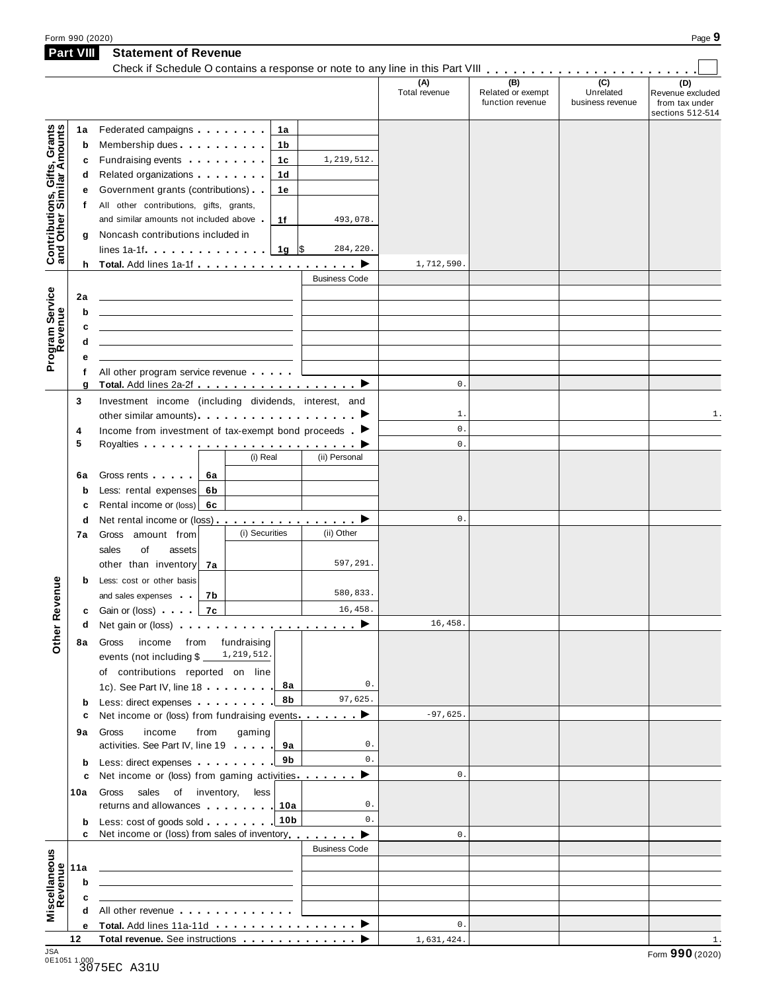| Form 990 (2020)  |                             |               |                   |                  | Page 9           |
|------------------|-----------------------------|---------------|-------------------|------------------|------------------|
| <b>Part VIII</b> | <b>Statement of Revenue</b> |               |                   |                  |                  |
|                  |                             |               |                   |                  |                  |
|                  |                             | (A)           | (B)               | (C)              | (D)              |
|                  |                             | Total revenue | Related or exempt | Unrelated        | Revenue excluded |
|                  |                             |               | function revenue  | business revenue | from tax under   |
|                  |                             |               |                   |                  | $S = 1$          |

|                                                           |           |                                                                                                                                                                                                                                         |                 |                      | (A)<br>Total revenue | (B)<br>Related or exempt | (C)<br>Unrelated | (D)<br>Revenue excluded            |
|-----------------------------------------------------------|-----------|-----------------------------------------------------------------------------------------------------------------------------------------------------------------------------------------------------------------------------------------|-----------------|----------------------|----------------------|--------------------------|------------------|------------------------------------|
|                                                           |           |                                                                                                                                                                                                                                         |                 |                      |                      | function revenue         | business revenue | from tax under<br>sections 512-514 |
|                                                           | 1a        | Federated campaigns                                                                                                                                                                                                                     | 1a              |                      |                      |                          |                  |                                    |
| Contributions, Gifts, Grants<br>and Other Similar Amounts | b         | Membership dues                                                                                                                                                                                                                         | 1b              |                      |                      |                          |                  |                                    |
|                                                           | c         | Fundraising events <b>Fundraising</b>                                                                                                                                                                                                   | 1c              | 1,219,512.           |                      |                          |                  |                                    |
|                                                           | d         | Related organizations <b>and the set of the set of the set of the set of the set of the set of the set of the set of the set of the set of the set of the set of the set of the set of the set of the set of the set of the set </b>    | 1 <sub>d</sub>  |                      |                      |                          |                  |                                    |
|                                                           |           | Government grants (contributions)                                                                                                                                                                                                       | 1e              |                      |                      |                          |                  |                                    |
|                                                           | f         | All other contributions, gifts, grants,                                                                                                                                                                                                 |                 |                      |                      |                          |                  |                                    |
|                                                           |           | and similar amounts not included above                                                                                                                                                                                                  | 1f              | 493,078.             |                      |                          |                  |                                    |
|                                                           | g         | Noncash contributions included in                                                                                                                                                                                                       |                 |                      |                      |                          |                  |                                    |
|                                                           |           | lines 1a-1f $\ldots$ $\ldots$ $\ldots$   1g   \$                                                                                                                                                                                        |                 | 284,220.             |                      |                          |                  |                                    |
|                                                           |           |                                                                                                                                                                                                                                         |                 |                      | 1,712,590.           |                          |                  |                                    |
|                                                           |           |                                                                                                                                                                                                                                         |                 | <b>Business Code</b> |                      |                          |                  |                                    |
| Program Service                                           | 2a        | the contract of the contract of the contract of the contract of the contract of                                                                                                                                                         |                 |                      |                      |                          |                  |                                    |
|                                                           | b         | <u> 1989 - Johann Stein, mars an deutscher Stein und der Stein und der Stein und der Stein und der Stein und der</u>                                                                                                                    |                 |                      |                      |                          |                  |                                    |
|                                                           | c         | the control of the control of the control of the control of the control of the control of                                                                                                                                               |                 |                      |                      |                          |                  |                                    |
|                                                           | d         | <u> 1989 - Johann Harry Harry Harry Harry Harry Harry Harry Harry Harry Harry Harry Harry Harry Harry Harry Harry</u>                                                                                                                   |                 |                      |                      |                          |                  |                                    |
|                                                           |           |                                                                                                                                                                                                                                         |                 |                      |                      |                          |                  |                                    |
|                                                           | f         | All other program service revenue                                                                                                                                                                                                       |                 |                      |                      |                          |                  |                                    |
|                                                           | g         | Total. Add lines 2a-2f ▶                                                                                                                                                                                                                |                 |                      | $\mathbf{0}$ .       |                          |                  |                                    |
|                                                           | 3         | Investment income (including dividends, interest, and                                                                                                                                                                                   |                 |                      |                      |                          |                  |                                    |
|                                                           |           |                                                                                                                                                                                                                                         |                 |                      | $1$ .                |                          |                  | 1.                                 |
|                                                           | 4         | Income from investment of tax-exempt bond proceeds $\blacktriangleright$                                                                                                                                                                |                 |                      | $\mathsf{0}$ .       |                          |                  |                                    |
|                                                           | 5         |                                                                                                                                                                                                                                         |                 |                      | $\mathbf{0}$ .       |                          |                  |                                    |
|                                                           |           |                                                                                                                                                                                                                                         | (i) Real        | (ii) Personal        |                      |                          |                  |                                    |
|                                                           | 6a        | Gross rents <b>Called</b> Cross rents<br>6a                                                                                                                                                                                             |                 |                      |                      |                          |                  |                                    |
|                                                           | b         | Less: rental expenses<br>6b                                                                                                                                                                                                             |                 |                      |                      |                          |                  |                                    |
|                                                           | c         | Rental income or (loss)<br>6c                                                                                                                                                                                                           |                 |                      |                      |                          |                  |                                    |
|                                                           | d         | Net rental income or (loss) ▶                                                                                                                                                                                                           |                 |                      | $\mathbf{0}$ .       |                          |                  |                                    |
|                                                           | 7а        | Gross amount from                                                                                                                                                                                                                       | (i) Securities  | (ii) Other           |                      |                          |                  |                                    |
|                                                           |           | of<br>sales<br>assets                                                                                                                                                                                                                   |                 |                      |                      |                          |                  |                                    |
|                                                           |           | other than inventory<br>7a                                                                                                                                                                                                              |                 | 597,291.             |                      |                          |                  |                                    |
|                                                           | b         | Less: cost or other basis                                                                                                                                                                                                               |                 |                      |                      |                          |                  |                                    |
|                                                           |           | 7b<br>and sales expenses                                                                                                                                                                                                                |                 | 580,833.             |                      |                          |                  |                                    |
| er Revenue                                                | c         | Gain or (loss) <b>Canada</b><br>7с                                                                                                                                                                                                      |                 | 16,458.              |                      |                          |                  |                                    |
|                                                           | d         |                                                                                                                                                                                                                                         |                 |                      | 16,458.              |                          |                  |                                    |
| غ                                                         | <b>8a</b> | Gross income from fundraising                                                                                                                                                                                                           |                 |                      |                      |                          |                  |                                    |
| ŏ                                                         |           | events (not including \$                                                                                                                                                                                                                | 1,219,512.      |                      |                      |                          |                  |                                    |
|                                                           |           | of contributions reported on line                                                                                                                                                                                                       |                 |                      |                      |                          |                  |                                    |
|                                                           |           | 1c). See Part IV, line 18 <b></b>                                                                                                                                                                                                       | 8а              | $0$ .                |                      |                          |                  |                                    |
|                                                           |           | Less: direct expenses                                                                                                                                                                                                                   | 8b              | 97,625.              |                      |                          |                  |                                    |
|                                                           | b<br>c    | Net income or (loss) from fundraising events                                                                                                                                                                                            |                 |                      | $-97,625.$           |                          |                  |                                    |
|                                                           | 9а        | income<br>from<br>Gross                                                                                                                                                                                                                 | gaming          |                      |                      |                          |                  |                                    |
|                                                           |           | activities. See Part IV, line 19                                                                                                                                                                                                        | 9а              | $0$ .                |                      |                          |                  |                                    |
|                                                           | b         | Less: direct expenses                                                                                                                                                                                                                   | 9b              | 0.                   |                      |                          |                  |                                    |
|                                                           | c         | Net income or (loss) from gaming activities                                                                                                                                                                                             |                 | ▶                    | $\mathbf{0}$ .       |                          |                  |                                    |
|                                                           | 10a       | sales of inventory,<br>Gross                                                                                                                                                                                                            | less            |                      |                      |                          |                  |                                    |
|                                                           |           | returns and allowances 10a                                                                                                                                                                                                              |                 | 0.                   |                      |                          |                  |                                    |
|                                                           | b         | Less: cost of goods sold                                                                                                                                                                                                                | 10 <sub>b</sub> | 0.                   |                      |                          |                  |                                    |
|                                                           | c         | Net income or (loss) from sales of inventory entitled by                                                                                                                                                                                |                 |                      | $\mathbf{0}$ .       |                          |                  |                                    |
|                                                           |           |                                                                                                                                                                                                                                         |                 | <b>Business Code</b> |                      |                          |                  |                                    |
| Miscellaneous<br>Revenue                                  | 11a       | <u> 1989 - Johann Stein, mars an deus Amerikaansk kommunister (</u>                                                                                                                                                                     |                 |                      |                      |                          |                  |                                    |
|                                                           | b         | <u> 1989 - Johann Harry Barn, mars ar breist ar yn y breist y breist ar y breist ar y breist ar y breist ar y bre</u>                                                                                                                   |                 |                      |                      |                          |                  |                                    |
|                                                           |           |                                                                                                                                                                                                                                         |                 |                      |                      |                          |                  |                                    |
|                                                           | c<br>d    | <u> 1989 - Johann Harry Barn, mars ar breist ar yn y breist yn y breist ar y breist ar y breist ar y breist ar y</u><br>All other revenue entitled to the state of the state of the state of the state of the state of the state of the |                 |                      |                      |                          |                  |                                    |
|                                                           |           | e Total. Add lines 11a-11d ▶                                                                                                                                                                                                            |                 |                      | $\mathbf{0}$ .       |                          |                  |                                    |
|                                                           | 12        |                                                                                                                                                                                                                                         |                 |                      | 1,631,424.           |                          |                  | 1.                                 |
|                                                           |           |                                                                                                                                                                                                                                         |                 |                      |                      |                          |                  |                                    |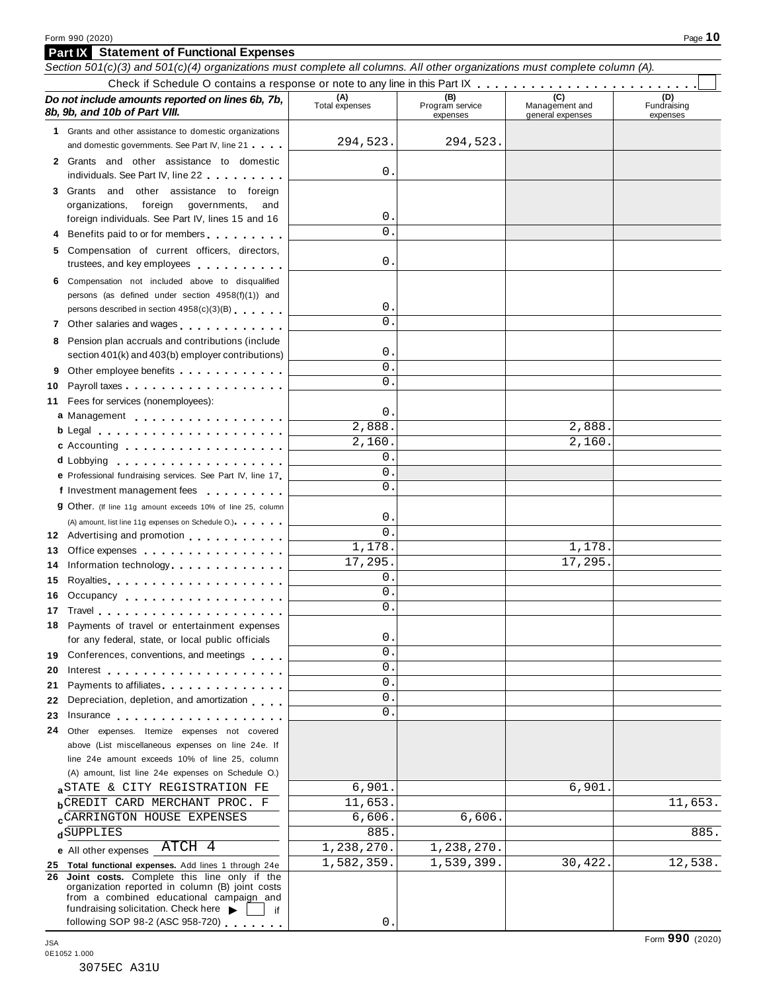## **Part IX Statement of Functional Expenses** Section 501(c)(3) and 501(c)(4) organizations must complete all columns. All other organizations must complete column (A). Check if Schedule <sup>O</sup> contains <sup>a</sup> response or note to any line in this Part IX m m m m m m m m m m m m m m m m m m m m m m m m m

| Do not include amounts reported on lines 6b, 7b,<br>8b, 9b, and 10b of Part VIII.                                                                                                                                                                                                                                   | (A)<br>Total expenses       | (B)<br>Program service<br>expenses | (C)<br>Management and<br>general expenses | (D)<br>Fundraising<br>expenses |
|---------------------------------------------------------------------------------------------------------------------------------------------------------------------------------------------------------------------------------------------------------------------------------------------------------------------|-----------------------------|------------------------------------|-------------------------------------------|--------------------------------|
| 1 Grants and other assistance to domestic organizations<br>and domestic governments. See Part IV, line 21                                                                                                                                                                                                           | 294,523.                    | 294,523                            |                                           |                                |
| 2 Grants and other assistance to domestic<br>individuals. See Part IV, line 22                                                                                                                                                                                                                                      | 0                           |                                    |                                           |                                |
| 3 Grants and other assistance to foreign<br>organizations,<br>foreign<br>governments,<br>and<br>foreign individuals. See Part IV, lines 15 and 16<br>4 Benefits paid to or for members                                                                                                                              | 0<br>0                      |                                    |                                           |                                |
| 5 Compensation of current officers, directors,<br>trustees, and key employees expressed and the state of                                                                                                                                                                                                            | 0                           |                                    |                                           |                                |
| 6 Compensation not included above to disqualified<br>persons (as defined under section 4958(f)(1)) and<br>persons described in section 4958(c)(3)(B)                                                                                                                                                                | 0<br>0                      |                                    |                                           |                                |
| 7 Other salaries and wages<br>8 Pension plan accruals and contributions (include<br>section 401(k) and 403(b) employer contributions)                                                                                                                                                                               | 0                           |                                    |                                           |                                |
| Other employee benefits experience of the control of the control of the control of the control of the control of the control of the control of the control of the control of the control of the control of the control of the<br>9<br>10                                                                            | 0<br>0                      |                                    |                                           |                                |
| Fees for services (nonemployees):<br>11<br>a Management<br>b Legal entering the service of the service of the service of the service of the service of the service of the                                                                                                                                           | 0<br>$\overline{2}$ , 888.  |                                    | 2,888.                                    |                                |
| c Accounting<br>e Professional fundraising services. See Part IV, line 17                                                                                                                                                                                                                                           | 2,160.<br>0<br>0            |                                    | 2,160                                     |                                |
| f Investment management fees<br>9 Other. (If line 11g amount exceeds 10% of line 25, column                                                                                                                                                                                                                         | $\Omega$<br>0               |                                    |                                           |                                |
| (A) amount, list line 11g expenses on Schedule O.)<br>12 Advertising and promotion<br>13 Office expenses example and the set of the set of the set of the set of the set of the set of the set of the set of the set of the set of the set of the set of the set of the set of the set of the set of the set of the | 0<br>1,178.                 |                                    | 1,178.                                    |                                |
| Information technology exercises and the control of the control of the control of the control of the control of<br>14<br>15<br>Occupancy<br>16                                                                                                                                                                      | 17,295.<br>0<br>0           |                                    | 17,295.                                   |                                |
| 18 Payments of travel or entertainment expenses                                                                                                                                                                                                                                                                     | $\mathbf{0}$ .<br>0         |                                    |                                           |                                |
| for any federal, state, or local public officials<br>19 Conferences, conventions, and meetings<br>20 Interest                                                                                                                                                                                                       | 0<br>0                      |                                    |                                           |                                |
| 21 Payments to affiliates<br>22 Depreciation, depletion, and amortization<br>23 Insurance <b>23 Insurance</b>                                                                                                                                                                                                       | 0<br>0<br>0                 |                                    |                                           |                                |
| 24 Other expenses. Itemize expenses not covered<br>above (List miscellaneous expenses on line 24e. If<br>line 24e amount exceeds 10% of line 25, column<br>(A) amount, list line 24e expenses on Schedule O.)                                                                                                       |                             |                                    |                                           |                                |
| STATE & CITY REGISTRATION FE<br><b>b</b> CREDIT CARD MERCHANT PROC. F                                                                                                                                                                                                                                               | 6,901.<br>11,653.           |                                    | 6,901                                     | 11,653.                        |
| CARRINGTON HOUSE EXPENSES<br>dSUPPLIES<br>ATCH 4<br>e All other expenses                                                                                                                                                                                                                                            | 6,606.<br>885<br>1,238,270. | 6,606<br>1,238,270.                |                                           | 885.                           |
| 25 Total functional expenses. Add lines 1 through 24e<br>26 Joint costs. Complete this line only if the<br>organization reported in column (B) joint costs<br>from a combined educational campaign and<br>fundraising solicitation. Check here<br>if<br>following SOP 98-2 (ASC 958-720)                            | 1,582,359.<br>0             | 1,539,399.                         | 30,422.                                   | 12,538.                        |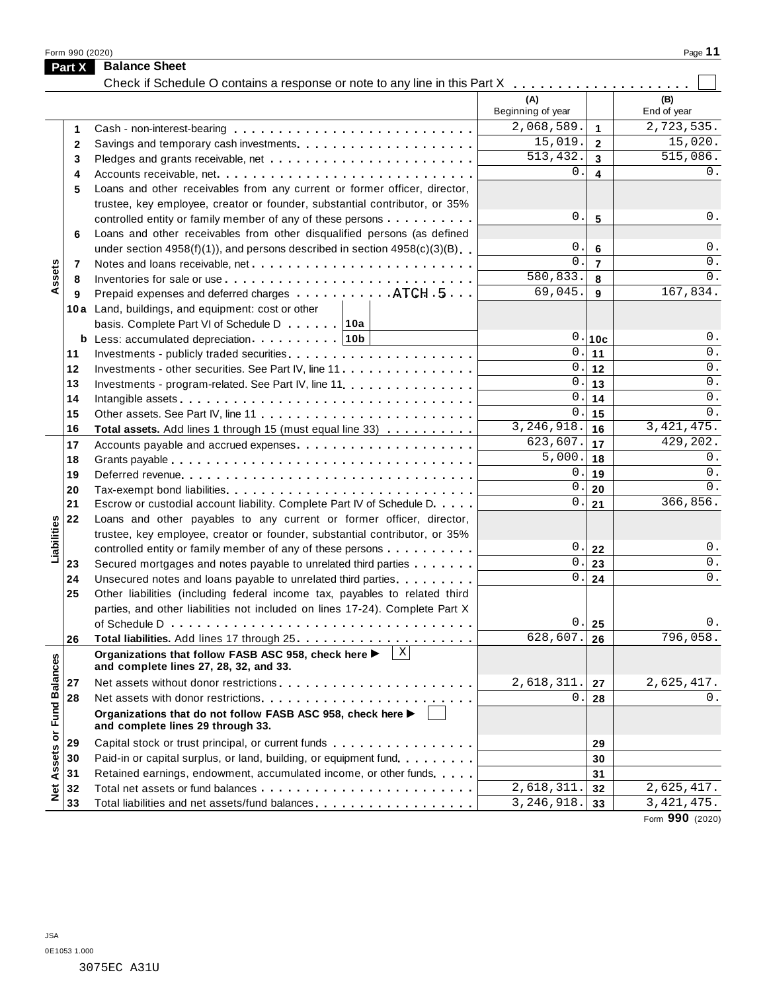Form <sup>990</sup> (2020) Page **11**

|                      | <b>Part X</b> | <b>Balance Sheet</b><br>Check if Schedule O contains a response or note to any line in this Part X                           |                          |                         |                    |
|----------------------|---------------|------------------------------------------------------------------------------------------------------------------------------|--------------------------|-------------------------|--------------------|
|                      |               |                                                                                                                              | (A)<br>Beginning of year |                         | (B)<br>End of year |
|                      | 1             |                                                                                                                              | 2,068,589.               | $\mathbf{1}$            | 2,723,535.         |
|                      | 2             |                                                                                                                              | 15,019.                  | $\overline{2}$          | 15,020.            |
|                      | 3             |                                                                                                                              | 513,432.                 | $\overline{3}$          | 515,086.           |
|                      | 4             |                                                                                                                              | $\mathbf 0$ .            | $\overline{\mathbf{4}}$ | 0.                 |
|                      | 5             | Loans and other receivables from any current or former officer, director,                                                    |                          |                         |                    |
|                      |               | trustee, key employee, creator or founder, substantial contributor, or 35%                                                   |                          |                         |                    |
|                      |               | controlled entity or family member of any of these persons                                                                   | $\mathbf 0$ .            | 5                       | $0$ .              |
|                      | 6             | Loans and other receivables from other disqualified persons (as defined                                                      |                          |                         |                    |
|                      |               | under section $4958(f)(1)$ , and persons described in section $4958(c)(3)(B)$                                                | 0.                       | $\bf 6$                 | 0.                 |
|                      | 7             | Notes and loans receivable, net                                                                                              | $\Omega$ .               | $\overline{7}$          | $0$ .              |
| Assets               | 8             |                                                                                                                              | 580,833.                 | 8                       | 0.                 |
|                      | 9             | Prepaid expenses and deferred charges ATCH 5                                                                                 | 69,045.                  | 9                       | 167,834.           |
|                      |               | 10a Land, buildings, and equipment: cost or other                                                                            |                          |                         |                    |
|                      |               | basis. Complete Part VI of Schedule D 10a                                                                                    |                          |                         |                    |
|                      |               | <b>b</b> Less: accumulated depreciation $\ldots$ 10b                                                                         | $\mathsf{O}$ .           | 10c                     | $0$ .              |
|                      | 11            |                                                                                                                              |                          | $\overline{0}$ . 11     | 0.                 |
|                      | 12            | Investments - other securities. See Part IV, line 11                                                                         | 0.1                      | 12                      | 0.                 |
|                      | 13            | Investments - program-related. See Part IV, line 11.                                                                         | 0.                       | 13                      | 0.                 |
|                      | 14            |                                                                                                                              | $\mathbf 0$ .            | 14                      | 0.                 |
|                      | 15            |                                                                                                                              | 0.                       | 15                      | 0.                 |
|                      | 16            | Total assets. Add lines 1 through 15 (must equal line 33)                                                                    | 3,246,918.               | ∣ 16                    | 3, 421, 475.       |
|                      | 17            |                                                                                                                              | 623,607.                 | 17                      | 429,202.           |
|                      | 18            |                                                                                                                              | 5,000.                   | ∣ 18                    | 0.<br>0.           |
|                      | 19            |                                                                                                                              | 0.<br>$\mathbf 0$ .      | 19                      | 0.                 |
|                      | 20            |                                                                                                                              | 0.                       | 20                      | 366,856.           |
|                      | 21            | Escrow or custodial account liability. Complete Part IV of Schedule D.                                                       |                          | 21                      |                    |
| Liabilities          | 22            | Loans and other payables to any current or former officer, director,                                                         |                          |                         |                    |
|                      |               | trustee, key employee, creator or founder, substantial contributor, or 35%                                                   | 0.                       | 22                      | $0$ .              |
|                      | 23            | controlled entity or family member of any of these persons<br>Secured mortgages and notes payable to unrelated third parties | $0$ .                    | 23                      | $0$ .              |
|                      | 24            | Unsecured notes and loans payable to unrelated third parties                                                                 | 0.                       | 24                      | 0.                 |
|                      | 25            | Other liabilities (including federal income tax, payables to related third                                                   |                          |                         |                    |
|                      |               | parties, and other liabilities not included on lines 17-24). Complete Part X                                                 |                          |                         |                    |
|                      |               |                                                                                                                              | 0.                       | 25                      | $\Omega$ .         |
|                      | 26            |                                                                                                                              | 628,607.                 | 26                      | 796,058.           |
|                      |               | $\mathbf{x}$<br>Organizations that follow FASB ASC 958, check here ▶<br>and complete lines 27, 28, 32, and 33.               |                          |                         |                    |
|                      | 27            | Net assets without donor restrictions                                                                                        | 2,618,311.               | 27                      | 2,625,417.         |
|                      | 28            |                                                                                                                              | 0                        | 28                      | 0.                 |
| <b>Fund Balances</b> |               | Organizations that do not follow FASB ASC 958, check here ▶<br>and complete lines 29 through 33.                             |                          |                         |                    |
|                      | 29            | Capital stock or trust principal, or current funds                                                                           |                          | 29                      |                    |
|                      | 30            | Paid-in or capital surplus, or land, building, or equipment fund.                                                            |                          | 30                      |                    |
|                      | 31            | Retained earnings, endowment, accumulated income, or other funds                                                             |                          | 31                      |                    |
| Net Assets or        | 32            |                                                                                                                              | 2,618,311                | 32                      | 2,625,417.         |
|                      | 33            | Total liabilities and net assets/fund balances                                                                               | 3,246,918.               | 33                      | 3, 421, 475.       |

Form **990** (2020)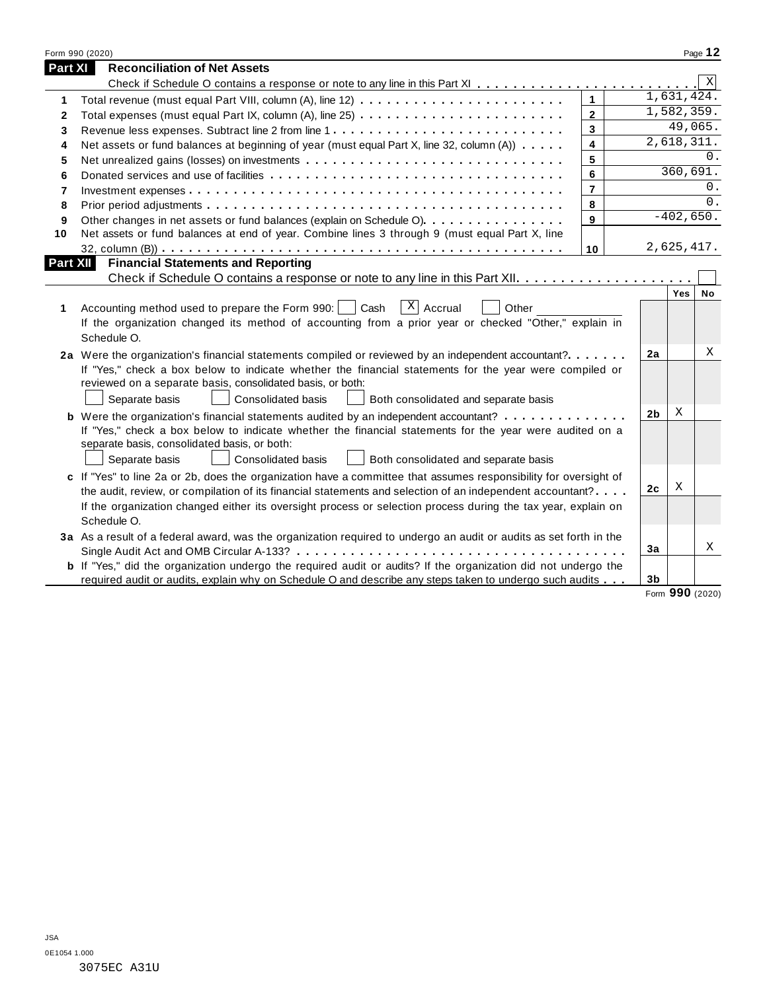|              | Form 990 (2020)                                                                                                       |                |                |                 | Page 12     |
|--------------|-----------------------------------------------------------------------------------------------------------------------|----------------|----------------|-----------------|-------------|
| Part XI      | <b>Reconciliation of Net Assets</b>                                                                                   |                |                |                 |             |
|              |                                                                                                                       |                |                |                 | $\mathbf X$ |
| 1            |                                                                                                                       | $\mathbf{1}$   |                | 1,631,424.      |             |
| $\mathbf{2}$ |                                                                                                                       | $\overline{2}$ |                | 1,582,359.      |             |
| 3            | Revenue less expenses. Subtract line 2 from line 1                                                                    | $\mathbf{3}$   |                | 49,065.         |             |
| 4            | Net assets or fund balances at beginning of year (must equal Part X, line 32, column (A))                             | 4              |                | 2,618,311.      |             |
| 5            |                                                                                                                       | 5              |                |                 | 0.          |
| 6            |                                                                                                                       | 6              |                | 360,691.        |             |
| 7            |                                                                                                                       | $\overline{7}$ |                |                 | 0.          |
| 8            |                                                                                                                       | 8              |                |                 | 0.          |
| 9            | Other changes in net assets or fund balances (explain on Schedule O)                                                  | $\mathbf{9}$   |                | $-402,650.$     |             |
| 10           | Net assets or fund balances at end of year. Combine lines 3 through 9 (must equal Part X, line                        |                |                |                 |             |
|              |                                                                                                                       | 10             |                | 2,625,417.      |             |
| Part XII     | <b>Financial Statements and Reporting</b>                                                                             |                |                |                 |             |
|              |                                                                                                                       |                |                |                 |             |
|              |                                                                                                                       |                |                | Yes             | No          |
| 1            | $X$ Accrual<br>Accounting method used to prepare the Form 990:     Cash<br>Other                                      |                |                |                 |             |
|              | If the organization changed its method of accounting from a prior year or checked "Other," explain in                 |                |                |                 |             |
|              | Schedule O.                                                                                                           |                |                |                 |             |
|              | 2a Were the organization's financial statements compiled or reviewed by an independent accountant?                    |                | 2a             |                 | Χ           |
|              | If "Yes," check a box below to indicate whether the financial statements for the year were compiled or                |                |                |                 |             |
|              | reviewed on a separate basis, consolidated basis, or both:                                                            |                |                |                 |             |
|              | Separate basis<br><b>Consolidated basis</b><br>Both consolidated and separate basis                                   |                |                |                 |             |
|              | <b>b</b> Were the organization's financial statements audited by an independent accountant?                           |                | 2 <sub>b</sub> | X               |             |
|              | If "Yes," check a box below to indicate whether the financial statements for the year were audited on a               |                |                |                 |             |
|              | separate basis, consolidated basis, or both:                                                                          |                |                |                 |             |
|              | Consolidated basis<br>Separate basis<br>Both consolidated and separate basis                                          |                |                |                 |             |
|              | c If "Yes" to line 2a or 2b, does the organization have a committee that assumes responsibility for oversight of      |                |                |                 |             |
|              | the audit, review, or compilation of its financial statements and selection of an independent accountant?             |                | 2c             | X               |             |
|              | If the organization changed either its oversight process or selection process during the tax year, explain on         |                |                |                 |             |
|              | Schedule O.                                                                                                           |                |                |                 |             |
|              | 3a As a result of a federal award, was the organization required to undergo an audit or audits as set forth in the    |                |                |                 |             |
|              |                                                                                                                       |                | 3a             |                 | Χ           |
|              | <b>b</b> If "Yes," did the organization undergo the required audit or audits? If the organization did not undergo the |                |                |                 |             |
|              | required audit or audits, explain why on Schedule O and describe any steps taken to undergo such audits               |                | 3 <sub>b</sub> |                 |             |
|              |                                                                                                                       |                |                | Form 990 (2020) |             |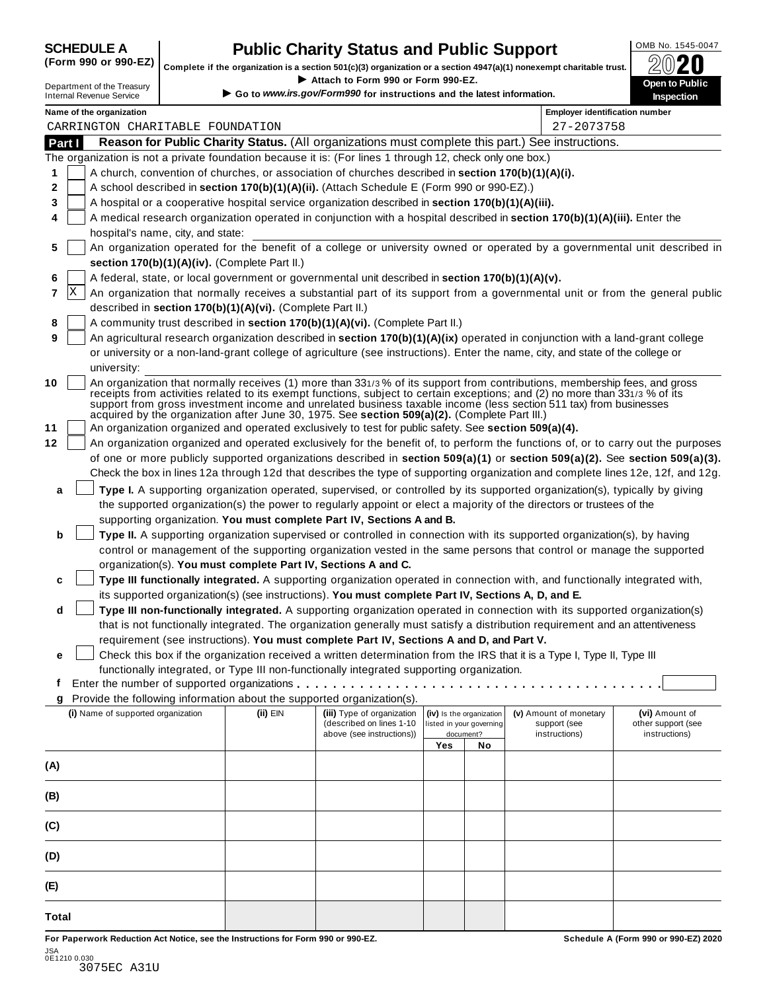# **OMB No. 1545-0047 CHEDULE A Public Charity Status and Public Support**<br>(Form 990 or 990-EZ) complete if the organization is a section 501(c)(3) organization or a section 4947(a)(1) popeyemet charitable trust  $\bigcap_{n=1}^$

(Form 990 or 990-EZ) complete if the organization is a section 501(c)(3) organization or a section 4947(a)(1) nonexempt charitable trust.  $2020$ If your section 4947(a)(1) nonexempt charitable trust.<br>
Department of the Treasury **Department of the Treasury <b>Department** of the Treasury **Department of the Treasury Department of the Treasury <b>Department** Conductions

| Department of the Treasury      |
|---------------------------------|
| <b>Internal Revenue Service</b> |

▶ Go to www.irs.gov/Form990 for instructions and the latest information.

|     |        | Name of the organization                                                                                                                                                                                                                                                                                                                                                                                                                                                        |          |                            |                          |                          | Employer identification number | pecuon             |
|-----|--------|---------------------------------------------------------------------------------------------------------------------------------------------------------------------------------------------------------------------------------------------------------------------------------------------------------------------------------------------------------------------------------------------------------------------------------------------------------------------------------|----------|----------------------------|--------------------------|--------------------------|--------------------------------|--------------------|
|     |        | CARRINGTON CHARITABLE FOUNDATION                                                                                                                                                                                                                                                                                                                                                                                                                                                |          |                            |                          |                          | 27-2073758                     |                    |
|     | Part I | Reason for Public Charity Status. (All organizations must complete this part.) See instructions.                                                                                                                                                                                                                                                                                                                                                                                |          |                            |                          |                          |                                |                    |
|     |        | The organization is not a private foundation because it is: (For lines 1 through 12, check only one box.)                                                                                                                                                                                                                                                                                                                                                                       |          |                            |                          |                          |                                |                    |
| 1   |        | A church, convention of churches, or association of churches described in section 170(b)(1)(A)(i).                                                                                                                                                                                                                                                                                                                                                                              |          |                            |                          |                          |                                |                    |
| 2   |        | A school described in section 170(b)(1)(A)(ii). (Attach Schedule E (Form 990 or 990-EZ).)                                                                                                                                                                                                                                                                                                                                                                                       |          |                            |                          |                          |                                |                    |
| 3   |        | A hospital or a cooperative hospital service organization described in section 170(b)(1)(A)(iii).                                                                                                                                                                                                                                                                                                                                                                               |          |                            |                          |                          |                                |                    |
| 4   |        | A medical research organization operated in conjunction with a hospital described in section 170(b)(1)(A)(iii). Enter the                                                                                                                                                                                                                                                                                                                                                       |          |                            |                          |                          |                                |                    |
|     |        | hospital's name, city, and state:                                                                                                                                                                                                                                                                                                                                                                                                                                               |          |                            |                          |                          |                                |                    |
| 5   |        | An organization operated for the benefit of a college or university owned or operated by a governmental unit described in                                                                                                                                                                                                                                                                                                                                                       |          |                            |                          |                          |                                |                    |
|     |        | section 170(b)(1)(A)(iv). (Complete Part II.)                                                                                                                                                                                                                                                                                                                                                                                                                                   |          |                            |                          |                          |                                |                    |
| 6   |        | A federal, state, or local government or governmental unit described in section 170(b)(1)(A)(v).                                                                                                                                                                                                                                                                                                                                                                                |          |                            |                          |                          |                                |                    |
| 7   | ΙX     | An organization that normally receives a substantial part of its support from a governmental unit or from the general public                                                                                                                                                                                                                                                                                                                                                    |          |                            |                          |                          |                                |                    |
|     |        | described in section 170(b)(1)(A)(vi). (Complete Part II.)                                                                                                                                                                                                                                                                                                                                                                                                                      |          |                            |                          |                          |                                |                    |
| 8   |        | A community trust described in section 170(b)(1)(A)(vi). (Complete Part II.)                                                                                                                                                                                                                                                                                                                                                                                                    |          |                            |                          |                          |                                |                    |
| 9   |        | An agricultural research organization described in section 170(b)(1)(A)(ix) operated in conjunction with a land-grant college                                                                                                                                                                                                                                                                                                                                                   |          |                            |                          |                          |                                |                    |
|     |        | or university or a non-land-grant college of agriculture (see instructions). Enter the name, city, and state of the college or                                                                                                                                                                                                                                                                                                                                                  |          |                            |                          |                          |                                |                    |
|     |        | university:                                                                                                                                                                                                                                                                                                                                                                                                                                                                     |          |                            |                          |                          |                                |                    |
| 10  |        | An organization that normally receives (1) more than 331/3% of its support from contributions, membership fees, and gross<br>receipts from activities related to its exempt functions, subject to certain exceptions; and (2) no more than 331/3 % of its<br>support from gross investment income and unrelated business taxable income (less section 511 tax) from businesses<br>acquired by the organization after June 30, 1975. See section 509(a)(2). (Complete Part III.) |          |                            |                          |                          |                                |                    |
| 11  |        | An organization organized and operated exclusively to test for public safety. See section 509(a)(4).                                                                                                                                                                                                                                                                                                                                                                            |          |                            |                          |                          |                                |                    |
| 12  |        | An organization organized and operated exclusively for the benefit of, to perform the functions of, or to carry out the purposes                                                                                                                                                                                                                                                                                                                                                |          |                            |                          |                          |                                |                    |
|     |        | of one or more publicly supported organizations described in section 509(a)(1) or section 509(a)(2). See section 509(a)(3).                                                                                                                                                                                                                                                                                                                                                     |          |                            |                          |                          |                                |                    |
|     |        | Check the box in lines 12a through 12d that describes the type of supporting organization and complete lines 12e, 12f, and 12g.                                                                                                                                                                                                                                                                                                                                                 |          |                            |                          |                          |                                |                    |
| a   |        | Type I. A supporting organization operated, supervised, or controlled by its supported organization(s), typically by giving                                                                                                                                                                                                                                                                                                                                                     |          |                            |                          |                          |                                |                    |
|     |        | the supported organization(s) the power to regularly appoint or elect a majority of the directors or trustees of the                                                                                                                                                                                                                                                                                                                                                            |          |                            |                          |                          |                                |                    |
|     |        | supporting organization. You must complete Part IV, Sections A and B.                                                                                                                                                                                                                                                                                                                                                                                                           |          |                            |                          |                          |                                |                    |
| b   |        | Type II. A supporting organization supervised or controlled in connection with its supported organization(s), by having                                                                                                                                                                                                                                                                                                                                                         |          |                            |                          |                          |                                |                    |
|     |        | control or management of the supporting organization vested in the same persons that control or manage the supported                                                                                                                                                                                                                                                                                                                                                            |          |                            |                          |                          |                                |                    |
|     |        | organization(s). You must complete Part IV, Sections A and C.                                                                                                                                                                                                                                                                                                                                                                                                                   |          |                            |                          |                          |                                |                    |
| c   |        | Type III functionally integrated. A supporting organization operated in connection with, and functionally integrated with,                                                                                                                                                                                                                                                                                                                                                      |          |                            |                          |                          |                                |                    |
|     |        | its supported organization(s) (see instructions). You must complete Part IV, Sections A, D, and E.                                                                                                                                                                                                                                                                                                                                                                              |          |                            |                          |                          |                                |                    |
| d   |        | Type III non-functionally integrated. A supporting organization operated in connection with its supported organization(s)                                                                                                                                                                                                                                                                                                                                                       |          |                            |                          |                          |                                |                    |
|     |        | that is not functionally integrated. The organization generally must satisfy a distribution requirement and an attentiveness                                                                                                                                                                                                                                                                                                                                                    |          |                            |                          |                          |                                |                    |
|     |        | requirement (see instructions). You must complete Part IV, Sections A and D, and Part V.                                                                                                                                                                                                                                                                                                                                                                                        |          |                            |                          |                          |                                |                    |
| е   |        | Check this box if the organization received a written determination from the IRS that it is a Type I, Type II, Type III                                                                                                                                                                                                                                                                                                                                                         |          |                            |                          |                          |                                |                    |
| Ť   |        | functionally integrated, or Type III non-functionally integrated supporting organization.                                                                                                                                                                                                                                                                                                                                                                                       |          |                            |                          |                          |                                |                    |
| g   |        | Provide the following information about the supported organization(s).                                                                                                                                                                                                                                                                                                                                                                                                          |          |                            |                          |                          |                                |                    |
|     |        | (i) Name of supported organization                                                                                                                                                                                                                                                                                                                                                                                                                                              | (ii) EIN | (iii) Type of organization |                          | (iv) Is the organization | (v) Amount of monetary         | (vi) Amount of     |
|     |        |                                                                                                                                                                                                                                                                                                                                                                                                                                                                                 |          | (described on lines 1-10   | listed in your governing |                          | support (see                   | other support (see |
|     |        |                                                                                                                                                                                                                                                                                                                                                                                                                                                                                 |          | above (see instructions))  | Yes                      | document?<br>No          | instructions)                  | instructions)      |
|     |        |                                                                                                                                                                                                                                                                                                                                                                                                                                                                                 |          |                            |                          |                          |                                |                    |
| (A) |        |                                                                                                                                                                                                                                                                                                                                                                                                                                                                                 |          |                            |                          |                          |                                |                    |
| (B) |        |                                                                                                                                                                                                                                                                                                                                                                                                                                                                                 |          |                            |                          |                          |                                |                    |
| (C) |        |                                                                                                                                                                                                                                                                                                                                                                                                                                                                                 |          |                            |                          |                          |                                |                    |
| (D) |        |                                                                                                                                                                                                                                                                                                                                                                                                                                                                                 |          |                            |                          |                          |                                |                    |
| (E) |        |                                                                                                                                                                                                                                                                                                                                                                                                                                                                                 |          |                            |                          |                          |                                |                    |

**Total**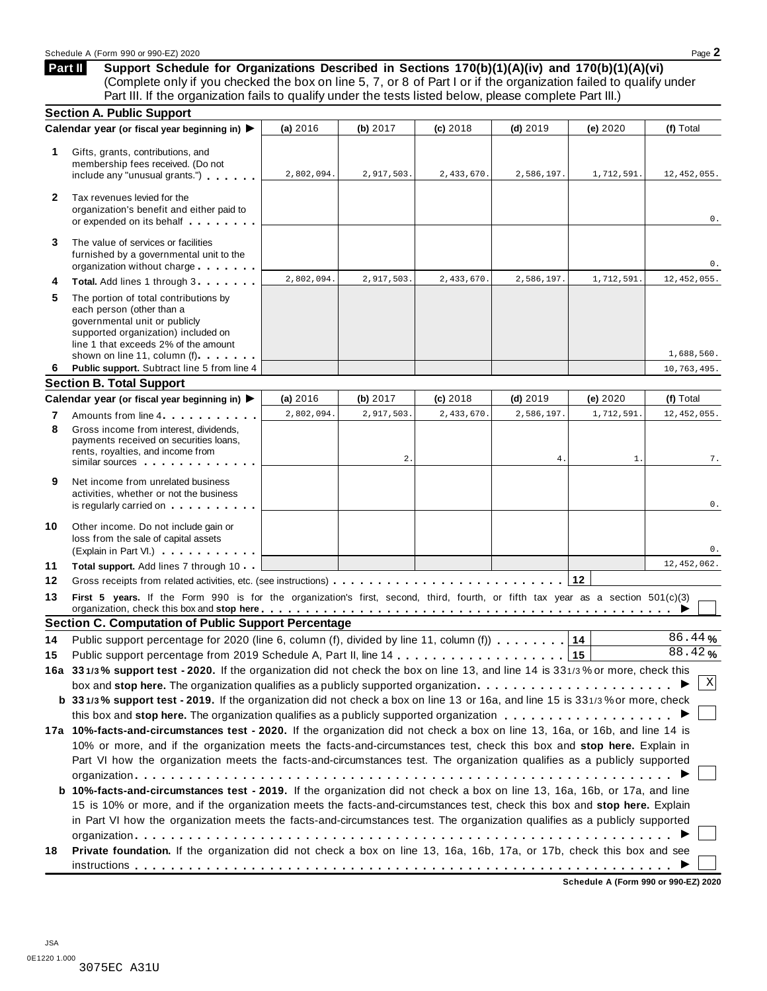**Support Schedule for Organizations Described in Sections 170(b)(1)(A)(iv) and 170(b)(1)(A)(vi)** (Complete only if you checked the box on line 5, 7, or 8 of Part I or if the organization failed to qualify under Part III. If the organization fails to qualify under the tests listed below, please complete Part III.) **Part II**

|              | <b>Section A. Public Support</b>                                                                                                                                                                                                                       |            |                  |            |                 |                     |                     |
|--------------|--------------------------------------------------------------------------------------------------------------------------------------------------------------------------------------------------------------------------------------------------------|------------|------------------|------------|-----------------|---------------------|---------------------|
|              | Calendar year (or fiscal year beginning in) ▶                                                                                                                                                                                                          | (a) 2016   | (b) 2017         | (c) 2018   | $(d)$ 2019      | (e) 2020            | (f) Total           |
| 1            | Gifts, grants, contributions, and<br>membership fees received. (Do not<br>include any "unusual grants.")                                                                                                                                               | 2,802,094. | 2,917,503.       | 2,433,670. | 2,586,197.      | 1,712,591.          | 12, 452, 055.       |
| $\mathbf{2}$ | Tax revenues levied for the<br>organization's benefit and either paid to<br>or expended on its behalf                                                                                                                                                  |            |                  |            |                 |                     | 0.                  |
| 3            | The value of services or facilities<br>furnished by a governmental unit to the<br>organization without charge                                                                                                                                          |            |                  |            |                 |                     | 0.                  |
| 4            | Total. Add lines 1 through 3                                                                                                                                                                                                                           | 2,802,094. | 2,917,503.       | 2,433,670. | 2,586,197.      | 1,712,591.          | 12, 452, 055.       |
| 5            | The portion of total contributions by<br>each person (other than a<br>governmental unit or publicly<br>supported organization) included on<br>line 1 that exceeds 2% of the amount<br>shown on line 11, column (f)                                     |            |                  |            |                 |                     | 1,688,560.          |
| 6            | Public support. Subtract line 5 from line 4                                                                                                                                                                                                            |            |                  |            |                 |                     | 10,763,495.         |
|              | <b>Section B. Total Support</b>                                                                                                                                                                                                                        |            |                  |            |                 |                     |                     |
|              | Calendar year (or fiscal year beginning in) ▶                                                                                                                                                                                                          | (a) 2016   | (b) $2017$       | (c) 2018   | $(d)$ 2019      | (e) 2020            | (f) Total           |
| 7<br>8       | Amounts from line 4 <b>Amounts</b> from line 4<br>Gross income from interest, dividends.<br>payments received on securities loans,<br>rents, royalties, and income from<br>similar sources experiences                                                 | 2,802,094. | 2,917,503.<br>2. | 2,433,670. | 2,586,197<br>4. | 1,712,591.<br>$1$ . | 12, 452, 055.<br>7. |
| 9            | Net income from unrelated business<br>activities, whether or not the business<br>is regularly carried on the control of the set of the set of the set of the set of the set of the set of the s                                                        |            |                  |            |                 |                     | 0.                  |
| 10           | Other income. Do not include gain or<br>loss from the sale of capital assets<br>(Explain in Part VI.)                                                                                                                                                  |            |                  |            |                 |                     | 0.                  |
| 11           | Total support. Add lines 7 through 10                                                                                                                                                                                                                  |            |                  |            |                 |                     | 12, 452, 062.       |
| 12           |                                                                                                                                                                                                                                                        |            |                  |            |                 | 12                  |                     |
| 13           | First 5 years. If the Form 990 is for the organization's first, second, third, fourth, or fifth tax year as a section 501(c)(3)<br>organization, check this box and stop here <u>entistical properties in the context of the state of the state of</u> |            |                  |            |                 |                     |                     |
|              | <b>Section C. Computation of Public Support Percentage</b>                                                                                                                                                                                             |            |                  |            |                 |                     |                     |
| 14           | Public support percentage for 2020 (line 6, column (f), divided by line 11, column (f) $\ldots \ldots$                                                                                                                                                 |            |                  |            |                 |                     | 86.44%<br>88.42%    |
| 15           |                                                                                                                                                                                                                                                        |            |                  |            |                 |                     |                     |
|              | 16a 331/3% support test - 2020. If the organization did not check the box on line 13, and line 14 is 331/3% or more, check this                                                                                                                        |            |                  |            |                 |                     | Χ                   |
|              | box and stop here. The organization qualifies as a publicly supported organization                                                                                                                                                                     |            |                  |            |                 |                     |                     |
|              | b 331/3% support test - 2019. If the organization did not check a box on line 13 or 16a, and line 15 is 331/3% or more, check                                                                                                                          |            |                  |            |                 |                     |                     |
|              |                                                                                                                                                                                                                                                        |            |                  |            |                 |                     |                     |
|              | 17a 10%-facts-and-circumstances test - 2020. If the organization did not check a box on line 13, 16a, or 16b, and line 14 is                                                                                                                           |            |                  |            |                 |                     |                     |
|              | 10% or more, and if the organization meets the facts-and-circumstances test, check this box and stop here. Explain in                                                                                                                                  |            |                  |            |                 |                     |                     |
|              | Part VI how the organization meets the facts-and-circumstances test. The organization qualifies as a publicly supported                                                                                                                                |            |                  |            |                 |                     |                     |
|              |                                                                                                                                                                                                                                                        |            |                  |            |                 |                     |                     |
|              | b 10%-facts-and-circumstances test - 2019. If the organization did not check a box on line 13, 16a, 16b, or 17a, and line                                                                                                                              |            |                  |            |                 |                     |                     |
|              | 15 is 10% or more, and if the organization meets the facts-and-circumstances test, check this box and stop here. Explain<br>in Part VI how the organization meets the facts-and-circumstances test. The organization qualifies as a publicly supported |            |                  |            |                 |                     |                     |
|              |                                                                                                                                                                                                                                                        |            |                  |            |                 |                     |                     |
|              | Private foundation. If the organization did not check a box on line 13, 16a, 16b, 17a, or 17b, check this box and see                                                                                                                                  |            |                  |            |                 |                     |                     |
| 18           |                                                                                                                                                                                                                                                        |            |                  |            |                 |                     |                     |
|              |                                                                                                                                                                                                                                                        |            |                  |            |                 |                     |                     |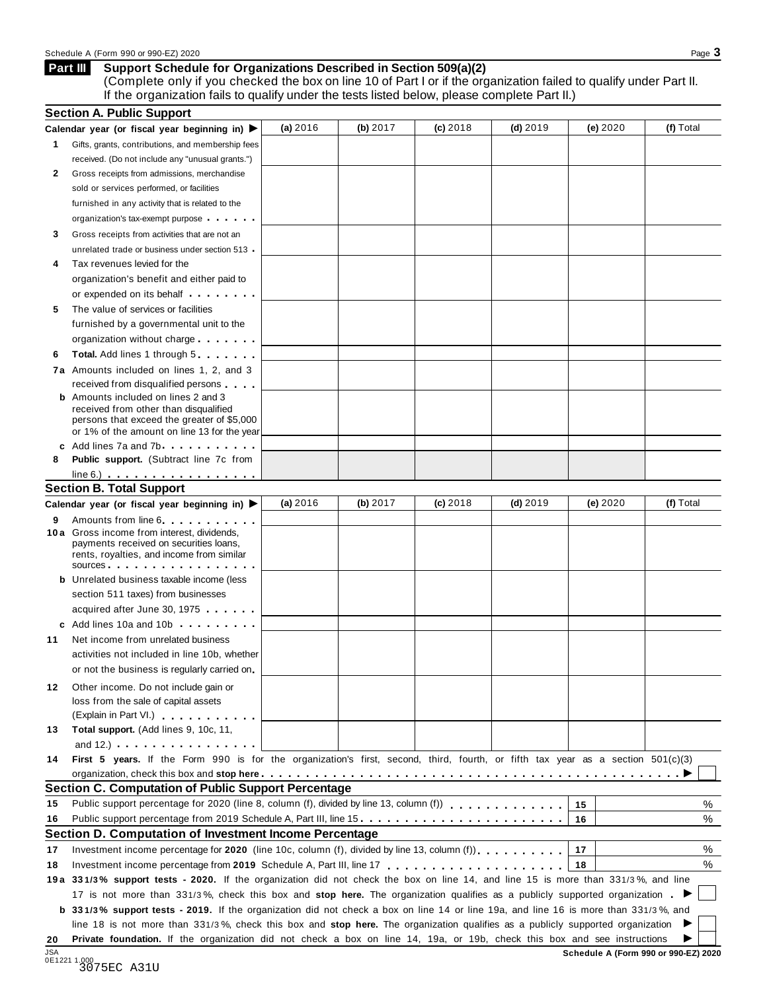### **Support Schedule for Organizations Described in Section 509(a)(2) Part III**

(Complete only if you checked the box on line 10 of Part I or if the organization failed to qualify under Part II. If the organization fails to qualify under the tests listed below, please complete Part II.)

|                            | <b>Section A. Public Support</b>                                                                                                                                                                                                                                                                                                          |          |          |            |            |                                      |           |
|----------------------------|-------------------------------------------------------------------------------------------------------------------------------------------------------------------------------------------------------------------------------------------------------------------------------------------------------------------------------------------|----------|----------|------------|------------|--------------------------------------|-----------|
|                            | Calendar year (or fiscal year beginning in) $\blacktriangleright$                                                                                                                                                                                                                                                                         | (a) 2016 | (b) 2017 | $(c)$ 2018 | $(d)$ 2019 | (e) 2020                             | (f) Total |
| 1                          | Gifts, grants, contributions, and membership fees                                                                                                                                                                                                                                                                                         |          |          |            |            |                                      |           |
|                            | received. (Do not include any "unusual grants.")                                                                                                                                                                                                                                                                                          |          |          |            |            |                                      |           |
| 2                          | Gross receipts from admissions, merchandise                                                                                                                                                                                                                                                                                               |          |          |            |            |                                      |           |
|                            | sold or services performed, or facilities                                                                                                                                                                                                                                                                                                 |          |          |            |            |                                      |           |
|                            | furnished in any activity that is related to the                                                                                                                                                                                                                                                                                          |          |          |            |            |                                      |           |
|                            | organization's tax-exempt purpose                                                                                                                                                                                                                                                                                                         |          |          |            |            |                                      |           |
| 3                          | Gross receipts from activities that are not an                                                                                                                                                                                                                                                                                            |          |          |            |            |                                      |           |
|                            | unrelated trade or business under section 513                                                                                                                                                                                                                                                                                             |          |          |            |            |                                      |           |
| 4                          | Tax revenues levied for the                                                                                                                                                                                                                                                                                                               |          |          |            |            |                                      |           |
|                            | organization's benefit and either paid to                                                                                                                                                                                                                                                                                                 |          |          |            |            |                                      |           |
|                            | or expended on its behalf <b>contained</b> by the set of the set of the set of the set of the set of the set of the set of the set of the set of the set of the set of the set of the set of the set of the set of the set of the s                                                                                                       |          |          |            |            |                                      |           |
| 5                          | The value of services or facilities                                                                                                                                                                                                                                                                                                       |          |          |            |            |                                      |           |
|                            | furnished by a governmental unit to the                                                                                                                                                                                                                                                                                                   |          |          |            |            |                                      |           |
|                            | organization without charge                                                                                                                                                                                                                                                                                                               |          |          |            |            |                                      |           |
| 6                          | <b>Total.</b> Add lines 1 through 5                                                                                                                                                                                                                                                                                                       |          |          |            |            |                                      |           |
|                            | 7a Amounts included on lines 1, 2, and 3                                                                                                                                                                                                                                                                                                  |          |          |            |            |                                      |           |
|                            | received from disqualified persons                                                                                                                                                                                                                                                                                                        |          |          |            |            |                                      |           |
|                            | <b>b</b> Amounts included on lines 2 and 3<br>received from other than disqualified<br>persons that exceed the greater of \$5,000<br>or 1% of the amount on line 13 for the year                                                                                                                                                          |          |          |            |            |                                      |           |
|                            | c Add lines 7a and 7b.                                                                                                                                                                                                                                                                                                                    |          |          |            |            |                                      |           |
| 8                          | <b>Public support.</b> (Subtract line 7c from                                                                                                                                                                                                                                                                                             |          |          |            |            |                                      |           |
|                            | $line 6.)$                                                                                                                                                                                                                                                                                                                                |          |          |            |            |                                      |           |
|                            | <b>Section B. Total Support</b>                                                                                                                                                                                                                                                                                                           |          |          |            |            |                                      |           |
|                            | Calendar year (or fiscal year beginning in)                                                                                                                                                                                                                                                                                               | (a) 2016 | (b) 2017 | $(c)$ 2018 | $(d)$ 2019 | (e) 2020                             | (f) Total |
| 9                          | Amounts from line 6<br>10 a Gross income from interest, dividends,<br>payments received on securities loans,<br>rents, royalties, and income from similar<br>sources                                                                                                                                                                      |          |          |            |            |                                      |           |
|                            | <b>b</b> Unrelated business taxable income (less                                                                                                                                                                                                                                                                                          |          |          |            |            |                                      |           |
|                            | section 511 taxes) from businesses                                                                                                                                                                                                                                                                                                        |          |          |            |            |                                      |           |
|                            | acquired after June 30, 1975                                                                                                                                                                                                                                                                                                              |          |          |            |            |                                      |           |
|                            | c Add lines 10a and 10b                                                                                                                                                                                                                                                                                                                   |          |          |            |            |                                      |           |
| 11                         | Net income from unrelated business                                                                                                                                                                                                                                                                                                        |          |          |            |            |                                      |           |
|                            | activities not included in line 10b, whether                                                                                                                                                                                                                                                                                              |          |          |            |            |                                      |           |
|                            | or not the business is regularly carried on                                                                                                                                                                                                                                                                                               |          |          |            |            |                                      |           |
| 12                         | Other income. Do not include gain or<br>loss from the sale of capital assets<br>(Explain in Part VI.)                                                                                                                                                                                                                                     |          |          |            |            |                                      |           |
| 13                         | Total support. (Add lines 9, 10c, 11,                                                                                                                                                                                                                                                                                                     |          |          |            |            |                                      |           |
|                            | and $12.$ ) $\qquad \qquad$ $\qquad$ $\qquad$ $\qquad$ $\qquad$ $\qquad$ $\qquad$ $\qquad$ $\qquad$ $\qquad$ $\qquad$ $\qquad$ $\qquad$ $\qquad$ $\qquad$ $\qquad$ $\qquad$ $\qquad$ $\qquad$ $\qquad$ $\qquad$ $\qquad$ $\qquad$ $\qquad$ $\qquad$ $\qquad$ $\qquad$ $\qquad$ $\qquad$ $\qquad$ $\qquad$ $\qquad$ $\qquad$ $\qquad$ $\q$ |          |          |            |            |                                      |           |
| 14                         | First 5 years. If the Form 990 is for the organization's first, second, third, fourth, or fifth tax year as a section 501(c)(3)                                                                                                                                                                                                           |          |          |            |            |                                      |           |
|                            |                                                                                                                                                                                                                                                                                                                                           |          |          |            |            |                                      |           |
|                            | <b>Section C. Computation of Public Support Percentage</b>                                                                                                                                                                                                                                                                                |          |          |            |            |                                      |           |
| 15                         | Public support percentage for 2020 (line 8, column (f), divided by line 13, column (f) entitled in the set of the set of the set of the set of the set of the set of the set of the set of the set of the set of the set of th                                                                                                            |          |          |            |            | 15                                   | %         |
| 16                         | Public support percentage from 2019 Schedule A, Part III, line 15.                                                                                                                                                                                                                                                                        |          |          |            |            | 16                                   | %         |
|                            | Section D. Computation of Investment Income Percentage                                                                                                                                                                                                                                                                                    |          |          |            |            |                                      |           |
|                            | Investment income percentage for 2020 (line 10c, column (f), divided by line 13, column (f)).                                                                                                                                                                                                                                             |          |          |            |            | 17                                   | %         |
| 17                         |                                                                                                                                                                                                                                                                                                                                           |          |          |            |            | 18                                   | %         |
| 18                         | 19a 331/3% support tests - 2020. If the organization did not check the box on line 14, and line 15 is more than 331/3%, and line                                                                                                                                                                                                          |          |          |            |            |                                      |           |
|                            |                                                                                                                                                                                                                                                                                                                                           |          |          |            |            |                                      |           |
|                            | 17 is not more than 331/3%, check this box and stop here. The organization qualifies as a publicly supported organization                                                                                                                                                                                                                 |          |          |            |            |                                      |           |
|                            | <b>b</b> 331/3% support tests - 2019. If the organization did not check a box on line 14 or line 19a, and line 16 is more than 331/3%, and                                                                                                                                                                                                |          |          |            |            |                                      |           |
|                            | line 18 is not more than 331/3%, check this box and stop here. The organization qualifies as a publicly supported organization                                                                                                                                                                                                            |          |          |            |            |                                      |           |
| 20<br>$I \subseteq \Delta$ | Private foundation. If the organization did not check a box on line 14, 19a, or 19b, check this box and see instructions                                                                                                                                                                                                                  |          |          |            |            | Schodule A (Form 000 or 000 FZ) 2020 |           |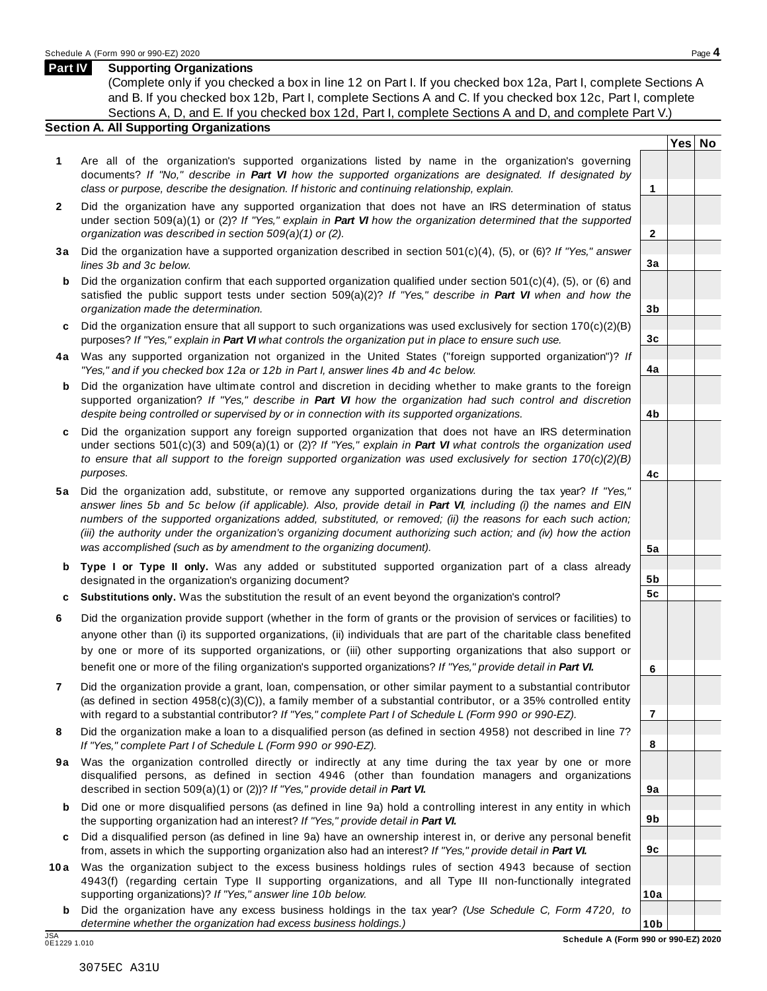### **Part IV Supporting Organizations**

(Complete only if you checked a box in line 12 on Part I. If you checked box 12a, Part I, complete Sections A and B. If you checked box 12b, Part I, complete Sections A and C. If you checked box 12c, Part I, complete Sections A, D, and E. If you checked box 12d, Part I, complete Sections A and D, and complete Part V.)

### **Section A. All Supporting Organizations**

- **1** Are all of the organization's supported organizations listed by name in the organization's governing documents? *If "No," describe in Part VI how the supported organizations are designated. If designated by class or purpose, describe the designation. If historic and continuing relationship, explain.* **1**
- **2** Did the organization have any supported organization that does not have an IRS determination of status under section 509(a)(1) or (2)? *If"Yes," explain in Part VI how the organization determined that the supported organization was described in section 509(a)(1) or (2).*
- **3 a** Did the organization have a supported organization described in section 501(c)(4), (5), or (6)? *If "Yes," answer lines 3b and 3c below.*
- **b** Did the organization confirm that each supported organization qualified under section 501(c)(4), (5), or (6) and | satisfied the public support tests under section 509(a)(2)? *If "Yes," describe in Part VI when and how the organization made the determination.*
- **c** Did the organization ensure that all support to such organizations was used exclusively for section 170(c)(2)(B) purposes? *If"Yes," explain in Part VI what controls the organization put in place to ensure such use.*
- **4 a** Was any supported organization not organized in the United States ("foreign supported organization")? *If "Yes," and if you checked box 12a or 12b in Part I, answer lines 4b and 4c below.*
- **b** Did the organization have ultimate control and discretion in deciding whether to make grants to the foreign | supported organization? *If "Yes," describe in Part VI how the organization had such control and discretion despite being controlled or supervised by or in connection with its supported organizations.*
- **c** Did the organization support any foreign supported organization that does not have an IRS determination under sections 501(c)(3) and 509(a)(1) or (2)? *If "Yes," explain in Part VI what controls the organization used to ensure that all support to the foreign supported organization was used exclusively for section 170(c)(2)(B) purposes.*
- **5 a** Did the organization add, substitute, or remove any supported organizations during the tax year? *If "Yes,"* answer lines 5b and 5c below (if applicable). Also, provide detail in Part VI, including (i) the names and EIN *numbers of the supported organizations added, substituted, or removed; (ii) the reasons for each such action;* (iii) the authority under the organization's organizing document authorizing such action; and (iv) how the action *was accomplished (such as by amendment to the organizing document).*
- **b Type I or Type II only.** Was any added or substituted supported organization part of a class already designated in the organization's organizing document?
- **c Substitutions only.** Was the substitution the result of an event beyond the organization's control?
- **6** Did the organization provide support (whether in the form of grants or the provision of services or facilities) to anyone other than (i) its supported organizations, (ii) individuals that are part of the charitable class benefited by one or more of its supported organizations, or (iii) other supporting organizations that also support or benefit one or more of the filing organization's supported organizations? *If"Yes," provide detail in Part VI.*
- **7** Did the organization provide a grant, loan, compensation, or other similar payment to a substantial contributor (as defined in section 4958(c)(3)(C)), a family member of a substantial contributor, or a 35% controlled entity with regard to a substantial contributor? *If"Yes," complete Part I of Schedule L (Form 990 or 990-EZ).*
- **8** Did the organization make a loan to a disqualified person (as defined in section 4958) not described in line 7? *If "Yes," complete Part I of Schedule L (Form 990 or 990-EZ).*
- **9a** Was the organization controlled directly or indirectly at any time during the tax year by one or more | disqualified persons, as defined in section 4946 (other than foundation managers and organizations described in section 509(a)(1) or (2))? *If"Yes," provide detail in Part VI.*
- **b** Did one or more disqualified persons (as defined in line 9a) hold a controlling interest in any entity in which | the supporting organization had an interest? *If"Yes," provide detail in Part VI.*
- **c** Did a disqualified person (as defined in line 9a) have an ownership interest in, or derive any personal benefit from, assets in which the supporting organization also had an interest? *If"Yes," provide detail in Part VI.*
- **10a** Was the organization subject to the excess business holdings rules of section 4943 because of section | 4943(f) (regarding certain Type II supporting organizations, and all Type III non-functionally integrated supporting organizations)? *If"Yes," answer line 10b below.*
	- **b** Did the organization have any excess business holdings in the tax year? *(Use Schedule C, Form 4720, to determine whether the organization had excess business holdings.)*

**Yes No**

**2**

**3a**

**3b**

**3c**

**4a**

**4b**

**4c**

**5a**

**5b 5c**

**6**

**7**

**8**

**9a**

**9b**

**9c**

**10a**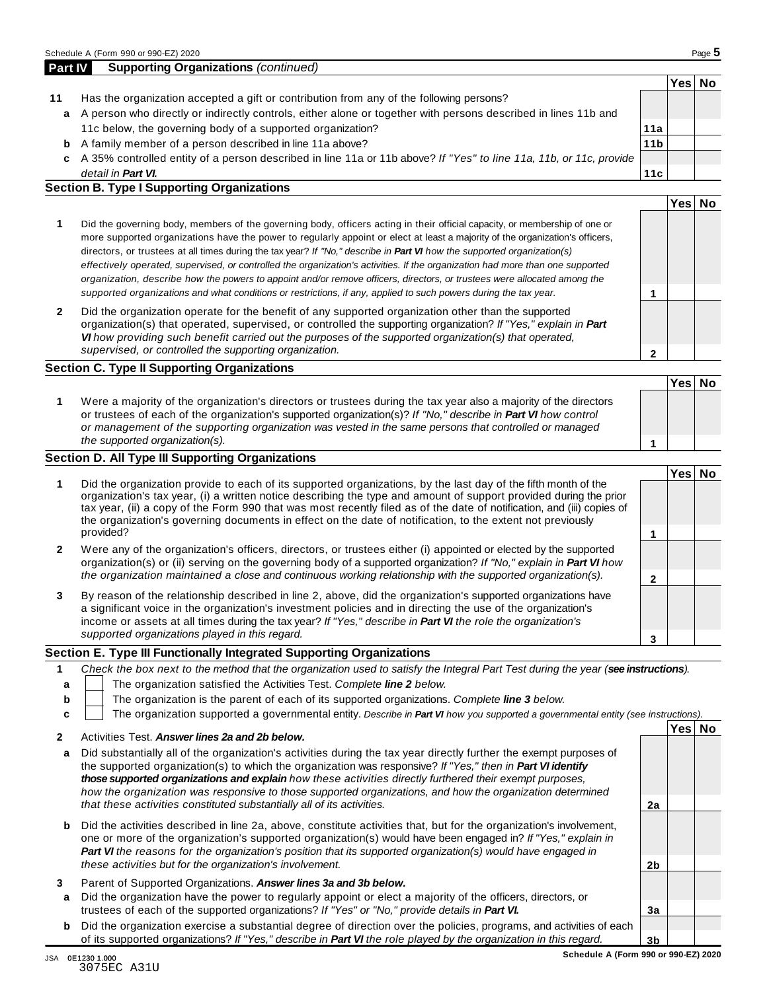|    |                                                                                                                    |                 | Yes∣ | No |
|----|--------------------------------------------------------------------------------------------------------------------|-----------------|------|----|
| 11 | Has the organization accepted a gift or contribution from any of the following persons?                            |                 |      |    |
| a  | A person who directly or indirectly controls, either alone or together with persons described in lines 11b and     |                 |      |    |
|    | 11c below, the governing body of a supported organization?                                                         | 11a             |      |    |
| b  | A family member of a person described in line 11a above?                                                           | 11 <sub>b</sub> |      |    |
| c  | A 35% controlled entity of a person described in line 11a or 11b above? If "Yes" to line 11a, 11b, or 11c, provide |                 |      |    |
|    | detail in <b>Part VI.</b>                                                                                          | 11c             |      |    |
|    | <b>Section B. Type I Supporting Organizations</b>                                                                  |                 |      |    |
|    |                                                                                                                    |                 | ∕es⊦ |    |

| Did the governing body, members of the governing body, officers acting in their official capacity, or membership of one or<br>more supported organizations have the power to regularly appoint or elect at least a majority of the organization's officers,<br>directors, or trustees at all times during the tax year? If "No," describe in Part VI how the supported organization(s)<br>effectively operated, supervised, or controlled the organization's activities. If the organization had more than one supported<br>organization, describe how the powers to appoint and/or remove officers, directors, or trustees were allocated among the |  |  |
|------------------------------------------------------------------------------------------------------------------------------------------------------------------------------------------------------------------------------------------------------------------------------------------------------------------------------------------------------------------------------------------------------------------------------------------------------------------------------------------------------------------------------------------------------------------------------------------------------------------------------------------------------|--|--|
| supported organizations and what conditions or restrictions, if any, applied to such powers during the tax year.                                                                                                                                                                                                                                                                                                                                                                                                                                                                                                                                     |  |  |
| Did the organization operate for the benefit of any supported organization other than the supported                                                                                                                                                                                                                                                                                                                                                                                                                                                                                                                                                  |  |  |

**2** Did the organization operate for the benefit of any supported organization other than the supported organization(s) that operated, supervised, or controlled the supporting organization? *If "Yes," explain in Part VI how providing such benefit carried out the purposes of the supported organization(s) that operated, supervised, or controlled the supporting organization.*

### **Section C. Type II Supporting Organizations**

**1 Yes No 1** Were a majority of the organization's directors or trustees during the tax year also a majority of the directors or trustees of each of the organization's supported organization(s)? *If"No," describe in Part VI how control or management of the supporting organization was vested in the same persons that controlled or managed the supported organization(s).*

### **Section D. All Type III Supporting Organizations**

|   |                                                                                                                                                                                                                                                                                                                                                                                                                                                                                          | Yes⊺ |  |
|---|------------------------------------------------------------------------------------------------------------------------------------------------------------------------------------------------------------------------------------------------------------------------------------------------------------------------------------------------------------------------------------------------------------------------------------------------------------------------------------------|------|--|
|   | Did the organization provide to each of its supported organizations, by the last day of the fifth month of the<br>organization's tax year, (i) a written notice describing the type and amount of support provided during the prior<br>tax year, (ii) a copy of the Form 990 that was most recently filed as of the date of notification, and (iii) copies of<br>the organization's governing documents in effect on the date of notification, to the extent not previously<br>provided? |      |  |
| 2 | Were any of the organization's officers, directors, or trustees either (i) appointed or elected by the supported<br>organization(s) or (ii) serving on the governing body of a supported organization? If "No," explain in Part VI how<br>the organization maintained a close and continuous working relationship with the supported organization(s).                                                                                                                                    |      |  |
| 3 | By reason of the relationship described in line 2, above, did the organization's supported organizations have<br>a significant voice in the organization's investment policies and in directing the use of the organization's<br>income or assets at all times during the tax year? If "Yes," describe in Part VI the role the organization's                                                                                                                                            |      |  |
|   | supported organizations played in this regard.                                                                                                                                                                                                                                                                                                                                                                                                                                           |      |  |

### **Section E. Type III Functionally Integrated Supporting Organizations**

|   | Check the box next to the method that the organization used to satisfy the Integral Part Test during the year (see instructions). |
|---|-----------------------------------------------------------------------------------------------------------------------------------|
|   | The organization satisfied the Activities Test. Complete line 2 below.                                                            |
| b | The organization is the parent of each of its supported organizations. Complete line 3 below.                                     |
|   | The organization supported a governmental entity. Describe in Part VI how you supported a governmental entity (see instructions). |
|   | Yes<br>No                                                                                                                         |

| 2      | Activities Test. Answer lines 2a and 2b below.                                                                                                                                                                                                                                                                                                                                                                                                                                                                                             |                |  |
|--------|--------------------------------------------------------------------------------------------------------------------------------------------------------------------------------------------------------------------------------------------------------------------------------------------------------------------------------------------------------------------------------------------------------------------------------------------------------------------------------------------------------------------------------------------|----------------|--|
| a      | Did substantially all of the organization's activities during the tax year directly further the exempt purposes of<br>the supported organization(s) to which the organization was responsive? If "Yes," then in <b>Part VI identify</b><br>those supported organizations and explain how these activities directly furthered their exempt purposes.<br>how the organization was responsive to those supported organizations, and how the organization determined<br>that these activities constituted substantially all of its activities. | 2a             |  |
| b      | Did the activities described in line 2a, above, constitute activities that, but for the organization's involvement,<br>one or more of the organization's supported organization(s) would have been engaged in? If "Yes," explain in<br><b>Part VI</b> the reasons for the organization's position that its supported organization(s) would have engaged in<br>these activities but for the organization's involvement.                                                                                                                     | 2 <sub>b</sub> |  |
| 3<br>a | Parent of Supported Organizations. Answer lines 3a and 3b below.<br>Did the organization have the power to regularly appoint or elect a majority of the officers, directors, or<br>trustees of each of the supported organizations? If "Yes" or "No," provide details in Part VI.                                                                                                                                                                                                                                                          | Зa             |  |
| b      | Did the organization exercise a substantial degree of direction over the policies, programs, and activities of each<br>of its supported organizations? If "Yes," describe in <b>Part VI</b> the role played by the organization in this regard.                                                                                                                                                                                                                                                                                            | 3 <sub>b</sub> |  |

**2**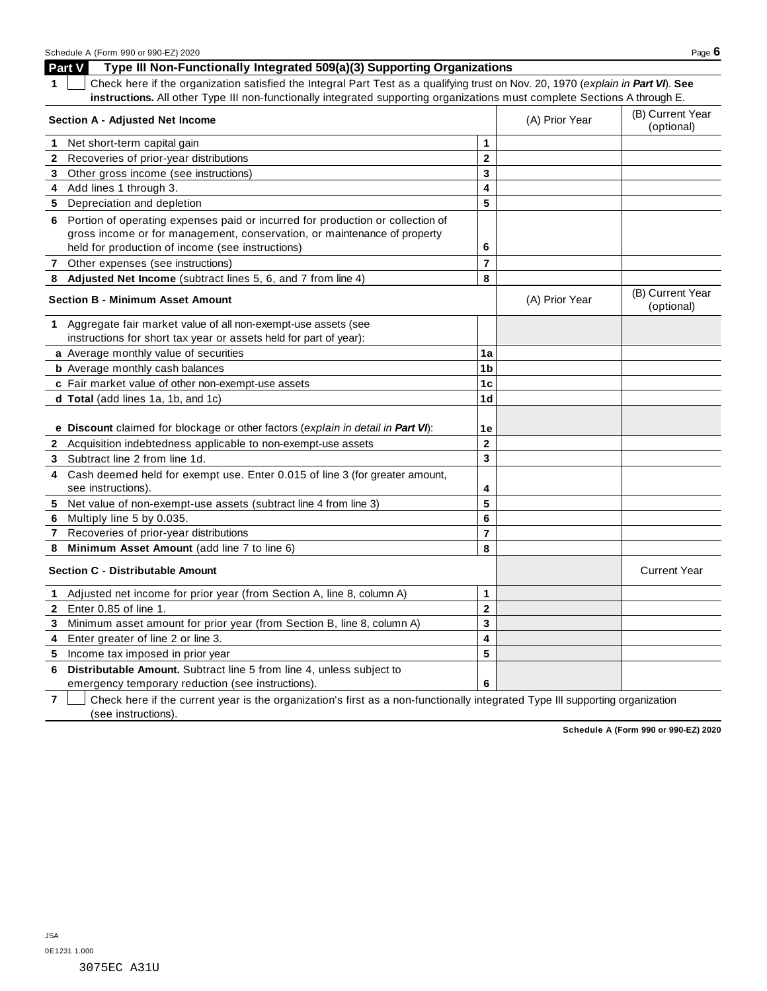**Part V Type III Non-Functionally Integrated 509(a)(3) Supporting Organizations**

|  | 1 Check here if the organization satisfied the Integral Part Test as a qualifying trust on Nov. 20, 1970 (explain in Part VI). See |
|--|------------------------------------------------------------------------------------------------------------------------------------|
|  | instructions. All other Type III non-functionally integrated supporting organizations must complete Sections A through E.          |

| Section A - Adjusted Net Income                                                      |                         | (A) Prior Year | (B) Current Year<br>(optional) |
|--------------------------------------------------------------------------------------|-------------------------|----------------|--------------------------------|
| 1 Net short-term capital gain                                                        | 1                       |                |                                |
| Recoveries of prior-year distributions<br>$\mathbf{2}$                               | $\mathbf{2}$            |                |                                |
| 3 Other gross income (see instructions)                                              | 3                       |                |                                |
| 4 Add lines 1 through 3.                                                             | 4                       |                |                                |
| 5 Depreciation and depletion                                                         | 5                       |                |                                |
| 6 Portion of operating expenses paid or incurred for production or collection of     |                         |                |                                |
| gross income or for management, conservation, or maintenance of property             |                         |                |                                |
| held for production of income (see instructions)                                     | 6                       |                |                                |
| Other expenses (see instructions)<br>7                                               | $\overline{7}$          |                |                                |
| Adjusted Net Income (subtract lines 5, 6, and 7 from line 4)<br>8                    | 8                       |                |                                |
| <b>Section B - Minimum Asset Amount</b>                                              |                         | (A) Prior Year | (B) Current Year<br>(optional) |
| 1 Aggregate fair market value of all non-exempt-use assets (see                      |                         |                |                                |
| instructions for short tax year or assets held for part of year):                    |                         |                |                                |
| a Average monthly value of securities                                                | 1a                      |                |                                |
| <b>b</b> Average monthly cash balances                                               | 1 <sub>b</sub>          |                |                                |
| c Fair market value of other non-exempt-use assets                                   | 1c                      |                |                                |
| d Total (add lines 1a, 1b, and 1c)                                                   | 1 <sub>d</sub>          |                |                                |
|                                                                                      |                         |                |                                |
| e Discount claimed for blockage or other factors (explain in detail in Part VI):     | 1e                      |                |                                |
| Acquisition indebtedness applicable to non-exempt-use assets<br>$\mathbf{2}$         | $\overline{2}$          |                |                                |
| Subtract line 2 from line 1d.<br>3                                                   | 3                       |                |                                |
| Cash deemed held for exempt use. Enter 0.015 of line 3 (for greater amount,          |                         |                |                                |
| see instructions).                                                                   | 4                       |                |                                |
| Net value of non-exempt-use assets (subtract line 4 from line 3)<br>5                | 5                       |                |                                |
| Multiply line 5 by 0.035.<br>6                                                       | 6                       |                |                                |
| Recoveries of prior-year distributions<br>7                                          | $\overline{7}$          |                |                                |
| Minimum Asset Amount (add line 7 to line 6)<br>8                                     | 8                       |                |                                |
| <b>Section C - Distributable Amount</b>                                              |                         |                | <b>Current Year</b>            |
| Adjusted net income for prior year (from Section A, line 8, column A)<br>$\mathbf 1$ | 1                       |                |                                |
| 2 Enter 0.85 of line 1.                                                              | $\overline{\mathbf{2}}$ |                |                                |
| Minimum asset amount for prior year (from Section B, line 8, column A)<br>3          | 3                       |                |                                |
| Enter greater of line 2 or line 3.<br>4                                              | 4                       |                |                                |
| 5 Income tax imposed in prior year                                                   | 5                       |                |                                |
| Distributable Amount. Subtract line 5 from line 4, unless subject to<br>6            |                         |                |                                |
| emergency temporary reduction (see instructions).                                    | 6                       |                |                                |

**7** Check here if the current year is the organization's first as a non-functionally integrated Type III supporting organization (see instructions).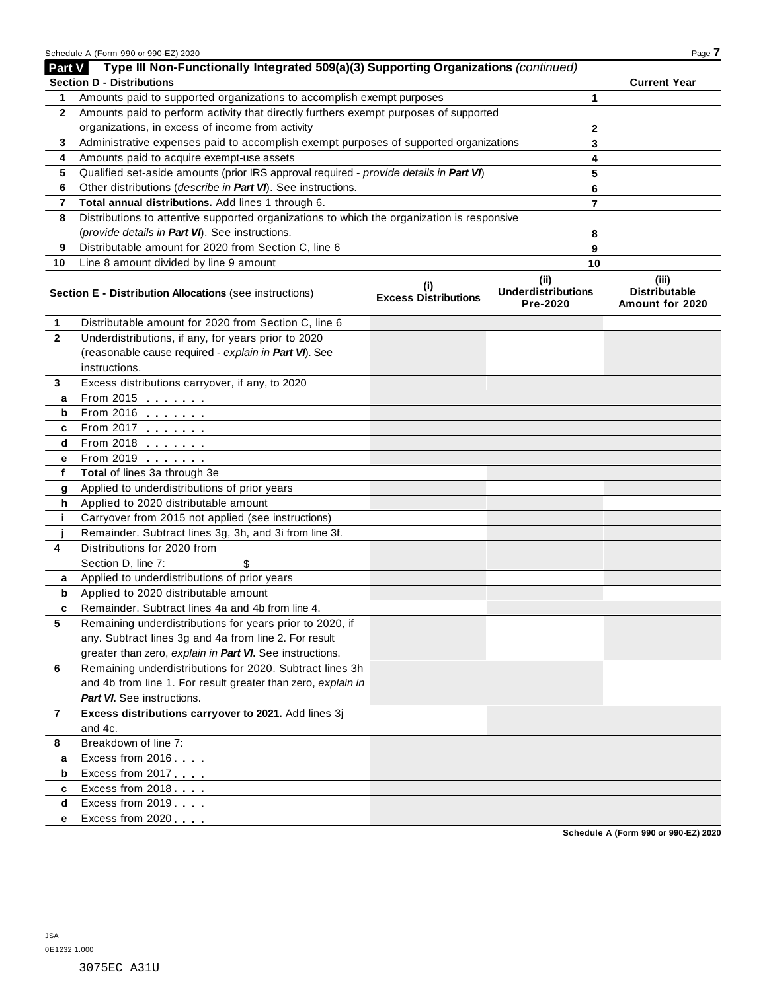|                | Schedule A (Form 990 or 990-EZ) 2020                                                       |                                    |                                       |                | Page 7                                  |
|----------------|--------------------------------------------------------------------------------------------|------------------------------------|---------------------------------------|----------------|-----------------------------------------|
| Part V         | Type III Non-Functionally Integrated 509(a)(3) Supporting Organizations (continued)        |                                    |                                       |                |                                         |
|                | <b>Section D - Distributions</b>                                                           |                                    |                                       |                | <b>Current Year</b>                     |
| 1              | Amounts paid to supported organizations to accomplish exempt purposes                      |                                    |                                       | 1              |                                         |
| $\mathbf{2}$   | Amounts paid to perform activity that directly furthers exempt purposes of supported       |                                    |                                       |                |                                         |
|                | organizations, in excess of income from activity                                           |                                    |                                       | $\mathbf{2}$   |                                         |
| 3              | Administrative expenses paid to accomplish exempt purposes of supported organizations      |                                    |                                       | 3              |                                         |
| 4              | Amounts paid to acquire exempt-use assets                                                  |                                    |                                       | 4              |                                         |
| 5              | Qualified set-aside amounts (prior IRS approval required - provide details in Part VI)     |                                    |                                       | 5              |                                         |
| 6              | Other distributions (describe in Part VI). See instructions.                               |                                    |                                       | 6              |                                         |
| 7              | Total annual distributions. Add lines 1 through 6.                                         |                                    |                                       | $\overline{7}$ |                                         |
| 8              | Distributions to attentive supported organizations to which the organization is responsive |                                    |                                       |                |                                         |
|                | (provide details in Part VI). See instructions.                                            |                                    |                                       | 8              |                                         |
| 9              | Distributable amount for 2020 from Section C, line 6                                       |                                    |                                       | 9              |                                         |
| 10             | Line 8 amount divided by line 9 amount                                                     |                                    |                                       | 10             |                                         |
|                |                                                                                            |                                    | (iii)                                 |                | (iii)                                   |
|                | Section E - Distribution Allocations (see instructions)                                    | (i)<br><b>Excess Distributions</b> | <b>Underdistributions</b><br>Pre-2020 |                | <b>Distributable</b><br>Amount for 2020 |
| 1              | Distributable amount for 2020 from Section C, line 6                                       |                                    |                                       |                |                                         |
| $\mathbf{2}$   | Underdistributions, if any, for years prior to 2020                                        |                                    |                                       |                |                                         |
|                | (reasonable cause required - explain in Part VI). See                                      |                                    |                                       |                |                                         |
|                | instructions.                                                                              |                                    |                                       |                |                                         |
| 3              | Excess distributions carryover, if any, to 2020                                            |                                    |                                       |                |                                         |
| a              | From 2015 $\frac{1}{2}$                                                                    |                                    |                                       |                |                                         |
| b              | From 2016 <b>Figure 1.1</b>                                                                |                                    |                                       |                |                                         |
| c              | From 2017 <b>Figure 1.1 (19)</b>                                                           |                                    |                                       |                |                                         |
| d              | $From 2018$                                                                                |                                    |                                       |                |                                         |
| е              | From 2019                                                                                  |                                    |                                       |                |                                         |
| f              | Total of lines 3a through 3e                                                               |                                    |                                       |                |                                         |
| g              | Applied to underdistributions of prior years                                               |                                    |                                       |                |                                         |
| h              | Applied to 2020 distributable amount                                                       |                                    |                                       |                |                                         |
| j.             | Carryover from 2015 not applied (see instructions)                                         |                                    |                                       |                |                                         |
|                | Remainder. Subtract lines 3g, 3h, and 3i from line 3f.                                     |                                    |                                       |                |                                         |
| 4              | Distributions for 2020 from                                                                |                                    |                                       |                |                                         |
|                | Section D, line 7:<br>\$                                                                   |                                    |                                       |                |                                         |
| a              | Applied to underdistributions of prior years                                               |                                    |                                       |                |                                         |
| b              | Applied to 2020 distributable amount                                                       |                                    |                                       |                |                                         |
| c              | Remainder. Subtract lines 4a and 4b from line 4                                            |                                    |                                       |                |                                         |
| 5              | Remaining underdistributions for years prior to 2020, if                                   |                                    |                                       |                |                                         |
|                | any. Subtract lines 3g and 4a from line 2. For result                                      |                                    |                                       |                |                                         |
|                | greater than zero, explain in Part VI. See instructions.                                   |                                    |                                       |                |                                         |
| 6              | Remaining underdistributions for 2020. Subtract lines 3h                                   |                                    |                                       |                |                                         |
|                | and 4b from line 1. For result greater than zero, explain in                               |                                    |                                       |                |                                         |
|                | Part VI. See instructions.                                                                 |                                    |                                       |                |                                         |
| $\overline{7}$ | Excess distributions carryover to 2021. Add lines 3j                                       |                                    |                                       |                |                                         |
|                | and 4c.                                                                                    |                                    |                                       |                |                                         |
| 8              | Breakdown of line 7:                                                                       |                                    |                                       |                |                                         |
| a              | Excess from 2016                                                                           |                                    |                                       |                |                                         |
| b              | Excess from 2017                                                                           |                                    |                                       |                |                                         |
| c              | Excess from 2018                                                                           |                                    |                                       |                |                                         |
| d              | Excess from 2019                                                                           |                                    |                                       |                |                                         |
| e              | Excess from 2020                                                                           |                                    |                                       |                |                                         |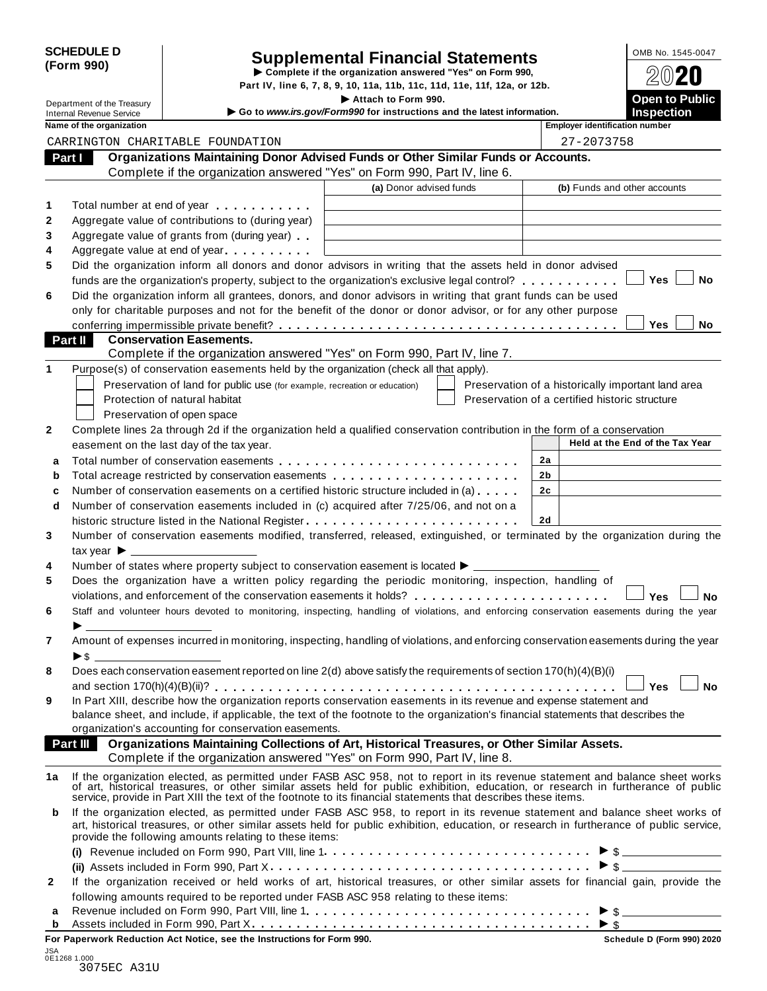|            | <b>SCHEDULE D</b> |
|------------|-------------------|
| (Form 990) |                   |

# SCHEDULE D<br>
Supplemental Financial Statements<br>
Form 990)<br>
Part IV, line 6, 7, 8, 9, 10, 11a, 11b, 11c, 11d, 11e, 11f, 12a, or 12b.<br>
Part IV, line 6, 7, 8, 9, 10, 11a, 11b, 11c, 11d, 11e, 11f, 12a, or 12b.

Department of the Treasury<br>Department of the Treasury<br>Control **Public Inches Example 2014 Control in the Intervet intervention** and the latest information

**1** Department of the Treasury internal Revenue Service internal Revenue Service internal Revenue Service internal Revenue Service internal Revenue Service internal Revenue Service internal Revenue Service internal Revenu

|              | Name of the organization                                                                                                                                                                                                                                 |                         | <b>Employer identification number</b>              |
|--------------|----------------------------------------------------------------------------------------------------------------------------------------------------------------------------------------------------------------------------------------------------------|-------------------------|----------------------------------------------------|
|              | CARRINGTON CHARITABLE FOUNDATION                                                                                                                                                                                                                         |                         | 27-2073758                                         |
|              | Organizations Maintaining Donor Advised Funds or Other Similar Funds or Accounts.<br>Part I                                                                                                                                                              |                         |                                                    |
|              | Complete if the organization answered "Yes" on Form 990, Part IV, line 6.                                                                                                                                                                                |                         |                                                    |
|              |                                                                                                                                                                                                                                                          | (a) Donor advised funds | (b) Funds and other accounts                       |
| 1            | Total number at end of year                                                                                                                                                                                                                              |                         |                                                    |
| 2            | Aggregate value of contributions to (during year)                                                                                                                                                                                                        |                         |                                                    |
| 3            | Aggregate value of grants from (during year)                                                                                                                                                                                                             |                         |                                                    |
| 4            | Aggregate value at end of year                                                                                                                                                                                                                           |                         |                                                    |
| 5            | Did the organization inform all donors and donor advisors in writing that the assets held in donor advised                                                                                                                                               |                         |                                                    |
|              | funds are the organization's property, subject to the organization's exclusive legal control?                                                                                                                                                            |                         | Yes<br>No                                          |
| 6            | Did the organization inform all grantees, donors, and donor advisors in writing that grant funds can be used                                                                                                                                             |                         |                                                    |
|              | only for charitable purposes and not for the benefit of the donor or donor advisor, or for any other purpose                                                                                                                                             |                         |                                                    |
|              |                                                                                                                                                                                                                                                          |                         | Yes<br>No                                          |
|              | Part II<br><b>Conservation Easements.</b>                                                                                                                                                                                                                |                         |                                                    |
|              | Complete if the organization answered "Yes" on Form 990, Part IV, line 7.                                                                                                                                                                                |                         |                                                    |
| 1            | Purpose(s) of conservation easements held by the organization (check all that apply).                                                                                                                                                                    |                         |                                                    |
|              | Preservation of land for public use (for example, recreation or education)                                                                                                                                                                               |                         | Preservation of a historically important land area |
|              | Protection of natural habitat                                                                                                                                                                                                                            |                         | Preservation of a certified historic structure     |
|              | Preservation of open space                                                                                                                                                                                                                               |                         |                                                    |
| $\mathbf 2$  | Complete lines 2a through 2d if the organization held a qualified conservation contribution in the form of a conservation                                                                                                                                |                         |                                                    |
|              | easement on the last day of the tax year.                                                                                                                                                                                                                |                         | Held at the End of the Tax Year                    |
|              |                                                                                                                                                                                                                                                          |                         | 2a                                                 |
| a            | Total acreage restricted by conservation easements                                                                                                                                                                                                       |                         | 2b                                                 |
| b            | Number of conservation easements on a certified historic structure included in (a)                                                                                                                                                                       |                         | 2 <sub>c</sub>                                     |
| c<br>d       | Number of conservation easements included in (c) acquired after 7/25/06, and not on a                                                                                                                                                                    |                         |                                                    |
|              |                                                                                                                                                                                                                                                          |                         | 2d                                                 |
| 3            | historic structure listed in the National Register<br>Number of conservation easements modified, transferred, released, extinguished, or terminated by the organization during the                                                                       |                         |                                                    |
|              |                                                                                                                                                                                                                                                          |                         |                                                    |
|              | tax year $\blacktriangleright$ _____                                                                                                                                                                                                                     |                         |                                                    |
| 4            | Number of states where property subject to conservation easement is located ▶ ____                                                                                                                                                                       |                         |                                                    |
| 5            | Does the organization have a written policy regarding the periodic monitoring, inspection, handling of                                                                                                                                                   |                         |                                                    |
|              |                                                                                                                                                                                                                                                          |                         | Yes<br>No                                          |
| 6            | Staff and volunteer hours devoted to monitoring, inspecting, handling of violations, and enforcing conservation easements during the year                                                                                                                |                         |                                                    |
|              |                                                                                                                                                                                                                                                          |                         |                                                    |
| 7            | Amount of expenses incurred in monitoring, inspecting, handling of violations, and enforcing conservation easements during the year                                                                                                                      |                         |                                                    |
|              | $\blacktriangleright$ s                                                                                                                                                                                                                                  |                         |                                                    |
| 8            | Does each conservation easement reported on line 2(d) above satisfy the requirements of section 170(h)(4)(B)(i)                                                                                                                                          |                         |                                                    |
|              |                                                                                                                                                                                                                                                          |                         |                                                    |
| 9            | In Part XIII, describe how the organization reports conservation easements in its revenue and expense statement and<br>balance sheet, and include, if applicable, the text of the footnote to the organization's financial statements that describes the |                         |                                                    |
|              | organization's accounting for conservation easements.                                                                                                                                                                                                    |                         |                                                    |
|              | Part III<br>Organizations Maintaining Collections of Art, Historical Treasures, or Other Similar Assets.                                                                                                                                                 |                         |                                                    |
|              | Complete if the organization answered "Yes" on Form 990, Part IV, line 8.                                                                                                                                                                                |                         |                                                    |
| 1a           |                                                                                                                                                                                                                                                          |                         |                                                    |
|              | If the organization elected, as permitted under FASB ASC 958, not to report in its revenue statement and balance sheet works<br>of art, historical treasures, or other similar assets held for public exhibition, education, or r                        |                         |                                                    |
|              | service, provide in Part XIII the text of the footnote to its financial statements that describes these items.                                                                                                                                           |                         |                                                    |
| b            | If the organization elected, as permitted under FASB ASC 958, to report in its revenue statement and balance sheet works of                                                                                                                              |                         |                                                    |
|              | art, historical treasures, or other similar assets held for public exhibition, education, or research in furtherance of public service,                                                                                                                  |                         |                                                    |
|              | provide the following amounts relating to these items:                                                                                                                                                                                                   |                         |                                                    |
|              |                                                                                                                                                                                                                                                          |                         | $\triangleright$ \$                                |
|              |                                                                                                                                                                                                                                                          |                         | $>$ \$                                             |
| $\mathbf{2}$ | If the organization received or held works of art, historical treasures, or other similar assets for financial gain, provide the                                                                                                                         |                         |                                                    |
|              | following amounts required to be reported under FASB ASC 958 relating to these items:                                                                                                                                                                    |                         |                                                    |
| a            |                                                                                                                                                                                                                                                          |                         |                                                    |
| b            |                                                                                                                                                                                                                                                          |                         |                                                    |

**For Paperwork Reduction Act Notice, see the Instructions for Form 990. Schedule D (Form 990) 2020**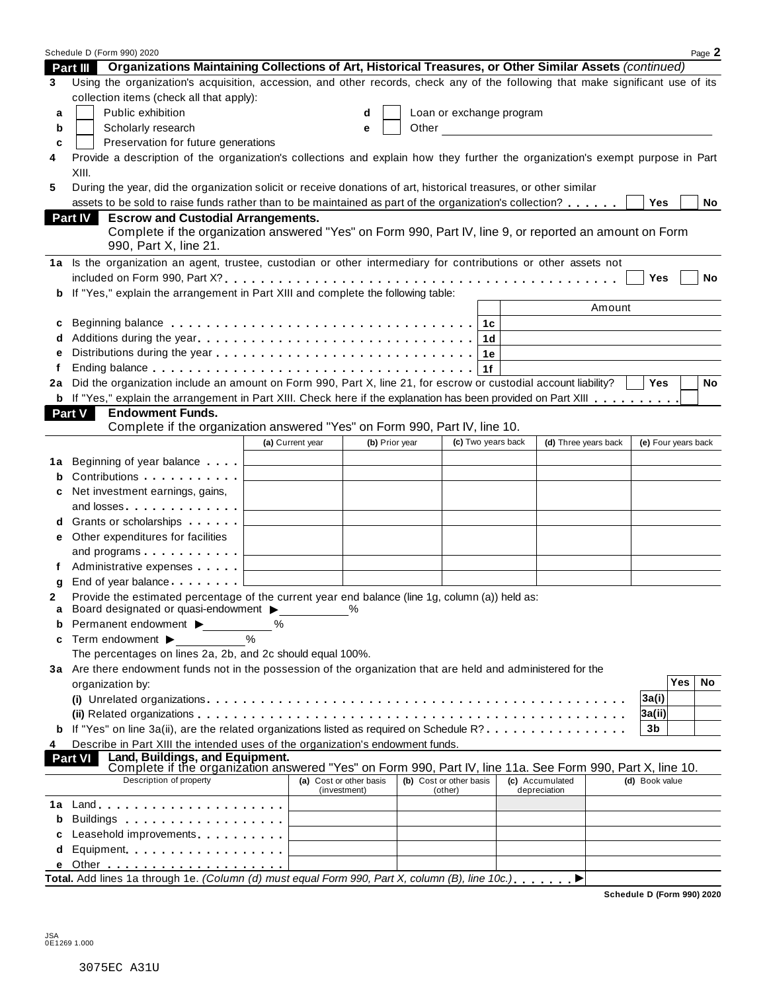|        | Schedule D (Form 990) 2020                                                                                                                                                                                                         |                                              |                |                         |                    |    |                                                                                                                                                                                                                                      |                      |                     |     | Page 2    |
|--------|------------------------------------------------------------------------------------------------------------------------------------------------------------------------------------------------------------------------------------|----------------------------------------------|----------------|-------------------------|--------------------|----|--------------------------------------------------------------------------------------------------------------------------------------------------------------------------------------------------------------------------------------|----------------------|---------------------|-----|-----------|
|        | Part III Organizations Maintaining Collections of Art, Historical Treasures, or Other Similar Assets (continued)                                                                                                                   |                                              |                |                         |                    |    |                                                                                                                                                                                                                                      |                      |                     |     |           |
| 3      | Using the organization's acquisition, accession, and other records, check any of the following that make significant use of its                                                                                                    |                                              |                |                         |                    |    |                                                                                                                                                                                                                                      |                      |                     |     |           |
|        | collection items (check all that apply):                                                                                                                                                                                           |                                              |                |                         |                    |    |                                                                                                                                                                                                                                      |                      |                     |     |           |
| a      | Public exhibition                                                                                                                                                                                                                  |                                              | d              |                         |                    |    | Loan or exchange program                                                                                                                                                                                                             |                      |                     |     |           |
| b      | Scholarly research                                                                                                                                                                                                                 |                                              | e              |                         |                    |    | Other <u>in the contract of the contract of the contract of the contract of the contract of the contract of the contract of the contract of the contract of the contract of the contract of the contract of the contract of the </u> |                      |                     |     |           |
| c      | Preservation for future generations                                                                                                                                                                                                |                                              |                |                         |                    |    |                                                                                                                                                                                                                                      |                      |                     |     |           |
| 4      | Provide a description of the organization's collections and explain how they further the organization's exempt purpose in Part                                                                                                     |                                              |                |                         |                    |    |                                                                                                                                                                                                                                      |                      |                     |     |           |
|        | XIII.                                                                                                                                                                                                                              |                                              |                |                         |                    |    |                                                                                                                                                                                                                                      |                      |                     |     |           |
| 5      | During the year, did the organization solicit or receive donations of art, historical treasures, or other similar                                                                                                                  |                                              |                |                         |                    |    |                                                                                                                                                                                                                                      |                      |                     |     |           |
|        | assets to be sold to raise funds rather than to be maintained as part of the organization's collection?                                                                                                                            |                                              |                |                         |                    |    |                                                                                                                                                                                                                                      |                      | Yes                 |     | No        |
|        | <b>Escrow and Custodial Arrangements.</b><br><b>Part IV</b>                                                                                                                                                                        |                                              |                |                         |                    |    |                                                                                                                                                                                                                                      |                      |                     |     |           |
|        | Complete if the organization answered "Yes" on Form 990, Part IV, line 9, or reported an amount on Form                                                                                                                            |                                              |                |                         |                    |    |                                                                                                                                                                                                                                      |                      |                     |     |           |
|        | 990, Part X, line 21.                                                                                                                                                                                                              |                                              |                |                         |                    |    |                                                                                                                                                                                                                                      |                      |                     |     |           |
|        | 1a Is the organization an agent, trustee, custodian or other intermediary for contributions or other assets not                                                                                                                    |                                              |                |                         |                    |    |                                                                                                                                                                                                                                      |                      |                     |     |           |
|        |                                                                                                                                                                                                                                    |                                              |                |                         |                    |    |                                                                                                                                                                                                                                      |                      | Yes                 |     | No        |
| b      | If "Yes," explain the arrangement in Part XIII and complete the following table:                                                                                                                                                   |                                              |                |                         |                    |    |                                                                                                                                                                                                                                      |                      |                     |     |           |
|        |                                                                                                                                                                                                                                    |                                              |                |                         |                    |    |                                                                                                                                                                                                                                      | Amount               |                     |     |           |
| c      |                                                                                                                                                                                                                                    |                                              |                |                         |                    |    |                                                                                                                                                                                                                                      |                      |                     |     |           |
|        |                                                                                                                                                                                                                                    |                                              |                |                         |                    |    |                                                                                                                                                                                                                                      |                      |                     |     |           |
|        |                                                                                                                                                                                                                                    |                                              |                |                         |                    | 1e |                                                                                                                                                                                                                                      |                      |                     |     |           |
|        |                                                                                                                                                                                                                                    |                                              |                |                         |                    | 1f |                                                                                                                                                                                                                                      |                      |                     |     |           |
| 2a     | Did the organization include an amount on Form 990, Part X, line 21, for escrow or custodial account liability?                                                                                                                    |                                              |                |                         |                    |    |                                                                                                                                                                                                                                      |                      | <b>Yes</b>          |     | <b>No</b> |
|        | <b>b</b> If "Yes," explain the arrangement in Part XIII. Check here if the explanation has been provided on Part XIII                                                                                                              |                                              |                |                         |                    |    |                                                                                                                                                                                                                                      |                      |                     |     |           |
|        | <b>Endowment Funds.</b><br><b>Part V</b>                                                                                                                                                                                           |                                              |                |                         |                    |    |                                                                                                                                                                                                                                      |                      |                     |     |           |
|        | Complete if the organization answered "Yes" on Form 990, Part IV, line 10.                                                                                                                                                         |                                              |                |                         |                    |    |                                                                                                                                                                                                                                      |                      |                     |     |           |
|        |                                                                                                                                                                                                                                    | (a) Current year                             | (b) Prior year |                         | (c) Two years back |    |                                                                                                                                                                                                                                      | (d) Three years back | (e) Four years back |     |           |
| 1а     | Beginning of year balance                                                                                                                                                                                                          |                                              |                |                         |                    |    |                                                                                                                                                                                                                                      |                      |                     |     |           |
| b      | Contributions                                                                                                                                                                                                                      |                                              |                |                         |                    |    |                                                                                                                                                                                                                                      |                      |                     |     |           |
|        | Net investment earnings, gains,                                                                                                                                                                                                    |                                              |                |                         |                    |    |                                                                                                                                                                                                                                      |                      |                     |     |           |
| c      |                                                                                                                                                                                                                                    |                                              |                |                         |                    |    |                                                                                                                                                                                                                                      |                      |                     |     |           |
|        | and losses                                                                                                                                                                                                                         |                                              |                |                         |                    |    |                                                                                                                                                                                                                                      |                      |                     |     |           |
| d      | Grants or scholarships                                                                                                                                                                                                             |                                              |                |                         |                    |    |                                                                                                                                                                                                                                      |                      |                     |     |           |
| е      | Other expenditures for facilities                                                                                                                                                                                                  |                                              |                |                         |                    |    |                                                                                                                                                                                                                                      |                      |                     |     |           |
|        | and programs                                                                                                                                                                                                                       | the control of the control of the control of |                |                         |                    |    |                                                                                                                                                                                                                                      |                      |                     |     |           |
|        | Administrative expenses                                                                                                                                                                                                            |                                              |                |                         |                    |    |                                                                                                                                                                                                                                      |                      |                     |     |           |
| g      | End of year balance expansion of the latest                                                                                                                                                                                        |                                              |                |                         |                    |    |                                                                                                                                                                                                                                      |                      |                     |     |           |
| 2<br>a | Provide the estimated percentage of the current year end balance (line 1g, column (a)) held as:<br>Board designated or quasi-endowment >                                                                                           |                                              | $\frac{0}{0}$  |                         |                    |    |                                                                                                                                                                                                                                      |                      |                     |     |           |
| b      | Permanent endowment ▶                                                                                                                                                                                                              | ℅                                            |                |                         |                    |    |                                                                                                                                                                                                                                      |                      |                     |     |           |
| c      | Term endowment ▶                                                                                                                                                                                                                   | $\frac{0}{0}$                                |                |                         |                    |    |                                                                                                                                                                                                                                      |                      |                     |     |           |
|        | The percentages on lines 2a, 2b, and 2c should equal 100%.                                                                                                                                                                         |                                              |                |                         |                    |    |                                                                                                                                                                                                                                      |                      |                     |     |           |
|        | 3a Are there endowment funds not in the possession of the organization that are held and administered for the                                                                                                                      |                                              |                |                         |                    |    |                                                                                                                                                                                                                                      |                      |                     |     |           |
|        | organization by:                                                                                                                                                                                                                   |                                              |                |                         |                    |    |                                                                                                                                                                                                                                      |                      |                     | Yes | No        |
|        |                                                                                                                                                                                                                                    |                                              |                |                         |                    |    |                                                                                                                                                                                                                                      |                      | 3a(i)               |     |           |
|        |                                                                                                                                                                                                                                    |                                              |                |                         |                    |    |                                                                                                                                                                                                                                      |                      | 3a(ii)              |     |           |
|        | If "Yes" on line 3a(ii), are the related organizations listed as required on Schedule R?                                                                                                                                           |                                              |                |                         |                    |    |                                                                                                                                                                                                                                      |                      | 3 <sub>b</sub>      |     |           |
| 4      | Describe in Part XIII the intended uses of the organization's endowment funds.                                                                                                                                                     |                                              |                |                         |                    |    |                                                                                                                                                                                                                                      |                      |                     |     |           |
|        | Land, Buildings, and Equipment.<br><b>Part VI</b>                                                                                                                                                                                  |                                              |                |                         |                    |    |                                                                                                                                                                                                                                      |                      |                     |     |           |
|        | Complete if the organization answered "Yes" on Form 990, Part IV, line 11a. See Form 990, Part X, line 10.                                                                                                                         |                                              |                |                         |                    |    |                                                                                                                                                                                                                                      |                      |                     |     |           |
|        | Description of property                                                                                                                                                                                                            | (a) Cost or other basis                      |                | (b) Cost or other basis |                    |    | (c) Accumulated                                                                                                                                                                                                                      |                      | (d) Book value      |     |           |
| 1a     | $Land.$                                                                                                                                                                                                                            | (investment)                                 |                |                         | (other)            |    | depreciation                                                                                                                                                                                                                         |                      |                     |     |           |
|        | Buildings <b>Example 20</b> and the set of the set of the set of the set of the set of the set of the set of the set of the set of the set of the set of the set of the set of the set of the set of the set of the set of the set |                                              |                |                         |                    |    |                                                                                                                                                                                                                                      |                      |                     |     |           |
| b      |                                                                                                                                                                                                                                    |                                              |                |                         |                    |    |                                                                                                                                                                                                                                      |                      |                     |     |           |
| c      | Leasehold improvements entitled and the set of the set of the set of the set of the set of the set of the set o                                                                                                                    |                                              |                |                         |                    |    |                                                                                                                                                                                                                                      |                      |                     |     |           |
| d      | Equipment                                                                                                                                                                                                                          |                                              |                |                         |                    |    |                                                                                                                                                                                                                                      |                      |                     |     |           |
| е      | Total. Add lines 1a through 1e. (Column (d) must equal Form 990, Part X, column (B), line 10c.).                                                                                                                                   |                                              |                |                         |                    |    |                                                                                                                                                                                                                                      |                      |                     |     |           |
|        |                                                                                                                                                                                                                                    |                                              |                |                         |                    |    |                                                                                                                                                                                                                                      | ▶                    |                     |     |           |

**Schedule D (Form 990) 2020**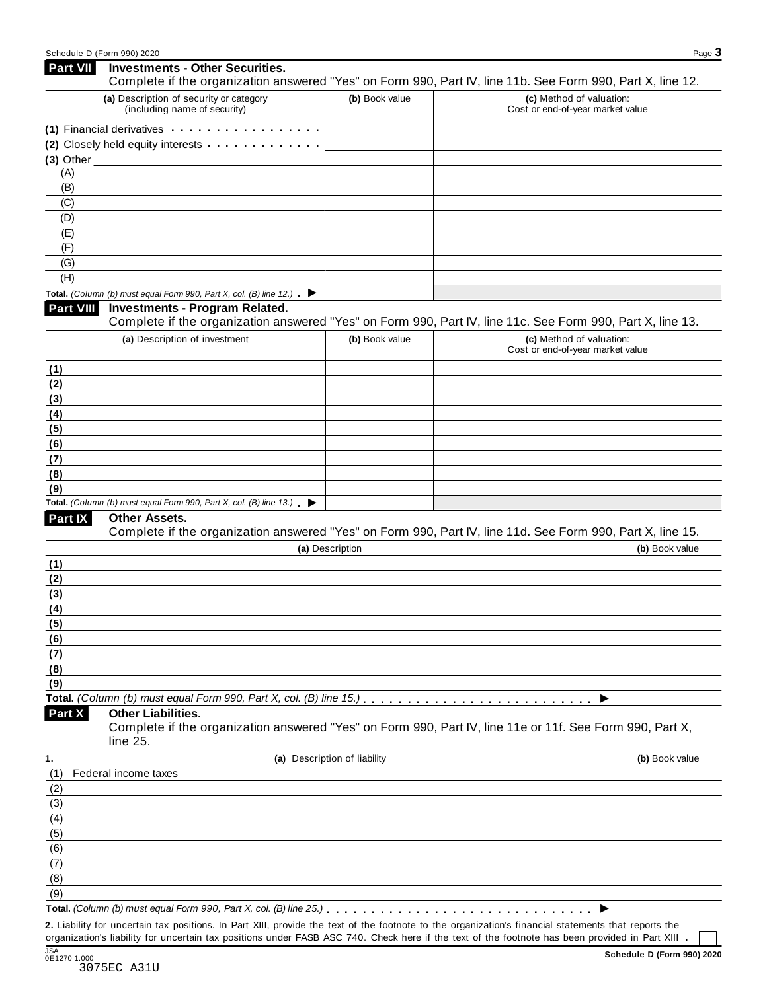| <b>Part VII</b>                           | <b>Investments - Other Securities.</b><br>Complete if the organization answered "Yes" on Form 990, Part IV, line 11b. See Form 990, Part X, line 12. |                              |                                                              |                |
|-------------------------------------------|------------------------------------------------------------------------------------------------------------------------------------------------------|------------------------------|--------------------------------------------------------------|----------------|
|                                           | (a) Description of security or category                                                                                                              | (b) Book value               | (c) Method of valuation:                                     |                |
|                                           | (including name of security)                                                                                                                         |                              | Cost or end-of-year market value                             |                |
|                                           | (1) Financial derivatives                                                                                                                            |                              |                                                              |                |
|                                           | (2) Closely held equity interests                                                                                                                    |                              |                                                              |                |
|                                           | $(3)$ Other                                                                                                                                          |                              |                                                              |                |
| (A)                                       |                                                                                                                                                      |                              |                                                              |                |
| (B)                                       |                                                                                                                                                      |                              |                                                              |                |
| (C)                                       |                                                                                                                                                      |                              |                                                              |                |
| (D)<br>(E)                                |                                                                                                                                                      |                              |                                                              |                |
| (F)                                       |                                                                                                                                                      |                              |                                                              |                |
| (G)                                       |                                                                                                                                                      |                              |                                                              |                |
| (H)                                       |                                                                                                                                                      |                              |                                                              |                |
|                                           | Total. (Column (b) must equal Form 990, Part X, col. (B) line 12.) $\blacktriangleright$                                                             |                              |                                                              |                |
| <b>Part VIII</b>                          | <b>Investments - Program Related.</b>                                                                                                                |                              |                                                              |                |
|                                           | Complete if the organization answered "Yes" on Form 990, Part IV, line 11c. See Form 990, Part X, line 13.                                           |                              |                                                              |                |
|                                           | (a) Description of investment                                                                                                                        | (b) Book value               | (c) Method of valuation:<br>Cost or end-of-year market value |                |
| (1)                                       |                                                                                                                                                      |                              |                                                              |                |
| (2)                                       |                                                                                                                                                      |                              |                                                              |                |
| (3)                                       |                                                                                                                                                      |                              |                                                              |                |
| (4)                                       |                                                                                                                                                      |                              |                                                              |                |
| (5)                                       |                                                                                                                                                      |                              |                                                              |                |
| (6)                                       |                                                                                                                                                      |                              |                                                              |                |
| (7)                                       |                                                                                                                                                      |                              |                                                              |                |
| (8)                                       |                                                                                                                                                      |                              |                                                              |                |
| (9)                                       |                                                                                                                                                      |                              |                                                              |                |
|                                           | Total. (Column (b) must equal Form 990, Part X, col. (B) line $13.$ $\blacktriangleright$                                                            |                              |                                                              |                |
| Part IX                                   | Other Assets.<br>Complete if the organization answered "Yes" on Form 990, Part IV, line 11d. See Form 990, Part X, line 15.                          |                              |                                                              |                |
|                                           |                                                                                                                                                      | (a) Description              |                                                              | (b) Book value |
| (1)                                       |                                                                                                                                                      |                              |                                                              |                |
| (2)                                       |                                                                                                                                                      |                              |                                                              |                |
| (3)                                       |                                                                                                                                                      |                              |                                                              |                |
| (4)                                       |                                                                                                                                                      |                              |                                                              |                |
| (5)                                       |                                                                                                                                                      |                              |                                                              |                |
| (6)                                       |                                                                                                                                                      |                              |                                                              |                |
| (7)                                       |                                                                                                                                                      |                              |                                                              |                |
| (8)                                       |                                                                                                                                                      |                              |                                                              |                |
| (9)                                       |                                                                                                                                                      |                              |                                                              |                |
|                                           | Total. (Column (b) must equal Form 990, Part X, col. (B) line 15.)                                                                                   |                              |                                                              |                |
|                                           | <b>Other Liabilities.</b>                                                                                                                            |                              |                                                              |                |
|                                           | Complete if the organization answered "Yes" on Form 990, Part IV, line 11e or 11f. See Form 990, Part X,                                             |                              |                                                              |                |
|                                           | line 25.                                                                                                                                             | (a) Description of liability |                                                              | (b) Book value |
|                                           | Federal income taxes                                                                                                                                 |                              |                                                              |                |
|                                           |                                                                                                                                                      |                              |                                                              |                |
|                                           |                                                                                                                                                      |                              |                                                              |                |
|                                           |                                                                                                                                                      |                              |                                                              |                |
|                                           |                                                                                                                                                      |                              |                                                              |                |
| Part X<br>(1)<br>(2)<br>(3)<br>(4)<br>(5) |                                                                                                                                                      |                              |                                                              |                |
|                                           |                                                                                                                                                      |                              |                                                              |                |
| (6)<br>(7)<br>(8)                         |                                                                                                                                                      |                              |                                                              |                |
| (9)                                       |                                                                                                                                                      |                              |                                                              |                |

**2.** Liability for uncertain tax positions. In Part XIII, provide the text of the footnote to the organization's financial statements that reports the organization's liability for uncertain tax positions under FASB ASC 740. Check here if the text of the footnote has been provided in Part XIII .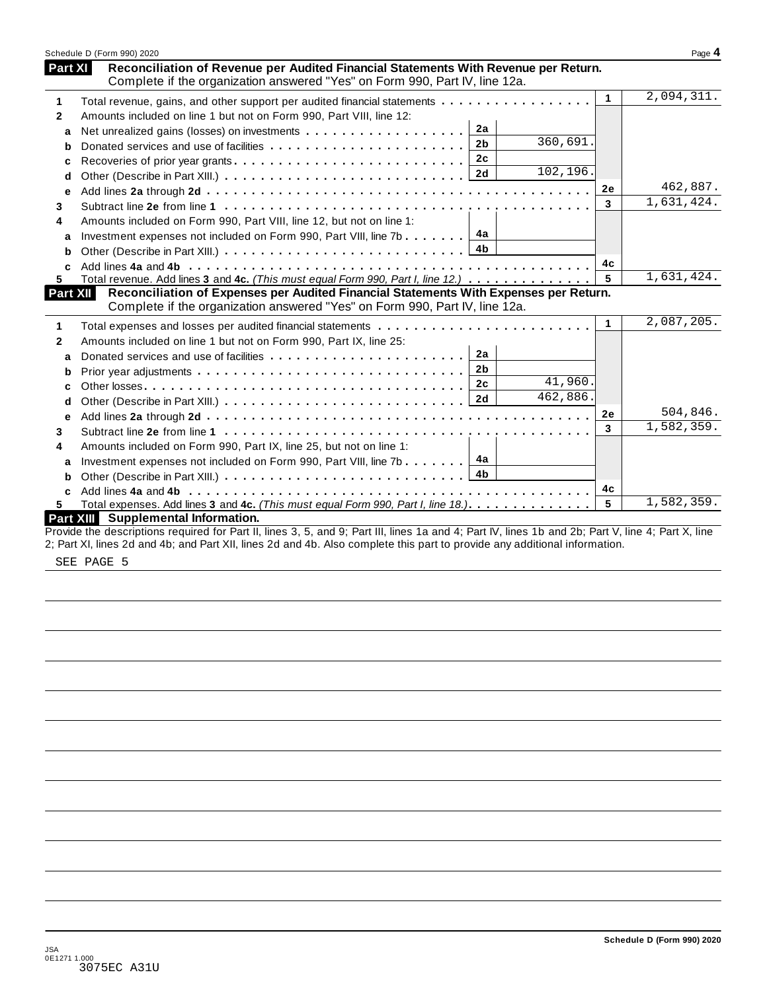|              | Schedule D (Form 990) 2020                                                                                                                                         |              | Page 4     |
|--------------|--------------------------------------------------------------------------------------------------------------------------------------------------------------------|--------------|------------|
| Part XI      | Reconciliation of Revenue per Audited Financial Statements With Revenue per Return.<br>Complete if the organization answered "Yes" on Form 990, Part IV, line 12a. |              |            |
| 1            | Total revenue, gains, and other support per audited financial statements                                                                                           | $\mathbf 1$  | 2,094,311. |
| $\mathbf{2}$ | Amounts included on line 1 but not on Form 990, Part VIII, line 12:                                                                                                |              |            |
| a            | 2a                                                                                                                                                                 |              |            |
| b            | 360,691.<br>2 <sub>b</sub>                                                                                                                                         |              |            |
| c            | 2c<br>Recoveries of prior year grants                                                                                                                              |              |            |
| d            | 102,196.<br>2d                                                                                                                                                     |              |            |
| е            |                                                                                                                                                                    | 2e           | 462,887.   |
| 3            |                                                                                                                                                                    | 3            | 1,631,424. |
| 4            | Amounts included on Form 990, Part VIII, line 12, but not on line 1:                                                                                               |              |            |
| a            | 4a<br>Investment expenses not included on Form 990, Part VIII, line 7b                                                                                             |              |            |
| b            | 4b                                                                                                                                                                 |              |            |
| C            |                                                                                                                                                                    | 4c           |            |
| 5.           | Total revenue. Add lines 3 and 4c. (This must equal Form 990, Part I, line 12.)                                                                                    | 5            | 1,631,424. |
| Part XII     | Reconciliation of Expenses per Audited Financial Statements With Expenses per Return.                                                                              |              |            |
|              | Complete if the organization answered "Yes" on Form 990, Part IV, line 12a.                                                                                        |              |            |
| 1            |                                                                                                                                                                    | $\mathbf{1}$ | 2,087,205. |
| 2            | Amounts included on line 1 but not on Form 990, Part IX, line 25:                                                                                                  |              |            |
| a            | 2a                                                                                                                                                                 |              |            |
| b            | 2 <sub>b</sub>                                                                                                                                                     |              |            |
| c            | 41,960.<br>2c                                                                                                                                                      |              |            |
| d            | 462,886.                                                                                                                                                           |              |            |
| е            |                                                                                                                                                                    | <b>2e</b>    | 504,846.   |
| 3            |                                                                                                                                                                    | 3            | 1,582,359. |
| 4            | Amounts included on Form 990, Part IX, line 25, but not on line 1:                                                                                                 |              |            |
| a            | 4a<br>Investment expenses not included on Form 990, Part VIII, line 7b                                                                                             |              |            |
| b            | 4b                                                                                                                                                                 |              |            |
| C            |                                                                                                                                                                    | 4с           |            |
| 5            | Total expenses. Add lines 3 and 4c. (This must equal Form 990, Part I, line 18.).                                                                                  | 5            | 1,582,359. |
|              | <b>Part XIII</b> Supplemental Information.                                                                                                                         |              |            |
|              | Provide the descriptions required for Part II, lines 3, 5, and 9; Part III, lines 1a and 4; Part IV, lines 1b and 2b; Part V, line 4; Part X, line                 |              |            |
|              | 2; Part XI, lines 2d and 4b; and Part XII, lines 2d and 4b. Also complete this part to provide any additional information.                                         |              |            |

SEE PAGE 5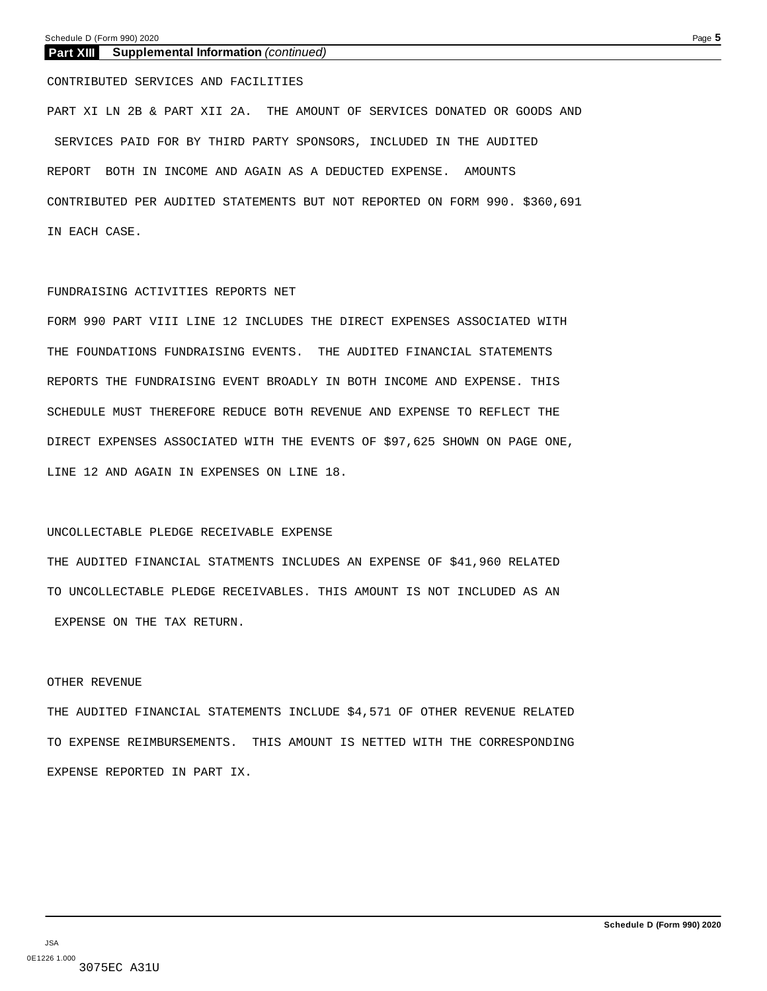### **Part XIII Supplemental Information** *(continued)*

CONTRIBUTED SERVICES AND FACILITIES

PART XI LN 2B & PART XII 2A. THE AMOUNT OF SERVICES DONATED OR GOODS AND SERVICES PAID FOR BY THIRD PARTY SPONSORS, INCLUDED IN THE AUDITED REPORT BOTH IN INCOME AND AGAIN AS A DEDUCTED EXPENSE. AMOUNTS CONTRIBUTED PER AUDITED STATEMENTS BUT NOT REPORTED ON FORM 990. \$360,691 IN EACH CASE.

### FUNDRAISING ACTIVITIES REPORTS NET

FORM 990 PART VIII LINE 12 INCLUDES THE DIRECT EXPENSES ASSOCIATED WITH THE FOUNDATIONS FUNDRAISING EVENTS. THE AUDITED FINANCIAL STATEMENTS REPORTS THE FUNDRAISING EVENT BROADLY IN BOTH INCOME AND EXPENSE. THIS SCHEDULE MUST THEREFORE REDUCE BOTH REVENUE AND EXPENSE TO REFLECT THE DIRECT EXPENSES ASSOCIATED WITH THE EVENTS OF \$97,625 SHOWN ON PAGE ONE, LINE 12 AND AGAIN IN EXPENSES ON LINE 18.

### UNCOLLECTABLE PLEDGE RECEIVABLE EXPENSE

THE AUDITED FINANCIAL STATMENTS INCLUDES AN EXPENSE OF \$41,960 RELATED TO UNCOLLECTABLE PLEDGE RECEIVABLES. THIS AMOUNT IS NOT INCLUDED AS AN EXPENSE ON THE TAX RETURN.

### OTHER REVENUE

THE AUDITED FINANCIAL STATEMENTS INCLUDE \$4,571 OF OTHER REVENUE RELATED TO EXPENSE REIMBURSEMENTS. THIS AMOUNT IS NETTED WITH THE CORRESPONDING EXPENSE REPORTED IN PART IX.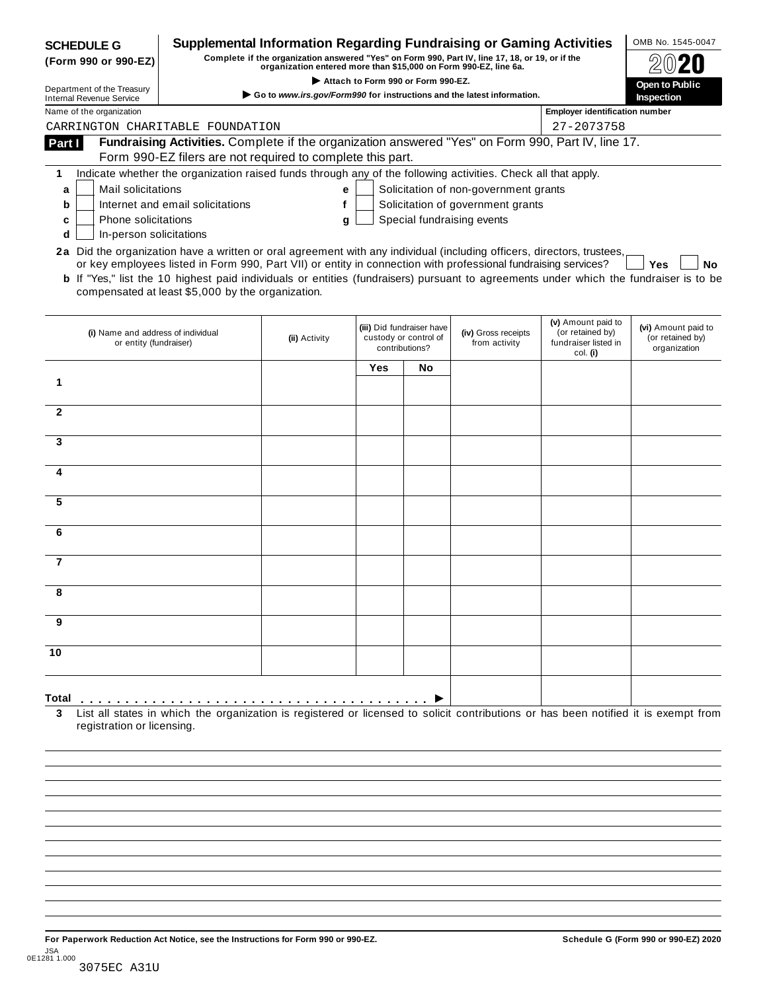| <b>SCHEDULE G</b><br>(Form 990 or 990-EZ)                                                                                                                                                                                                                              | <b>Supplemental Information Regarding Fundraising or Gaming Activities</b>                                                                                          |               |     |                                                                      | Complete if the organization answered "Yes" on Form 990, Part IV, line 17, 18, or 19, or if the |                                                                            | OMB No. 1545-0047                                       |  |  |
|------------------------------------------------------------------------------------------------------------------------------------------------------------------------------------------------------------------------------------------------------------------------|---------------------------------------------------------------------------------------------------------------------------------------------------------------------|---------------|-----|----------------------------------------------------------------------|-------------------------------------------------------------------------------------------------|----------------------------------------------------------------------------|---------------------------------------------------------|--|--|
| organization entered more than \$15,000 on Form 990-EZ, line 6a.<br>Attach to Form 990 or Form 990-EZ.                                                                                                                                                                 |                                                                                                                                                                     |               |     |                                                                      |                                                                                                 |                                                                            |                                                         |  |  |
| Department of the Treasury<br><b>Internal Revenue Service</b>                                                                                                                                                                                                          |                                                                                                                                                                     |               |     |                                                                      | $\triangleright$ Go to www.irs.gov/Form990 for instructions and the latest information.         |                                                                            | Open to Public<br><b>Inspection</b>                     |  |  |
| Name of the organization                                                                                                                                                                                                                                               |                                                                                                                                                                     |               |     |                                                                      |                                                                                                 | <b>Employer identification number</b>                                      |                                                         |  |  |
| CARRINGTON CHARITABLE FOUNDATION                                                                                                                                                                                                                                       |                                                                                                                                                                     |               |     |                                                                      |                                                                                                 | 27-2073758                                                                 |                                                         |  |  |
| Part I                                                                                                                                                                                                                                                                 | Fundraising Activities. Complete if the organization answered "Yes" on Form 990, Part IV, line 17.                                                                  |               |     |                                                                      |                                                                                                 |                                                                            |                                                         |  |  |
|                                                                                                                                                                                                                                                                        | Form 990-EZ filers are not required to complete this part.                                                                                                          |               |     |                                                                      |                                                                                                 |                                                                            |                                                         |  |  |
| 1                                                                                                                                                                                                                                                                      | Indicate whether the organization raised funds through any of the following activities. Check all that apply.                                                       |               |     |                                                                      |                                                                                                 |                                                                            |                                                         |  |  |
| Mail solicitations<br>a                                                                                                                                                                                                                                                |                                                                                                                                                                     | е             |     |                                                                      | Solicitation of non-government grants                                                           |                                                                            |                                                         |  |  |
| b<br>Phone solicitations<br>c                                                                                                                                                                                                                                          | Internet and email solicitations                                                                                                                                    | f<br>g        |     |                                                                      | Solicitation of government grants<br>Special fundraising events                                 |                                                                            |                                                         |  |  |
| In-person solicitations<br>d                                                                                                                                                                                                                                           |                                                                                                                                                                     |               |     |                                                                      |                                                                                                 |                                                                            |                                                         |  |  |
| 2a Did the organization have a written or oral agreement with any individual (including officers, directors, trustees,<br><b>b</b> If "Yes," list the 10 highest paid individuals or entities (fundraisers) pursuant to agreements under which the fundraiser is to be | or key employees listed in Form 990, Part VII) or entity in connection with professional fundraising services?<br>compensated at least \$5,000 by the organization. |               |     |                                                                      |                                                                                                 |                                                                            | Yes<br>No                                               |  |  |
| (i) Name and address of individual<br>or entity (fundraiser)                                                                                                                                                                                                           |                                                                                                                                                                     | (ii) Activity |     | (iii) Did fundraiser have<br>custody or control of<br>contributions? | (iv) Gross receipts<br>from activity                                                            | (v) Amount paid to<br>(or retained by)<br>fundraiser listed in<br>col. (i) | (vi) Amount paid to<br>(or retained by)<br>organization |  |  |
|                                                                                                                                                                                                                                                                        |                                                                                                                                                                     |               | Yes | <b>No</b>                                                            |                                                                                                 |                                                                            |                                                         |  |  |
| 1                                                                                                                                                                                                                                                                      |                                                                                                                                                                     |               |     |                                                                      |                                                                                                 |                                                                            |                                                         |  |  |
|                                                                                                                                                                                                                                                                        |                                                                                                                                                                     |               |     |                                                                      |                                                                                                 |                                                                            |                                                         |  |  |
| $\mathbf{2}$                                                                                                                                                                                                                                                           |                                                                                                                                                                     |               |     |                                                                      |                                                                                                 |                                                                            |                                                         |  |  |
| 3                                                                                                                                                                                                                                                                      |                                                                                                                                                                     |               |     |                                                                      |                                                                                                 |                                                                            |                                                         |  |  |
|                                                                                                                                                                                                                                                                        |                                                                                                                                                                     |               |     |                                                                      |                                                                                                 |                                                                            |                                                         |  |  |
| 4                                                                                                                                                                                                                                                                      |                                                                                                                                                                     |               |     |                                                                      |                                                                                                 |                                                                            |                                                         |  |  |
|                                                                                                                                                                                                                                                                        |                                                                                                                                                                     |               |     |                                                                      |                                                                                                 |                                                                            |                                                         |  |  |
| 5                                                                                                                                                                                                                                                                      |                                                                                                                                                                     |               |     |                                                                      |                                                                                                 |                                                                            |                                                         |  |  |
| 6                                                                                                                                                                                                                                                                      |                                                                                                                                                                     |               |     |                                                                      |                                                                                                 |                                                                            |                                                         |  |  |
|                                                                                                                                                                                                                                                                        |                                                                                                                                                                     |               |     |                                                                      |                                                                                                 |                                                                            |                                                         |  |  |
| 7                                                                                                                                                                                                                                                                      |                                                                                                                                                                     |               |     |                                                                      |                                                                                                 |                                                                            |                                                         |  |  |
|                                                                                                                                                                                                                                                                        |                                                                                                                                                                     |               |     |                                                                      |                                                                                                 |                                                                            |                                                         |  |  |
|                                                                                                                                                                                                                                                                        |                                                                                                                                                                     |               |     |                                                                      |                                                                                                 |                                                                            |                                                         |  |  |
|                                                                                                                                                                                                                                                                        |                                                                                                                                                                     |               |     |                                                                      |                                                                                                 |                                                                            |                                                         |  |  |
|                                                                                                                                                                                                                                                                        |                                                                                                                                                                     |               |     |                                                                      |                                                                                                 |                                                                            |                                                         |  |  |
| 9                                                                                                                                                                                                                                                                      |                                                                                                                                                                     |               |     |                                                                      |                                                                                                 |                                                                            |                                                         |  |  |
|                                                                                                                                                                                                                                                                        |                                                                                                                                                                     |               |     |                                                                      |                                                                                                 |                                                                            |                                                         |  |  |
|                                                                                                                                                                                                                                                                        |                                                                                                                                                                     |               |     |                                                                      |                                                                                                 |                                                                            |                                                         |  |  |
| 10                                                                                                                                                                                                                                                                     |                                                                                                                                                                     |               |     |                                                                      |                                                                                                 |                                                                            |                                                         |  |  |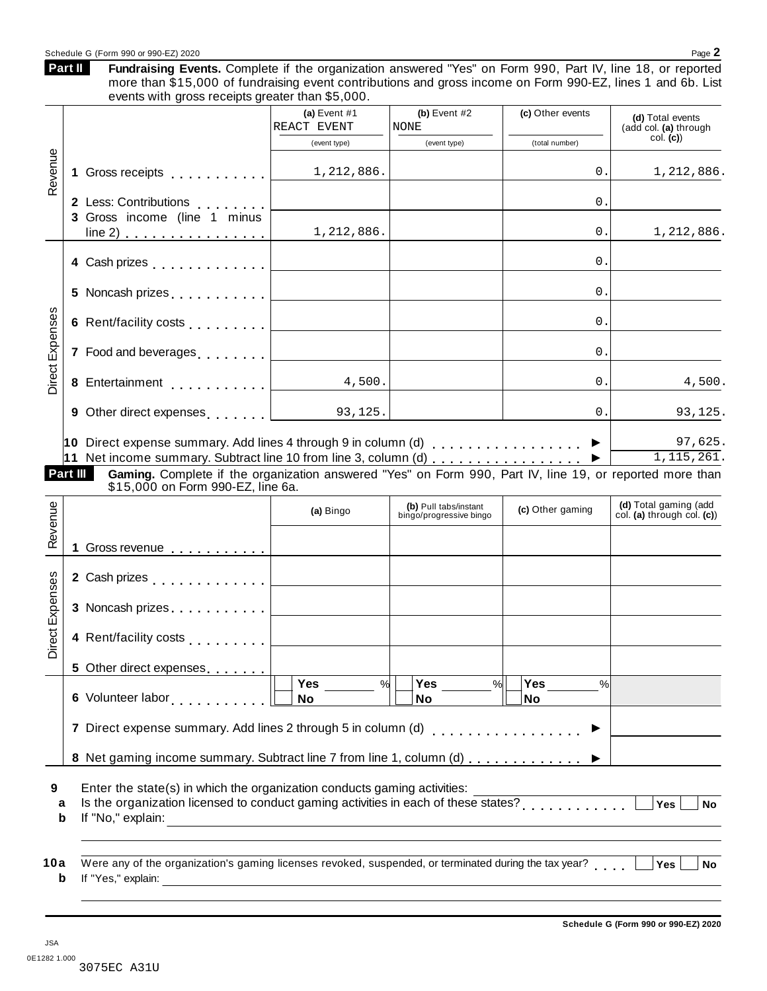### Schedule G (Form 990 or 990-EZ) 2020  $\blacksquare$

Fundraising Events. Complete if the organization answered "Yes" on Form 990, Part IV, line 18, or reported more than \$15,000 of fundraising event contributions and gross income on Form 990-EZ, lines 1 and 6b. List **Part II**

|                 | events with gross receipts greater than \$5,000.                                                                                                                                                                                     |                              |                                                  |                  |                                                     |
|-----------------|--------------------------------------------------------------------------------------------------------------------------------------------------------------------------------------------------------------------------------------|------------------------------|--------------------------------------------------|------------------|-----------------------------------------------------|
|                 |                                                                                                                                                                                                                                      | (a) Event #1<br>REACT EVENT  | (b) Event $#2$<br><b>NONE</b>                    | (c) Other events | (d) Total events<br>(add col. (a) through           |
| Revenue         |                                                                                                                                                                                                                                      | (event type)                 | (event type)                                     | (total number)   | col. (c)                                            |
| 1               | Gross receipts <b>Container and Servers</b>                                                                                                                                                                                          | 1,212,886.                   |                                                  | 0.               | 1,212,886.                                          |
|                 | 2 Less: Contributions                                                                                                                                                                                                                |                              |                                                  | 0.               |                                                     |
|                 | 3 Gross income (line 1 minus                                                                                                                                                                                                         |                              |                                                  |                  |                                                     |
|                 | $line 2)$                                                                                                                                                                                                                            | 1,212,886.                   |                                                  | 0.               | 1,212,886.                                          |
|                 | 4 Cash prizes <u>  _ _ _ _ _ _ _ _ _ _ _</u>                                                                                                                                                                                         |                              |                                                  | 0.               |                                                     |
|                 |                                                                                                                                                                                                                                      |                              |                                                  | 0.               |                                                     |
|                 |                                                                                                                                                                                                                                      |                              |                                                  | 0.               |                                                     |
|                 |                                                                                                                                                                                                                                      |                              |                                                  | 0.               |                                                     |
| Direct Expenses |                                                                                                                                                                                                                                      | 4,500.                       |                                                  | 0.               | 4,500.                                              |
|                 | 9 Other direct expenses $\vert \cdot \vert$ 93,125.                                                                                                                                                                                  |                              |                                                  | 0.               | 93,125.                                             |
| Part III        | Gaming. Complete if the organization answered "Yes" on Form 990, Part IV, line 19, or reported more than<br>\$15,000 on Form 990-EZ, line 6a.                                                                                        |                              |                                                  |                  |                                                     |
|                 |                                                                                                                                                                                                                                      | (a) Bingo                    | (b) Pull tabs/instant<br>bingo/progressive bingo | (c) Other gaming | (d) Total gaming (add<br>col. (a) through col. (c)) |
| 1.              | Gross revenue 1                                                                                                                                                                                                                      |                              |                                                  |                  |                                                     |
|                 | 2 Cash prizes <u>  _ _ _ _ _ _ _ _ _ _ _</u>                                                                                                                                                                                         |                              |                                                  |                  |                                                     |
|                 | 3 Noncash prizes $\ldots \ldots \ldots$                                                                                                                                                                                              |                              |                                                  |                  |                                                     |
|                 | 4 Rent/facility costs                                                                                                                                                                                                                |                              |                                                  |                  |                                                     |
| Direct Expenses | 5 Other direct expenses                                                                                                                                                                                                              |                              |                                                  |                  |                                                     |
|                 |                                                                                                                                                                                                                                      | $\overline{\text{Yes}}$<br>% | Yes<br>%                                         | Yes<br>%         |                                                     |
|                 |                                                                                                                                                                                                                                      | No                           | No                                               | No               |                                                     |
|                 | 7 Direct expense summary. Add lines 2 through 5 in column (d)                                                                                                                                                                        |                              |                                                  | . <b>.</b> .     |                                                     |
|                 | 8 Net gaming income summary. Subtract line 7 from line 1, column (d)                                                                                                                                                                 |                              |                                                  |                  |                                                     |
|                 | Enter the state(s) in which the organization conducts gaming activities:                                                                                                                                                             |                              |                                                  |                  | Yes<br><b>No</b>                                    |
|                 | Is the organization licensed to conduct gaming activities in each of these states?                                                                                                                                                   |                              |                                                  |                  |                                                     |
| a<br>b          | If "No," explain: <u>contract the contract of the contract of the contract of the contract of the contract of the contract of the contract of the contract of the contract of the contract of the contract of the contract of th</u> |                              |                                                  |                  |                                                     |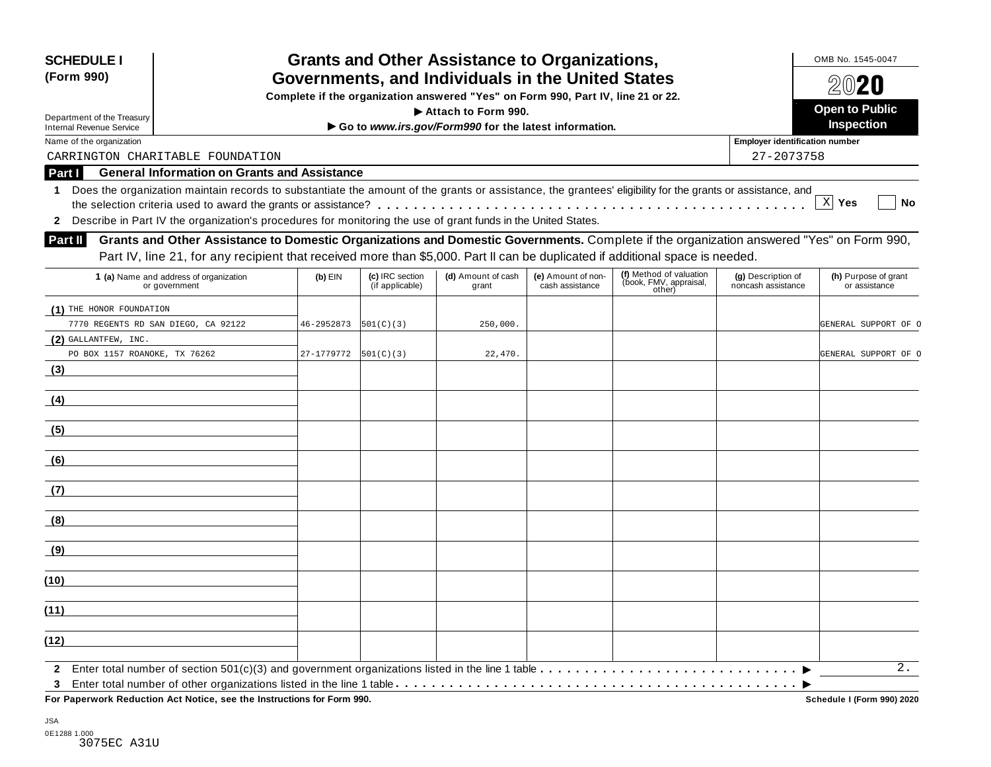| <b>SCHEDULE I</b><br>(Form 990)                                                                                                                                                                                                                                                                            | <b>Grants and Other Assistance to Organizations,</b><br>Governments, and Individuals in the United States |                       |                                    |                                                                                  |                                       |                                                                                                                                                                                                                                                                           |                                          | OMB No. 1545-0047<br>$20$ 20          |  |  |
|------------------------------------------------------------------------------------------------------------------------------------------------------------------------------------------------------------------------------------------------------------------------------------------------------------|-----------------------------------------------------------------------------------------------------------|-----------------------|------------------------------------|----------------------------------------------------------------------------------|---------------------------------------|---------------------------------------------------------------------------------------------------------------------------------------------------------------------------------------------------------------------------------------------------------------------------|------------------------------------------|---------------------------------------|--|--|
|                                                                                                                                                                                                                                                                                                            |                                                                                                           |                       |                                    | Complete if the organization answered "Yes" on Form 990, Part IV, line 21 or 22. |                                       |                                                                                                                                                                                                                                                                           |                                          |                                       |  |  |
| Department of the Treasury                                                                                                                                                                                                                                                                                 |                                                                                                           | <b>Open to Public</b> |                                    |                                                                                  |                                       |                                                                                                                                                                                                                                                                           |                                          |                                       |  |  |
| <b>Internal Revenue Service</b>                                                                                                                                                                                                                                                                            |                                                                                                           |                       |                                    | Go to www.irs.gov/Form990 for the latest information.                            |                                       |                                                                                                                                                                                                                                                                           |                                          | Inspection                            |  |  |
| Name of the organization                                                                                                                                                                                                                                                                                   |                                                                                                           |                       |                                    |                                                                                  |                                       |                                                                                                                                                                                                                                                                           | <b>Employer identification number</b>    |                                       |  |  |
| CARRINGTON CHARITABLE FOUNDATION                                                                                                                                                                                                                                                                           |                                                                                                           |                       |                                    |                                                                                  |                                       |                                                                                                                                                                                                                                                                           | 27-2073758                               |                                       |  |  |
| Part I                                                                                                                                                                                                                                                                                                     | <b>General Information on Grants and Assistance</b>                                                       |                       |                                    |                                                                                  |                                       |                                                                                                                                                                                                                                                                           |                                          |                                       |  |  |
| Does the organization maintain records to substantiate the amount of the grants or assistance, the grantees' eligibility for the grants or assistance, and<br>$\mathbf 1$<br>Describe in Part IV the organization's procedures for monitoring the use of grant funds in the United States.<br>$\mathbf{2}$ |                                                                                                           |                       |                                    |                                                                                  |                                       |                                                                                                                                                                                                                                                                           |                                          | $X$ Yes<br><b>No</b>                  |  |  |
| Part II                                                                                                                                                                                                                                                                                                    |                                                                                                           |                       |                                    |                                                                                  |                                       | Grants and Other Assistance to Domestic Organizations and Domestic Governments. Complete if the organization answered "Yes" on Form 990,<br>Part IV, line 21, for any recipient that received more than \$5,000. Part II can be duplicated if additional space is needed. |                                          |                                       |  |  |
| 1 (a) Name and address of organization<br>or government                                                                                                                                                                                                                                                    |                                                                                                           | $(b)$ EIN             | (c) IRC section<br>(if applicable) | (d) Amount of cash<br>grant                                                      | (e) Amount of non-<br>cash assistance | (f) Method of valuation<br>(book, FMV, appraisal,<br>other)                                                                                                                                                                                                               | (g) Description of<br>noncash assistance | (h) Purpose of grant<br>or assistance |  |  |
| (1) THE HONOR FOUNDATION                                                                                                                                                                                                                                                                                   |                                                                                                           |                       |                                    |                                                                                  |                                       |                                                                                                                                                                                                                                                                           |                                          |                                       |  |  |
| 7770 REGENTS RD SAN DIEGO, CA 92122                                                                                                                                                                                                                                                                        |                                                                                                           | 46-2952873            | 501(C)(3)                          | 250,000.                                                                         |                                       |                                                                                                                                                                                                                                                                           |                                          | GENERAL SUPPORT OF O                  |  |  |
| $(2)$ GALLANTFEW, INC.                                                                                                                                                                                                                                                                                     |                                                                                                           |                       |                                    |                                                                                  |                                       |                                                                                                                                                                                                                                                                           |                                          |                                       |  |  |
| PO BOX 1157 ROANOKE, TX 76262                                                                                                                                                                                                                                                                              |                                                                                                           | 27-1779772            | 501(C)(3)                          | 22,470.                                                                          |                                       |                                                                                                                                                                                                                                                                           |                                          | GENERAL SUPPORT OF O                  |  |  |
| (3)                                                                                                                                                                                                                                                                                                        |                                                                                                           |                       |                                    |                                                                                  |                                       |                                                                                                                                                                                                                                                                           |                                          |                                       |  |  |
| (4)                                                                                                                                                                                                                                                                                                        |                                                                                                           |                       |                                    |                                                                                  |                                       |                                                                                                                                                                                                                                                                           |                                          |                                       |  |  |
| (5)                                                                                                                                                                                                                                                                                                        |                                                                                                           |                       |                                    |                                                                                  |                                       |                                                                                                                                                                                                                                                                           |                                          |                                       |  |  |
| (6)                                                                                                                                                                                                                                                                                                        |                                                                                                           |                       |                                    |                                                                                  |                                       |                                                                                                                                                                                                                                                                           |                                          |                                       |  |  |
| (7)                                                                                                                                                                                                                                                                                                        |                                                                                                           |                       |                                    |                                                                                  |                                       |                                                                                                                                                                                                                                                                           |                                          |                                       |  |  |
| (8)                                                                                                                                                                                                                                                                                                        |                                                                                                           |                       |                                    |                                                                                  |                                       |                                                                                                                                                                                                                                                                           |                                          |                                       |  |  |
| (9)                                                                                                                                                                                                                                                                                                        |                                                                                                           |                       |                                    |                                                                                  |                                       |                                                                                                                                                                                                                                                                           |                                          |                                       |  |  |
| (10)                                                                                                                                                                                                                                                                                                       |                                                                                                           |                       |                                    |                                                                                  |                                       |                                                                                                                                                                                                                                                                           |                                          |                                       |  |  |
| (11)                                                                                                                                                                                                                                                                                                       |                                                                                                           |                       |                                    |                                                                                  |                                       |                                                                                                                                                                                                                                                                           |                                          |                                       |  |  |
| (12)                                                                                                                                                                                                                                                                                                       |                                                                                                           |                       |                                    |                                                                                  |                                       |                                                                                                                                                                                                                                                                           |                                          |                                       |  |  |
| 3                                                                                                                                                                                                                                                                                                          |                                                                                                           |                       |                                    |                                                                                  |                                       |                                                                                                                                                                                                                                                                           |                                          | 2.                                    |  |  |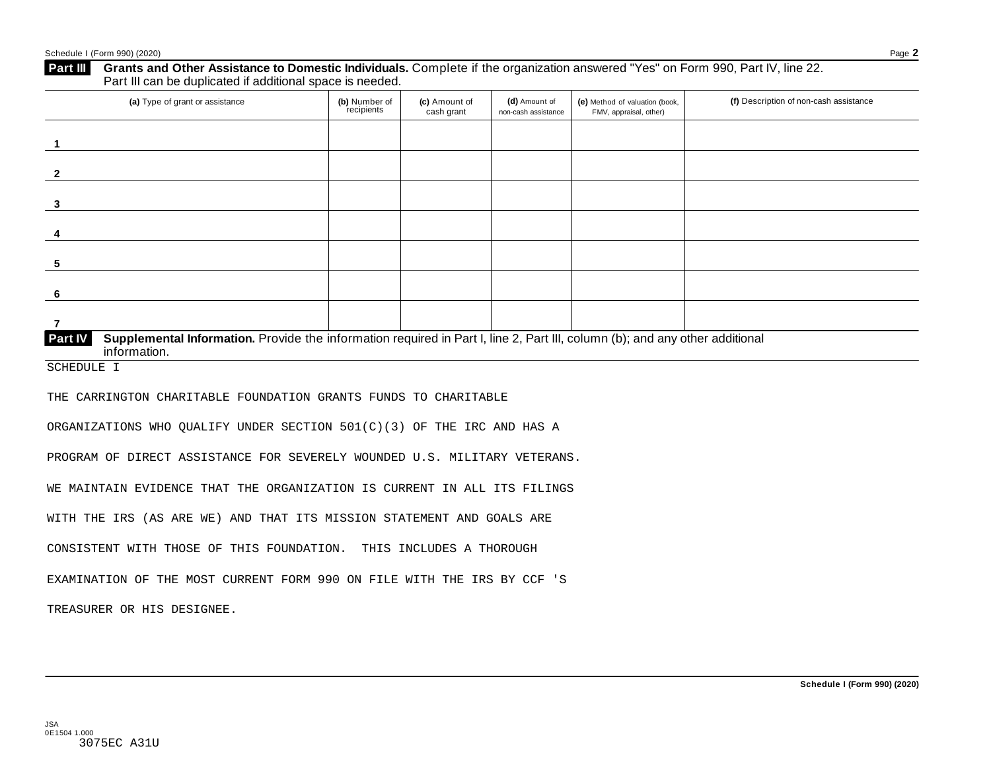| (a) Type of grant or assistance                                                                                                                                                                                        | (b) Number of<br>recipients | (c) Amount of<br>cash grant | (d) Amount of<br>non-cash assistance | (e) Method of valuation (book,<br>FMV, appraisal, other) | (f) Description of non-cash assistance |
|------------------------------------------------------------------------------------------------------------------------------------------------------------------------------------------------------------------------|-----------------------------|-----------------------------|--------------------------------------|----------------------------------------------------------|----------------------------------------|
| $\mathbf{1}$                                                                                                                                                                                                           |                             |                             |                                      |                                                          |                                        |
| $\overline{2}$                                                                                                                                                                                                         |                             |                             |                                      |                                                          |                                        |
| $\mathbf{3}$                                                                                                                                                                                                           |                             |                             |                                      |                                                          |                                        |
| 4                                                                                                                                                                                                                      |                             |                             |                                      |                                                          |                                        |
| $\sqrt{5}$                                                                                                                                                                                                             |                             |                             |                                      |                                                          |                                        |
| 6                                                                                                                                                                                                                      |                             |                             |                                      |                                                          |                                        |
| $\overline{7}$                                                                                                                                                                                                         |                             |                             |                                      |                                                          |                                        |
| Supplemental Information. Provide the information required in Part I, line 2, Part III, column (b); and any other additional<br>Part IV<br>information.                                                                |                             |                             |                                      |                                                          |                                        |
| <b>SCHEDULE I</b>                                                                                                                                                                                                      |                             |                             |                                      |                                                          |                                        |
| THE CARRINGTON CHARITABLE FOUNDATION GRANTS FUNDS TO CHARITABLE                                                                                                                                                        |                             |                             |                                      |                                                          |                                        |
| ORGANIZATIONS WHO QUALIFY UNDER SECTION 501(C)(3) OF THE IRC AND HAS A                                                                                                                                                 |                             |                             |                                      |                                                          |                                        |
| PROGRAM OF DIRECT ASSISTANCE FOR SEVERELY WOUNDED U.S. MILITARY VETERANS.                                                                                                                                              |                             |                             |                                      |                                                          |                                        |
| WE MAINTAIN EVIDENCE THAT THE ORGANIZATION IS CURRENT IN ALL ITS FILINGS                                                                                                                                               |                             |                             |                                      |                                                          |                                        |
|                                                                                                                                                                                                                        |                             |                             |                                      |                                                          |                                        |
|                                                                                                                                                                                                                        |                             |                             |                                      |                                                          |                                        |
|                                                                                                                                                                                                                        |                             |                             |                                      |                                                          |                                        |
| WITH THE IRS (AS ARE WE) AND THAT ITS MISSION STATEMENT AND GOALS ARE<br>CONSISTENT WITH THOSE OF THIS FOUNDATION. THIS INCLUDES A THOROUGH<br>EXAMINATION OF THE MOST CURRENT FORM 990 ON FILE WITH THE IRS BY CCF 'S |                             |                             |                                      |                                                          |                                        |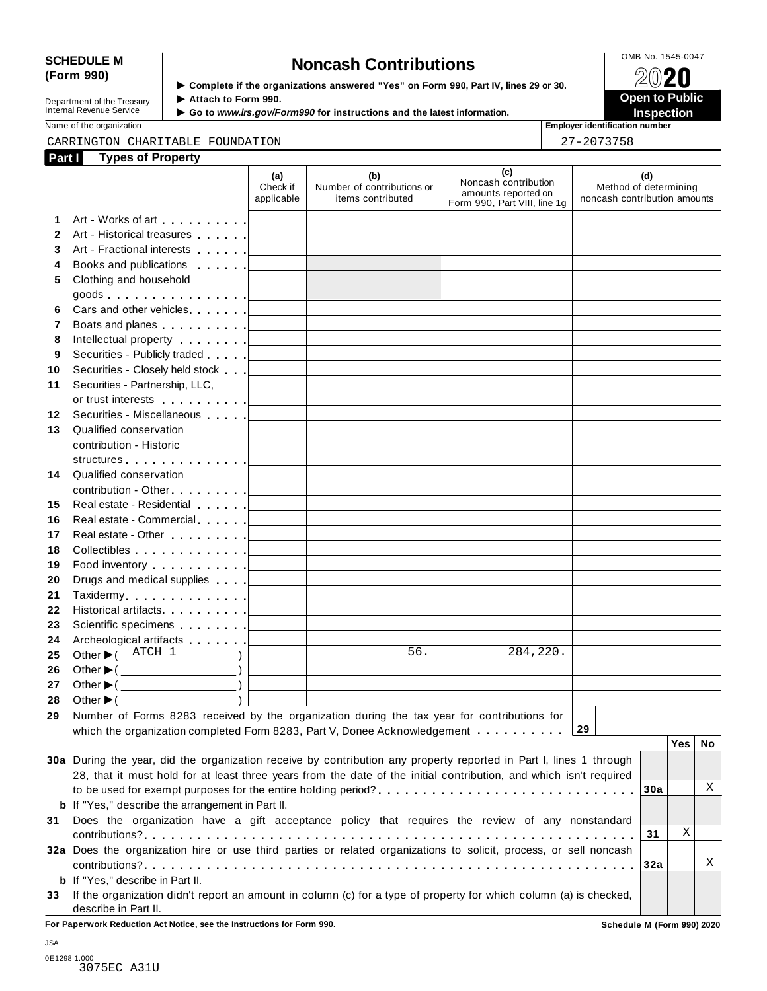# SCHEDULE M<br>
(Form 990) **Solutions**<br>  $\begin{array}{r} \hline \text{SCHEDULEM} \\ \hline \end{array}$  **Solutions**<br>  $\begin{array}{r} \hline \text{OMB No. 1545-0047} \\ \hline \end{array}$

**Department of the Treasury<br>Internal Revenue Service** 

**Examplete** if the organizations answered "Yes" on Form 990, Part Ⅳ, lines 29 or 30. 
<br>
■ **Open to Public Department of the Treasury ▶ Attach to Form 990.**<br>Internal Revenue Service ▶ Go to *www.irs.gov/Form990* for instructions and the latest information.<br>Nome of the organization sumber

Name of the organization **intervalse of the organization intervalse of the organization <b>intervalse of the organization intervalse of the organization intervalse of the organization intervalse of the organization**

### CARRINGTON CHARITABLE FOUNDATION 27-2073758

| Part I       | <b>Types of Property</b>                                                                                           |                                   |                                                                                                                            |                                                                                                                     |                                                              |
|--------------|--------------------------------------------------------------------------------------------------------------------|-----------------------------------|----------------------------------------------------------------------------------------------------------------------------|---------------------------------------------------------------------------------------------------------------------|--------------------------------------------------------------|
|              |                                                                                                                    | (a)<br>Check if<br>applicable     | (b)<br>Number of contributions or<br>items contributed                                                                     | (c)<br>Noncash contribution<br>amounts reported on<br>Form 990, Part VIII, line 1g                                  | (d)<br>Method of determining<br>noncash contribution amounts |
| 1            |                                                                                                                    |                                   | the control of the control of the control of the                                                                           |                                                                                                                     |                                                              |
| $\mathbf{2}$ | Art - Historical treasures                                                                                         | the contract of the contract of   | <u> 1989 - Johann Barn, amerikansk politiker (</u>                                                                         |                                                                                                                     |                                                              |
| 3            |                                                                                                                    |                                   |                                                                                                                            |                                                                                                                     |                                                              |
| 4            | Books and publications <b>contained</b>                                                                            |                                   | <u> 1980 - Johann Barbara, martxa alemaniar arg</u>                                                                        |                                                                                                                     |                                                              |
| 5.           | Clothing and household                                                                                             |                                   |                                                                                                                            |                                                                                                                     |                                                              |
|              |                                                                                                                    |                                   |                                                                                                                            |                                                                                                                     |                                                              |
| 6            |                                                                                                                    |                                   |                                                                                                                            | the control of the control of the control of the control of the control of                                          |                                                              |
| 7            |                                                                                                                    |                                   |                                                                                                                            | the control of the control of the control of the control of the control of                                          |                                                              |
| 8            |                                                                                                                    |                                   |                                                                                                                            | the control of the control of the control of the control of the control of                                          |                                                              |
| 9            | Securities - Publicly traded [                                                                                     | the company of the company of     | <u> 1989 - Johann Stein, mars an deus an deus Angels</u>                                                                   | the control of the control of the control of the control of the control of                                          |                                                              |
| 10           | Securities - Closely held stock                                                                                    |                                   | <u> 1990 - Jan Barbara (j. 1980)</u>                                                                                       |                                                                                                                     |                                                              |
| 11           | Securities - Partnership, LLC,                                                                                     |                                   |                                                                                                                            |                                                                                                                     |                                                              |
|              |                                                                                                                    |                                   | the control of the control of the control of the control of the control of                                                 |                                                                                                                     |                                                              |
| $12 \,$      | Securities - Miscellaneous                                                                                         |                                   |                                                                                                                            |                                                                                                                     |                                                              |
| 13           | Qualified conservation                                                                                             |                                   |                                                                                                                            |                                                                                                                     |                                                              |
|              | contribution - Historic                                                                                            |                                   |                                                                                                                            |                                                                                                                     |                                                              |
|              |                                                                                                                    |                                   |                                                                                                                            |                                                                                                                     |                                                              |
| 14           | Qualified conservation                                                                                             |                                   |                                                                                                                            |                                                                                                                     |                                                              |
|              |                                                                                                                    |                                   |                                                                                                                            |                                                                                                                     |                                                              |
| 15           | Real estate - Residential                                                                                          | the contract of the contract of   | <u> 1989 - Johann Barn, amerikansk politiker (</u>                                                                         |                                                                                                                     |                                                              |
| 16           |                                                                                                                    |                                   |                                                                                                                            | the control of the control of the control of the control of the control of                                          |                                                              |
| 17           |                                                                                                                    |                                   |                                                                                                                            | the control of the control of the control of the control of the control of                                          |                                                              |
| 18           |                                                                                                                    |                                   |                                                                                                                            |                                                                                                                     |                                                              |
| 19           | Food inventory $\ldots \ldots \ldots$ . $\Box$                                                                     |                                   |                                                                                                                            | the control of the control of the control of the control of                                                         |                                                              |
| 20           |                                                                                                                    |                                   |                                                                                                                            | <u> 1989 - Johann Barn, mars ann an t-Amhain an t-Amhain an t-Amhain an t-Amhain an t-Amhain an t-Amhain an t-A</u> |                                                              |
| 21           |                                                                                                                    |                                   |                                                                                                                            | the control of the control of the control of the control of the control of                                          |                                                              |
| 22           |                                                                                                                    |                                   |                                                                                                                            |                                                                                                                     |                                                              |
| 23           |                                                                                                                    |                                   |                                                                                                                            | the control of the control of the control of the control of the control of                                          |                                                              |
| 24           |                                                                                                                    |                                   |                                                                                                                            |                                                                                                                     |                                                              |
| 25           | Other $\blacktriangleright$ ( ATCH 1<br>$\qquad \qquad$ ) $\qquad$                                                 | <b>Contract Contract Contract</b> | 56.<br><u> 1990 - Johann John Store, markin samti samti samti samti samti samti samti samti samti samti samti samti sa</u> | 284,220.                                                                                                            |                                                              |
| 26           | Other $\blacktriangleright$ ( $\_\_\_\_\_\_\_\_\$ )                                                                | <b>Contract Contract Contract</b> | the control of the control of the control of the control of the control of                                                 |                                                                                                                     |                                                              |
| 27           | Other $\blacktriangleright$ ( $\qquad \qquad$ )                                                                    |                                   |                                                                                                                            |                                                                                                                     |                                                              |
|              | 28 Other $\blacktriangleright$ (                                                                                   |                                   |                                                                                                                            |                                                                                                                     |                                                              |
| 29           | Number of Forms 8283 received by the organization during the tax year for contributions for                        |                                   |                                                                                                                            |                                                                                                                     |                                                              |
|              | which the organization completed Form 8283, Part V, Donee Acknowledgement                                          |                                   |                                                                                                                            |                                                                                                                     | 29                                                           |
|              |                                                                                                                    |                                   |                                                                                                                            |                                                                                                                     | <b>Yes</b><br><b>No</b>                                      |
|              | 30a During the year, did the organization receive by contribution any property reported in Part I, lines 1 through |                                   |                                                                                                                            |                                                                                                                     |                                                              |
|              | 28, that it must hold for at least three years from the date of the initial contribution, and which isn't required |                                   |                                                                                                                            |                                                                                                                     |                                                              |
|              |                                                                                                                    |                                   |                                                                                                                            |                                                                                                                     | Χ<br>30a                                                     |
|              | <b>b</b> If "Yes," describe the arrangement in Part II.                                                            |                                   |                                                                                                                            |                                                                                                                     |                                                              |
| 31           | Does the organization have a gift acceptance policy that requires the review of any nonstandard                    |                                   |                                                                                                                            |                                                                                                                     |                                                              |
|              |                                                                                                                    |                                   |                                                                                                                            |                                                                                                                     | Χ<br>31                                                      |
|              | 32a Does the organization hire or use third parties or related organizations to solicit, process, or sell noncash  |                                   |                                                                                                                            |                                                                                                                     |                                                              |
|              |                                                                                                                    |                                   |                                                                                                                            |                                                                                                                     | Χ<br>32a                                                     |
|              | <b>b</b> If "Yes," describe in Part II.                                                                            |                                   |                                                                                                                            |                                                                                                                     |                                                              |
| 33           | If the organization didn't report an amount in column (c) for a type of property for which column (a) is checked,  |                                   |                                                                                                                            |                                                                                                                     |                                                              |
|              | describe in Part II.                                                                                               |                                   |                                                                                                                            |                                                                                                                     |                                                              |

**For Paperwork Reduction Act Notice, see the Instructions for Form 990. Schedule M (Form 990) 2020**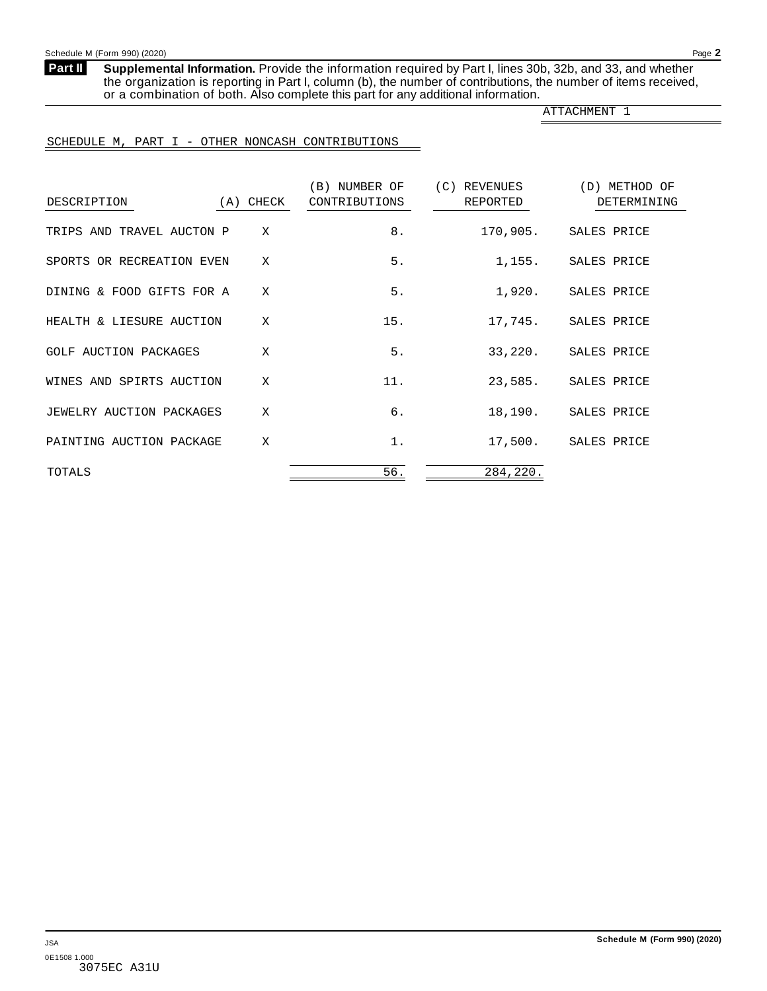<span id="page-29-0"></span>**Part II**

**Supplemental Information.** Provide the information required by Part I, lines 30b, 32b, and 33, and whether the organization is reporting in Part I, column (b), the number of contributions, the number of items received, or a combination of both. Also complete this part for any additional information.

ATTACHMENT 1

### SCHEDULE M, PART I - OTHER NONCASH CONTRIBUTIONS

| DESCRIPTION                  | (A) CHECK | (B) NUMBER OF<br>CONTRIBUTIONS | (C) REVENUES<br>REPORTED | (D) METHOD OF<br>DETERMINING |
|------------------------------|-----------|--------------------------------|--------------------------|------------------------------|
| TRIPS AND TRAVEL AUCTON P    | X         | 8.                             | 170,905.                 | SALES PRICE                  |
| SPORTS OR RECREATION EVEN    | X         | 5.                             | 1,155.                   | SALES PRICE                  |
| DINING & FOOD GIFTS FOR A    | X         | 5.                             | 1,920.                   | SALES PRICE                  |
| HEALTH & LIESURE AUCTION     | X         | 15.                            | 17,745.                  | SALES PRICE                  |
| <b>GOLF AUCTION PACKAGES</b> | X         | 5.                             | 33,220.                  | SALES PRICE                  |
| WINES AND SPIRTS AUCTION     | X         | 11.                            | 23,585.                  | SALES PRICE                  |
| JEWELRY AUCTION PACKAGES     | X         | б.                             | 18,190.                  | SALES PRICE                  |
| PAINTING AUCTION PACKAGE     | X         | $1$ .                          | 17,500.                  | SALES PRICE                  |
| TOTALS                       |           | 56.                            | 284,220.                 |                              |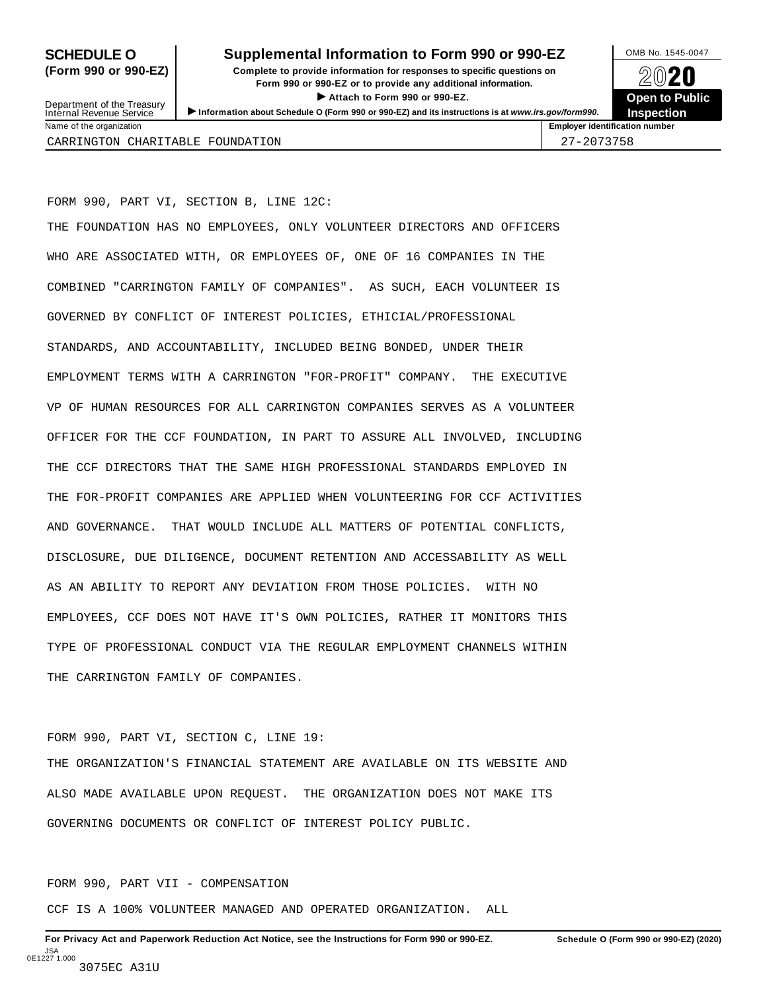### **SCHEDULE O** Supplemental Information to Form 990 or 990-EZ DAMB No. 1545-0047

**(Form 990 or 990-EZ) Complete to provide information for responses to specific questions on** plete to provide information for responses to specific questions on  $\bigotimes_{\mathbb{Z}}\mathbb{Q}$  20 **EVECT**<br>
Attach to Form 990 or 990-EZ.<br>
and the Communication of the Communication of the Communication of the Communication of the Communication of the Communication of the Communication of the Communication of the Commu Department of the Treasury <br>Depen to Public<br>Name of the organization<br>Name of the organization<br>Name of the organization<br>Name of the organization number<br>Name of the organization number



27-2073758

Department of the Treasury<br>Internal Revenue Service

| <b>INGHITY OF THE UITSUITE CITY</b> |  |  |
|-------------------------------------|--|--|
| CARRINGTON CHARITABLE FOUNDATION    |  |  |

FORM 990, PART VI, SECTION B, LINE 12C:

THE FOUNDATION HAS NO EMPLOYEES, ONLY VOLUNTEER DIRECTORS AND OFFICERS WHO ARE ASSOCIATED WITH, OR EMPLOYEES OF, ONE OF 16 COMPANIES IN THE COMBINED "CARRINGTON FAMILY OF COMPANIES". AS SUCH, EACH VOLUNTEER IS GOVERNED BY CONFLICT OF INTEREST POLICIES, ETHICIAL/PROFESSIONAL STANDARDS, AND ACCOUNTABILITY, INCLUDED BEING BONDED, UNDER THEIR EMPLOYMENT TERMS WITH A CARRINGTON "FOR-PROFIT" COMPANY. THE EXECUTIVE VP OF HUMAN RESOURCES FOR ALL CARRINGTON COMPANIES SERVES AS A VOLUNTEER OFFICER FOR THE CCF FOUNDATION, IN PART TO ASSURE ALL INVOLVED, INCLUDING THE CCF DIRECTORS THAT THE SAME HIGH PROFESSIONAL STANDARDS EMPLOYED IN THE FOR-PROFIT COMPANIES ARE APPLIED WHEN VOLUNTEERING FOR CCF ACTIVITIES AND GOVERNANCE. THAT WOULD INCLUDE ALL MATTERS OF POTENTIAL CONFLICTS, DISCLOSURE, DUE DILIGENCE, DOCUMENT RETENTION AND ACCESSABILITY AS WELL AS AN ABILITY TO REPORT ANY DEVIATION FROM THOSE POLICIES. WITH NO EMPLOYEES, CCF DOES NOT HAVE IT'S OWN POLICIES, RATHER IT MONITORS THIS TYPE OF PROFESSIONAL CONDUCT VIA THE REGULAR EMPLOYMENT CHANNELS WITHIN THE CARRINGTON FAMILY OF COMPANIES.

FORM 990, PART VI, SECTION C, LINE 19:

THE ORGANIZATION'S FINANCIAL STATEMENT ARE AVAILABLE ON ITS WEBSITE AND ALSO MADE AVAILABLE UPON REQUEST. THE ORGANIZATION DOES NOT MAKE ITS GOVERNING DOCUMENTS OR CONFLICT OF INTEREST POLICY PUBLIC.

FORM 990, PART VII - COMPENSATION

CCF IS A 100% VOLUNTEER MANAGED AND OPERATED ORGANIZATION. ALL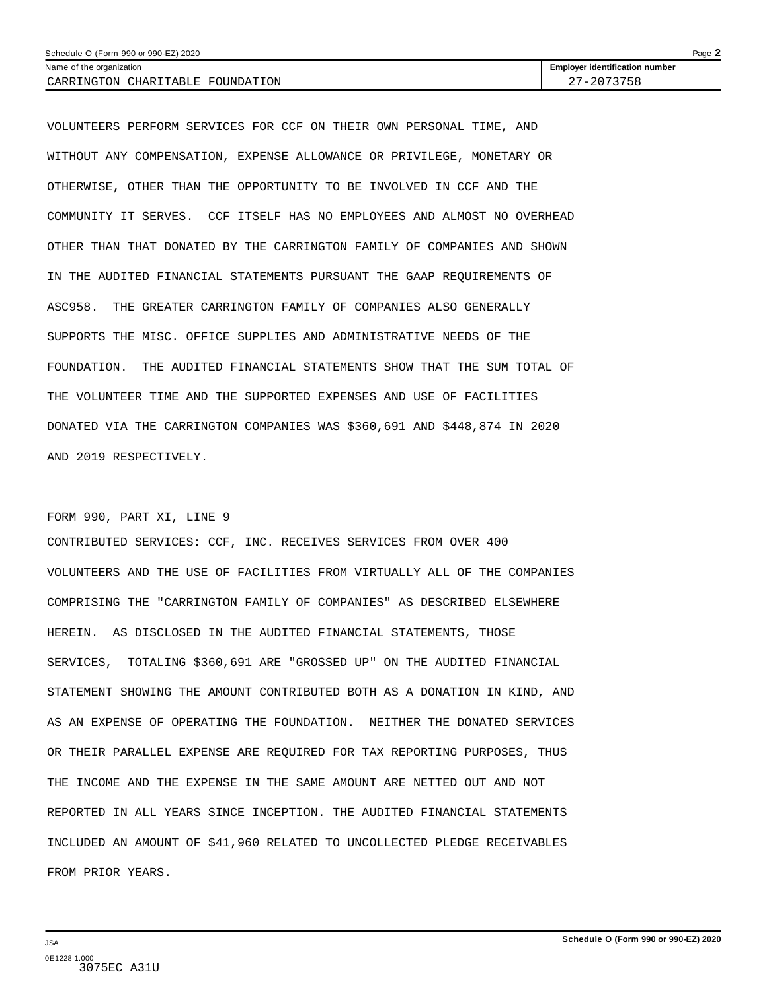| Schedule O (Form 990 or 990-EZ) 2020 |                                       | Page $\blacktriangle$ |
|--------------------------------------|---------------------------------------|-----------------------|
| Name of the organization             | <b>Employer identification number</b> |                       |
| CARRINGTON CHARITABLE FOUNDATION     | 27-2073758                            |                       |

VOLUNTEERS PERFORM SERVICES FOR CCF ON THEIR OWN PERSONAL TIME, AND WITHOUT ANY COMPENSATION, EXPENSE ALLOWANCE OR PRIVILEGE, MONETARY OR OTHERWISE, OTHER THAN THE OPPORTUNITY TO BE INVOLVED IN CCF AND THE COMMUNITY IT SERVES. CCF ITSELF HAS NO EMPLOYEES AND ALMOST NO OVERHEAD OTHER THAN THAT DONATED BY THE CARRINGTON FAMILY OF COMPANIES AND SHOWN IN THE AUDITED FINANCIAL STATEMENTS PURSUANT THE GAAP REQUIREMENTS OF ASC958. THE GREATER CARRINGTON FAMILY OF COMPANIES ALSO GENERALLY SUPPORTS THE MISC. OFFICE SUPPLIES AND ADMINISTRATIVE NEEDS OF THE FOUNDATION. THE AUDITED FINANCIAL STATEMENTS SHOW THAT THE SUM TOTAL OF THE VOLUNTEER TIME AND THE SUPPORTED EXPENSES AND USE OF FACILITIES DONATED VIA THE CARRINGTON COMPANIES WAS \$360,691 AND \$448,874 IN 2020 AND 2019 RESPECTIVELY.

### FORM 990, PART XI, LINE 9

CONTRIBUTED SERVICES: CCF, INC. RECEIVES SERVICES FROM OVER 400 VOLUNTEERS AND THE USE OF FACILITIES FROM VIRTUALLY ALL OF THE COMPANIES COMPRISING THE "CARRINGTON FAMILY OF COMPANIES" AS DESCRIBED ELSEWHERE HEREIN. AS DISCLOSED IN THE AUDITED FINANCIAL STATEMENTS, THOSE SERVICES, TOTALING \$360,691 ARE "GROSSED UP" ON THE AUDITED FINANCIAL STATEMENT SHOWING THE AMOUNT CONTRIBUTED BOTH AS A DONATION IN KIND, AND AS AN EXPENSE OF OPERATING THE FOUNDATION. NEITHER THE DONATED SERVICES OR THEIR PARALLEL EXPENSE ARE REQUIRED FOR TAX REPORTING PURPOSES, THUS THE INCOME AND THE EXPENSE IN THE SAME AMOUNT ARE NETTED OUT AND NOT REPORTED IN ALL YEARS SINCE INCEPTION. THE AUDITED FINANCIAL STATEMENTS INCLUDED AN AMOUNT OF \$41,960 RELATED TO UNCOLLECTED PLEDGE RECEIVABLES FROM PRIOR YEARS.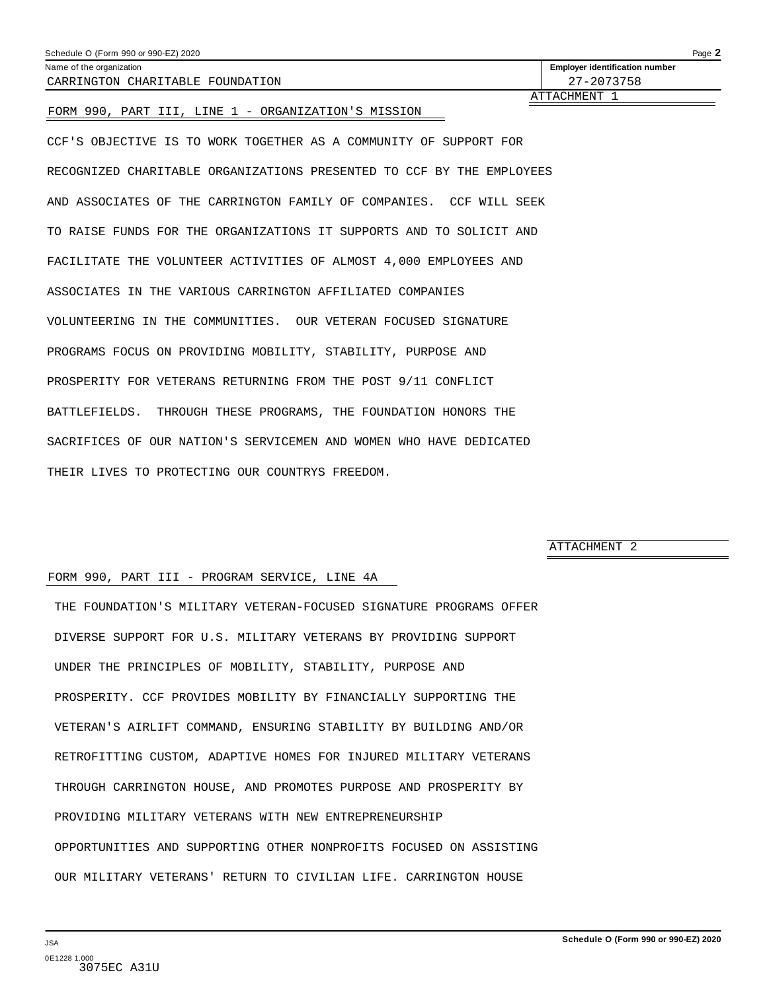<span id="page-32-0"></span>

| Schedule O (Form 990 or 990-EZ) 2020<br>Name of the organization          | Page 2<br><b>Employer identification number</b> |
|---------------------------------------------------------------------------|-------------------------------------------------|
| CARRINGTON CHARITABLE FOUNDATION                                          | 27-2073758                                      |
| FORM 990, PART III, LINE 1 - ORGANIZATION'S MISSION                       | ATTACHMENT 1                                    |
| CCF'S OBJECTIVE IS TO WORK TOGETHER AS A COMMUNITY OF SUPPORT FOR         |                                                 |
| RECOGNIZED CHARITABLE ORGANIZATIONS PRESENTED TO CCF BY THE EMPLOYEES     |                                                 |
| AND ASSOCIATES OF THE CARRINGTON FAMILY OF COMPANIES.<br>CCF<br>WILL SEEK |                                                 |
| TO RAISE FUNDS FOR THE ORGANIZATIONS IT SUPPORTS AND TO SOLICIT AND       |                                                 |
| FACILITATE THE VOLUNTEER ACTIVITIES OF ALMOST 4,000 EMPLOYEES AND         |                                                 |
| ASSOCIATES IN THE VARIOUS CARRINGTON AFFILIATED COMPANIES                 |                                                 |

VOLUNTEERING IN THE COMMUNITIES. OUR VETERAN FOCUSED SIGNATURE

PROGRAMS FOCUS ON PROVIDING MOBILITY, STABILITY, PURPOSE AND

PROSPERITY FOR VETERANS RETURNING FROM THE POST 9/11 CONFLICT BATTLEFIELDS. THROUGH THESE PROGRAMS, THE FOUNDATION HONORS THE SACRIFICES OF OUR NATION'S SERVICEMEN AND WOMEN WHO HAVE DEDICATED THEIR LIVES TO PROTECTING OUR COUNTRYS FREEDOM.

ATTACHMENT 2

### FORM 990, PART III - PROGRAM SERVICE, LINE 4A

THE FOUNDATION'S MILITARY VETERAN-FOCUSED SIGNATURE PROGRAMS OFFER DIVERSE SUPPORT FOR U.S. MILITARY VETERANS BY PROVIDING SUPPORT UNDER THE PRINCIPLES OF MOBILITY, STABILITY, PURPOSE AND PROSPERITY. CCF PROVIDES MOBILITY BY FINANCIALLY SUPPORTING THE VETERAN'S AIRLIFT COMMAND, ENSURING STABILITY BY BUILDING AND/OR RETROFITTING CUSTOM, ADAPTIVE HOMES FOR INJURED MILITARY VETERANS THROUGH CARRINGTON HOUSE, AND PROMOTES PURPOSE AND PROSPERITY BY PROVIDING MILITARY VETERANS WITH NEW ENTREPRENEURSHIP OPPORTUNITIES AND SUPPORTING OTHER NONPROFITS FOCUSED ON ASSISTING OUR MILITARY VETERANS' RETURN TO CIVILIAN LIFE. CARRINGTON HOUSE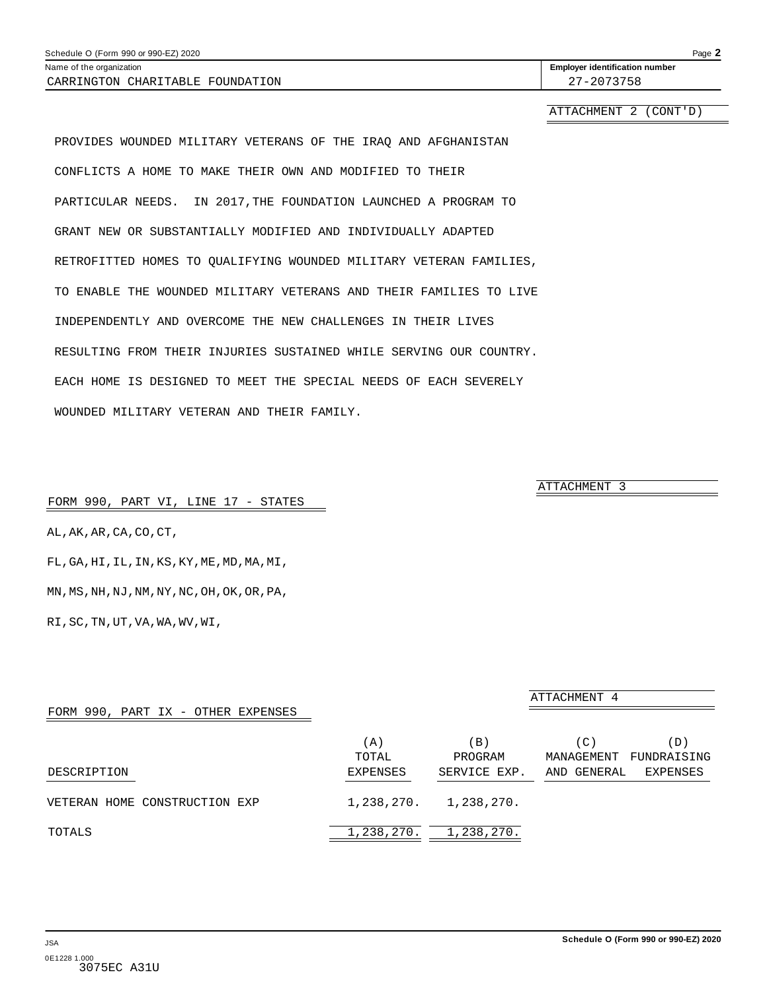<span id="page-33-0"></span>Name of the organization **intervalse of the organization <b>intervalse of the organization intervalse of the organization intervalse of the organization intervalse of the organization number** CARRINGTON CHARITABLE FOUNDATION 27-2073758

ATTACHMENT 2 (CONT'D)

PROVIDES WOUNDED MILITARY VETERANS OF THE IRAQ AND AFGHANISTAN CONFLICTS A HOME TO MAKE THEIR OWN AND MODIFIED TO THEIR PARTICULAR NEEDS. IN 2017,THE FOUNDATION LAUNCHED A PROGRAM TO GRANT NEW OR SUBSTANTIALLY MODIFIED AND INDIVIDUALLY ADAPTED RETROFITTED HOMES TO QUALIFYING WOUNDED MILITARY VETERAN FAMILIES, TO ENABLE THE WOUNDED MILITARY VETERANS AND THEIR FAMILIES TO LIVE INDEPENDENTLY AND OVERCOME THE NEW CHALLENGES IN THEIR LIVES RESULTING FROM THEIR INJURIES SUSTAINED WHILE SERVING OUR COUNTRY. EACH HOME IS DESIGNED TO MEET THE SPECIAL NEEDS OF EACH SEVERELY WOUNDED MILITARY VETERAN AND THEIR FAMILY.

FORM 990, PART VI, LINE 17 - STATES

AL,AK,AR,CA,CO,CT,

FL,GA,HI,IL,IN,KS,KY,ME,MD,MA,MI,

MN,MS,NH,NJ,NM,NY,NC,OH,OK,OR,PA,

RI,SC,TN,UT,VA,WA,WV,WI,

| FORM 990, PART IX - OTHER EXPENSES |                          |                                   | ATTACHMENT 4                                                       |  |
|------------------------------------|--------------------------|-----------------------------------|--------------------------------------------------------------------|--|
| DESCRIPTION                        | (A)<br>TOTAL<br>EXPENSES | $\Box$<br>PROGRAM<br>SERVICE EXP. | (D)<br>(C)<br>MANAGEMENT<br>FUNDRAISING<br>AND GENERAL<br>EXPENSES |  |
| VETERAN HOME CONSTRUCTION EXP      | 1,238,270.               | 1,238,270.                        |                                                                    |  |
| TOTALS                             | 1,238,270.               | 1,238,270.                        |                                                                    |  |

ATTACHMENT 3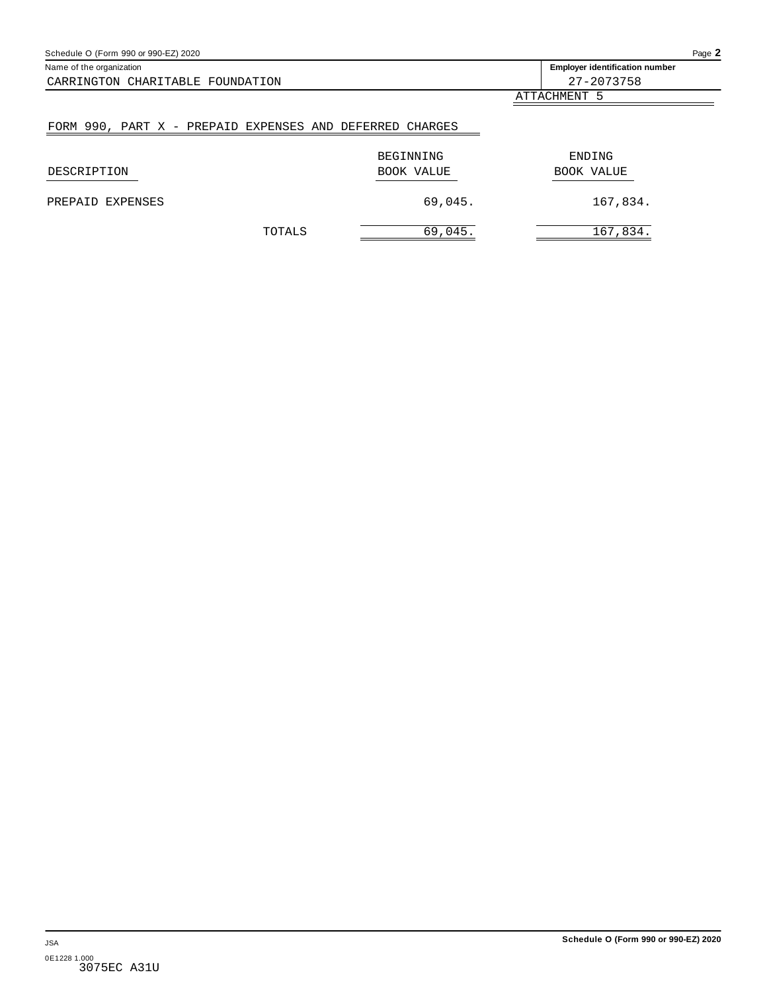<span id="page-34-0"></span>

| Schedule O (Form 990 or 990-EZ) 2020                     |            | Page 2                                |
|----------------------------------------------------------|------------|---------------------------------------|
| Name of the organization                                 |            | <b>Employer identification number</b> |
| CARRINGTON CHARITABLE FOUNDATION                         |            | 27-2073758                            |
|                                                          |            | ATTACHMENT 5                          |
| FORM 990, PART X - PREPAID EXPENSES AND DEFERRED CHARGES |            |                                       |
|                                                          | BEGINNING  | ENDING                                |
| DESCRIPTION                                              | BOOK VALUE | BOOK VALUE                            |

TOTALS 69,045. 167,834.

PREPAID EXPENSES 69,045. 167,834.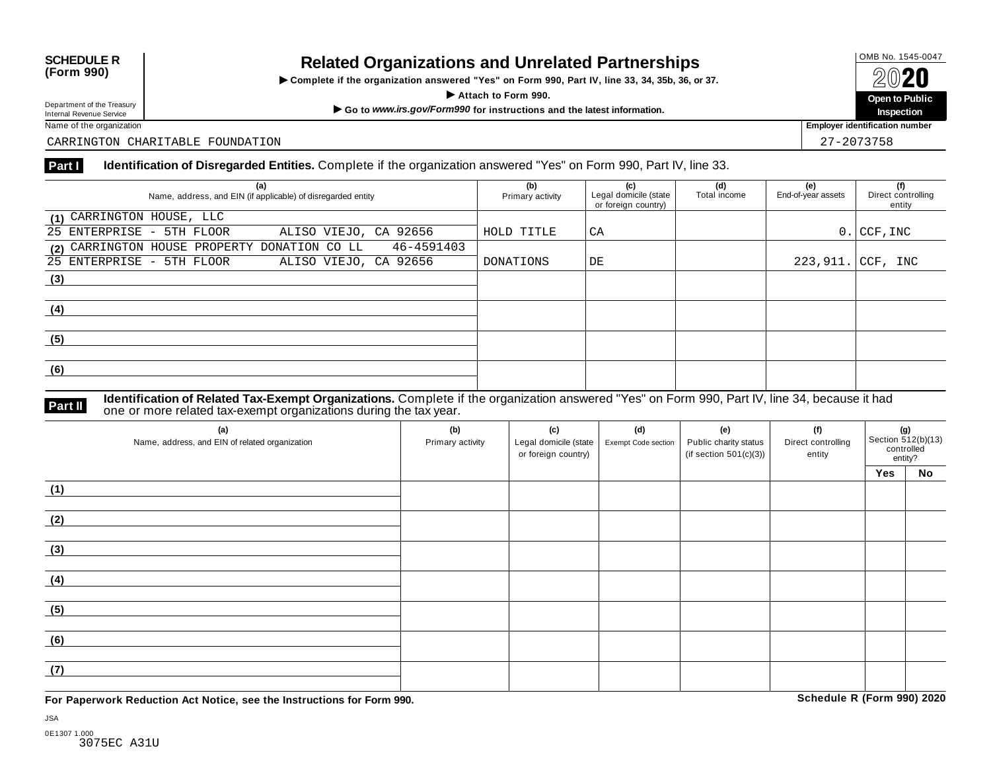## OMB No. 1545-0047 **SCHEDULE R (Form 990) Related Organizations and Unrelated Partnerships**

 $\triangleright$  Complete if the organization answered "Yes" on Form 990, Part IV, line 33, 34, 35b, 36, or 37.  $\angle$  **COLO**<br>  $\angle$  Attach to Form 990.<br>  $\angle$  Attach to Form 990.

Department of the Treasury<br>
Internal Revenue Service<br>
Name of the organization<br>
Name of the organization<br>
Name of the organization<br> **Name of the organization** 

Department of the Treasury<br>Internal Revenue Service

CARRINGTON CHARITABLE FOUNDATION 27-2073758

### **Part I Identification of Disregarded Entities.** Complete if the organization answered "Yes" on Form 990, Part IV, line 33.

| (a)<br>Name, address, and EIN (if applicable) of disregarded entity | (b)<br>Primary activity | (c)<br>Legal domicile (state<br>or foreign country) | (d)<br>Total income | (e)<br>End-of-year assets | (f)<br>Direct controlling<br>entity |
|---------------------------------------------------------------------|-------------------------|-----------------------------------------------------|---------------------|---------------------------|-------------------------------------|
| (1) CARRINGTON HOUSE, LLC                                           |                         |                                                     |                     |                           |                                     |
| 25 ENTERPRISE - 5TH FLOOR<br>ALISO VIEJO, CA 92656                  | HOLD TITLE              | CA                                                  |                     |                           | $0.1$ CCF, INC                      |
| 46-4591403<br>(2) CARRINGTON HOUSE PROPERTY DONATION CO LL          |                         |                                                     |                     |                           |                                     |
| 25 ENTERPRISE - 5TH FLOOR<br>ALISO VIEJO, CA 92656                  | DONATIONS               | DE                                                  |                     |                           | $223,911.$ CCF, INC                 |
| (3)                                                                 |                         |                                                     |                     |                           |                                     |
|                                                                     |                         |                                                     |                     |                           |                                     |
| (4)                                                                 |                         |                                                     |                     |                           |                                     |
|                                                                     |                         |                                                     |                     |                           |                                     |
| (5)                                                                 |                         |                                                     |                     |                           |                                     |
|                                                                     |                         |                                                     |                     |                           |                                     |
| (6)                                                                 |                         |                                                     |                     |                           |                                     |
|                                                                     |                         |                                                     |                     |                           |                                     |

**Identification of Related Tax-Exempt Organizations.** Complete if the organization answered "Yes" on Form 990, Part IV, line 34, because it had **Part II** one or more related tax-exempt organizations during the tax year.

| (a)<br>Name, address, and EIN of related organization | (b)<br>Primary activity | (c)<br>Legal domicile (state<br>or foreign country) | (d)<br>Exempt Code section | (e)<br>Public charity status<br>(if section $501(c)(3)$ ) | (f)<br>Direct controlling<br>entity | (g)<br>Section $\frac{87}{2}$ (b)(13)<br>controlled<br>entity? |           |  |
|-------------------------------------------------------|-------------------------|-----------------------------------------------------|----------------------------|-----------------------------------------------------------|-------------------------------------|----------------------------------------------------------------|-----------|--|
|                                                       |                         |                                                     |                            |                                                           |                                     | Yes                                                            | <b>No</b> |  |
| (1)                                                   |                         |                                                     |                            |                                                           |                                     |                                                                |           |  |
| (2)                                                   |                         |                                                     |                            |                                                           |                                     |                                                                |           |  |
| (3)                                                   |                         |                                                     |                            |                                                           |                                     |                                                                |           |  |
| (4)                                                   |                         |                                                     |                            |                                                           |                                     |                                                                |           |  |
| (5)                                                   |                         |                                                     |                            |                                                           |                                     |                                                                |           |  |
| (6)                                                   |                         |                                                     |                            |                                                           |                                     |                                                                |           |  |
| (7)                                                   |                         |                                                     |                            |                                                           |                                     |                                                                |           |  |

**For Paperwork Reduction Act Notice, see the Instructions for Form 990. Schedule R (Form 990) 2020**

**Inspection**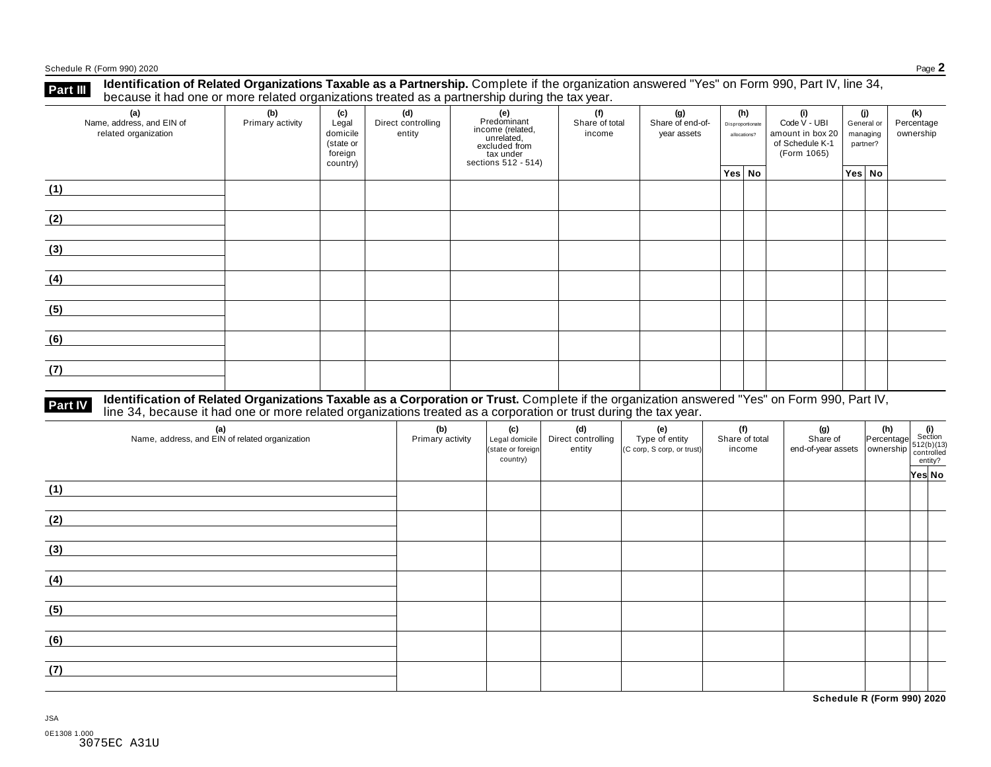Schedule <sup>R</sup> (Form 990) <sup>2020</sup> Page **2**

**Part III** Identification of Related Organizations Taxable as a Partnership. Complete if the organization answered "Yes" on Form 990, Part IV, line 34,<br>because it had one or more related organizations treated as a partners

| (a)<br>Name, address, and EIN of<br>related organization | (b)<br>Primary activity | (c)<br>Legal<br>domicile<br>(state or<br>foreign<br>country) | (d)<br>Direct controlling<br>entity | (e)<br>Predominant<br>income (related,<br>unrelated,<br>excluded from<br>$\frac{3}{10}$ tax under<br>sections 512 - 514) | (f)<br>Share of total<br>income | (g)<br>Share of end-of-<br>year assets | (h)<br>Disproportionate<br>allocations? | (i)<br>Code V - UBI<br>amount in box 20<br>of Schedule K-1<br>(Form 1065) | (i)<br>General or<br>managing<br>partner? | (k)<br>Percentage<br>ownership |
|----------------------------------------------------------|-------------------------|--------------------------------------------------------------|-------------------------------------|--------------------------------------------------------------------------------------------------------------------------|---------------------------------|----------------------------------------|-----------------------------------------|---------------------------------------------------------------------------|-------------------------------------------|--------------------------------|
|                                                          |                         |                                                              |                                     |                                                                                                                          |                                 |                                        | Yes No                                  |                                                                           | Yes No                                    |                                |
| (1)                                                      |                         |                                                              |                                     |                                                                                                                          |                                 |                                        |                                         |                                                                           |                                           |                                |
| (2)                                                      |                         |                                                              |                                     |                                                                                                                          |                                 |                                        |                                         |                                                                           |                                           |                                |
| (3)                                                      |                         |                                                              |                                     |                                                                                                                          |                                 |                                        |                                         |                                                                           |                                           |                                |
| (4)                                                      |                         |                                                              |                                     |                                                                                                                          |                                 |                                        |                                         |                                                                           |                                           |                                |
| (5)                                                      |                         |                                                              |                                     |                                                                                                                          |                                 |                                        |                                         |                                                                           |                                           |                                |
| (6)                                                      |                         |                                                              |                                     |                                                                                                                          |                                 |                                        |                                         |                                                                           |                                           |                                |
| (7)                                                      |                         |                                                              |                                     |                                                                                                                          |                                 |                                        |                                         |                                                                           |                                           |                                |

# **Part IV** Identification of Related Organizations Taxable as a Corporation or Trust. Complete if the organization answered "Yes" on Form 990, Part IV,<br>line 34, because it had one or more related organizations treated as a

| (a)<br>Name, address, and EIN of related organization | (b)<br>Primary activity | (c)<br>Legal domicile<br>(state or foreign<br>country) | (d)<br>Direct controlling<br>entity | (e)<br>Type of entity<br>(C corp, S corp, or trust) | (f)<br>Share of total<br>income | (g) (h) $\frac{1}{\sqrt{3}}$ (i) $\frac{1}{\sqrt{3}}$ (i) $\frac{1}{\sqrt{3}}$ (i) $\frac{1}{\sqrt{3}}$ (b) $\frac{1}{\sqrt{3}}$ (c) $\frac{1}{\sqrt{3}}$ (c) $\frac{1}{\sqrt{3}}$ (c) $\frac{1}{\sqrt{3}}$ (c) $\frac{1}{\sqrt{3}}$ (c) $\frac{1}{\sqrt{3}}$ (c) $\frac{1}{\sqrt{3}}$ (c) $\frac{1}{\sqrt{3}}$ (c) $\frac{1}{\sqrt{$ |        |  |
|-------------------------------------------------------|-------------------------|--------------------------------------------------------|-------------------------------------|-----------------------------------------------------|---------------------------------|---------------------------------------------------------------------------------------------------------------------------------------------------------------------------------------------------------------------------------------------------------------------------------------------------------------------------------------|--------|--|
| (1)                                                   |                         |                                                        |                                     |                                                     |                                 |                                                                                                                                                                                                                                                                                                                                       | Yes No |  |
|                                                       |                         |                                                        |                                     |                                                     |                                 |                                                                                                                                                                                                                                                                                                                                       |        |  |
| (2)                                                   |                         |                                                        |                                     |                                                     |                                 |                                                                                                                                                                                                                                                                                                                                       |        |  |
| (3)                                                   |                         |                                                        |                                     |                                                     |                                 |                                                                                                                                                                                                                                                                                                                                       |        |  |
| (4)                                                   |                         |                                                        |                                     |                                                     |                                 |                                                                                                                                                                                                                                                                                                                                       |        |  |
| (5)                                                   |                         |                                                        |                                     |                                                     |                                 |                                                                                                                                                                                                                                                                                                                                       |        |  |
| (6)                                                   |                         |                                                        |                                     |                                                     |                                 |                                                                                                                                                                                                                                                                                                                                       |        |  |
| (7)                                                   |                         |                                                        |                                     |                                                     |                                 |                                                                                                                                                                                                                                                                                                                                       |        |  |

JSA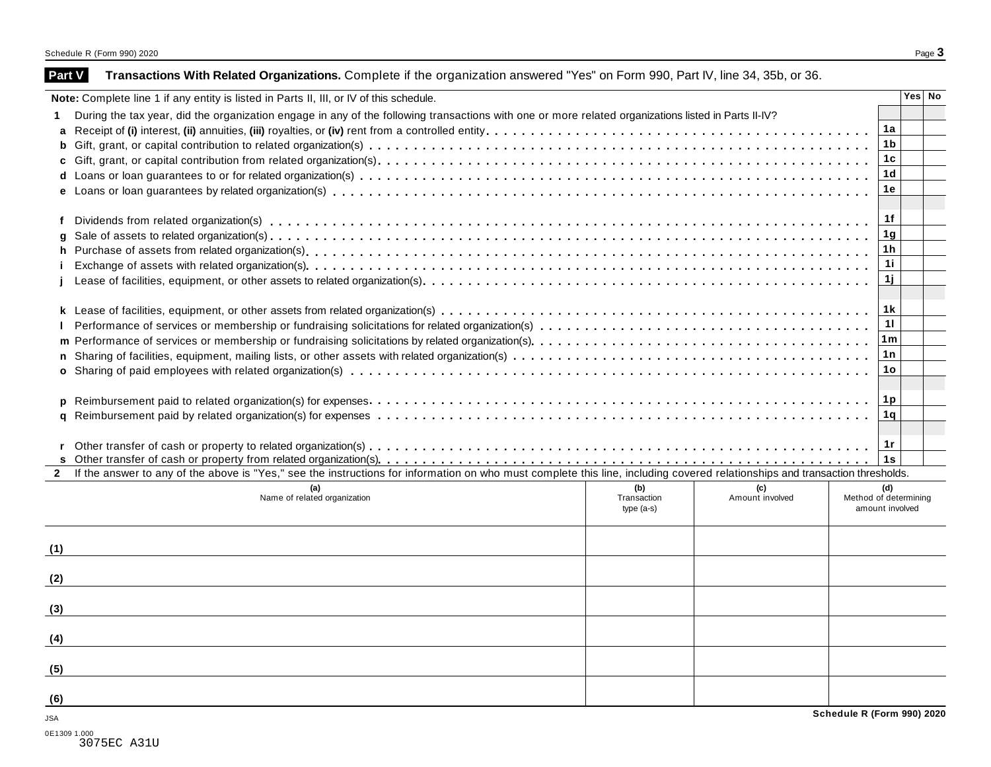| Note: Complete line 1 if any entity is listed in Parts II, III, or IV of this schedule.                                                                                                      |             |                 |                            | Yes No |
|----------------------------------------------------------------------------------------------------------------------------------------------------------------------------------------------|-------------|-----------------|----------------------------|--------|
| During the tax year, did the organization engage in any of the following transactions with one or more related organizations listed in Parts II-IV?<br>1.                                    |             |                 |                            |        |
| a                                                                                                                                                                                            |             |                 | 1a                         |        |
| b                                                                                                                                                                                            |             |                 | 1 <sub>b</sub>             |        |
|                                                                                                                                                                                              |             |                 | 1 <sub>c</sub>             |        |
|                                                                                                                                                                                              |             |                 | 1 <sub>d</sub>             |        |
|                                                                                                                                                                                              |             |                 | 1e                         |        |
|                                                                                                                                                                                              |             |                 |                            |        |
| f                                                                                                                                                                                            |             |                 | 1f                         |        |
| q                                                                                                                                                                                            |             |                 | 1g                         |        |
| h                                                                                                                                                                                            |             |                 | 1h                         |        |
|                                                                                                                                                                                              |             |                 | 11                         |        |
|                                                                                                                                                                                              |             |                 | 1j                         |        |
|                                                                                                                                                                                              |             |                 |                            |        |
|                                                                                                                                                                                              |             |                 | 1k                         |        |
|                                                                                                                                                                                              |             |                 | 11                         |        |
| m                                                                                                                                                                                            |             |                 | 1 m                        |        |
| n                                                                                                                                                                                            |             |                 | 1n                         |        |
|                                                                                                                                                                                              |             |                 | 1o                         |        |
|                                                                                                                                                                                              |             |                 |                            |        |
| D                                                                                                                                                                                            |             |                 | 1p                         |        |
| q                                                                                                                                                                                            |             |                 | 1q                         |        |
|                                                                                                                                                                                              |             |                 |                            |        |
|                                                                                                                                                                                              |             |                 | 1r                         |        |
|                                                                                                                                                                                              |             |                 | 1s                         |        |
| If the answer to any of the above is "Yes," see the instructions for information on who must complete this line, including covered relationships and transaction thresholds.<br>$\mathbf{2}$ |             |                 |                            |        |
|                                                                                                                                                                                              |             |                 |                            |        |
| (a)                                                                                                                                                                                          | (b)         | (c)             | (d)                        |        |
| Name of related organization                                                                                                                                                                 | Transaction | Amount involved | Method of determining      |        |
|                                                                                                                                                                                              | $type(a-s)$ |                 | amount involved            |        |
|                                                                                                                                                                                              |             |                 |                            |        |
|                                                                                                                                                                                              |             |                 |                            |        |
|                                                                                                                                                                                              |             |                 |                            |        |
|                                                                                                                                                                                              |             |                 |                            |        |
|                                                                                                                                                                                              |             |                 |                            |        |
|                                                                                                                                                                                              |             |                 |                            |        |
| (1)<br>(2)<br>(3)<br>(4)<br>(5)<br>(6)                                                                                                                                                       |             |                 |                            |        |
|                                                                                                                                                                                              |             |                 | Schedule R (Form 990) 2020 |        |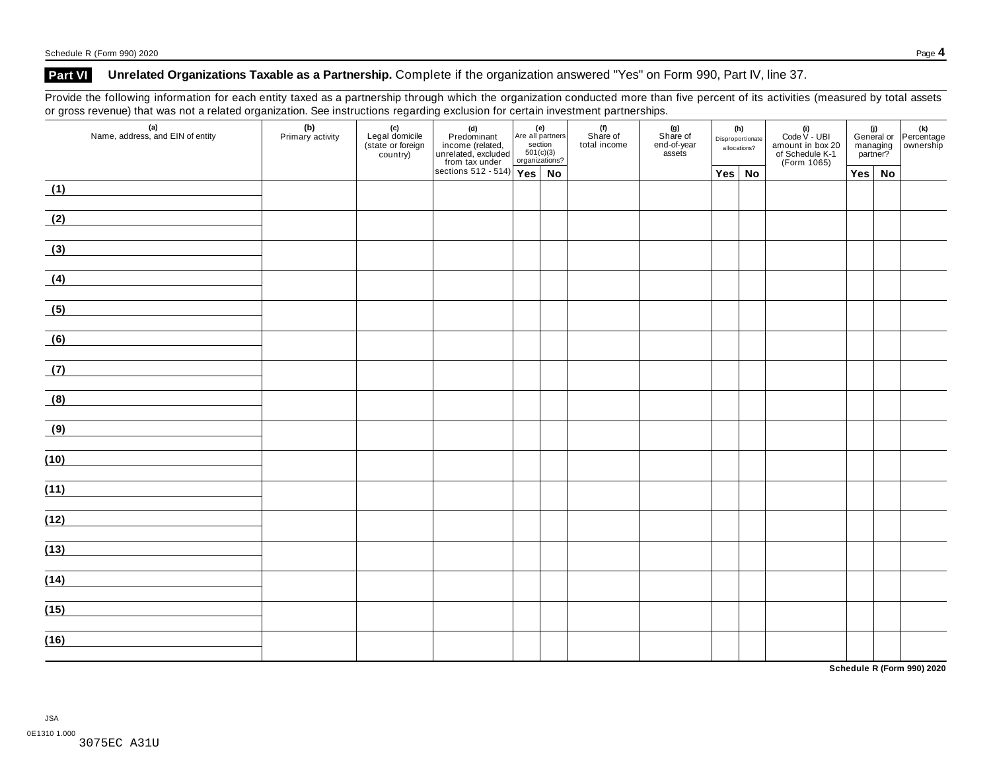### **Part VI Unrelated Organizations Taxable as a Partnership.** Complete if the organization answered "Yes" on Form 990, Part IV, line 37.

Provide the following information for each entity taxed as a partnership through which the organization conducted more than five percent of its activities (measured by total assets or gross revenue) that was not a related organization. See instructions regarding exclusion for certain investment partnerships.

| (a)<br>Name, address, and EIN of entity | (b)<br>Primary activity | (c)<br>Legal domicile<br>(state or foreign<br>country) | (d)<br>Predominant<br>income (related, Are all par<br>unrelated, excluded section<br>from tax under organizat<br>sections 512 - 514)<br>Yes | Are all partners<br>section<br>501(c)(3)<br>organizations? |    | . .<br>(f)<br>Share of<br>total income |  | (g)<br>Share of<br>end-of-year<br>assets | (h)<br>Disproportionate<br>allocations? |  | (i)<br>Code V - UBI<br>amount in box 20<br>of Schedule K-1<br>(Form 1065) |  |  | (i)<br>General or Percentage<br>managing ownership<br>partner? |
|-----------------------------------------|-------------------------|--------------------------------------------------------|---------------------------------------------------------------------------------------------------------------------------------------------|------------------------------------------------------------|----|----------------------------------------|--|------------------------------------------|-----------------------------------------|--|---------------------------------------------------------------------------|--|--|----------------------------------------------------------------|
|                                         |                         |                                                        |                                                                                                                                             |                                                            | No |                                        |  |                                          | Yes No                                  |  | $Yes \mid No$                                                             |  |  |                                                                |
| (1)                                     |                         |                                                        |                                                                                                                                             |                                                            |    |                                        |  |                                          |                                         |  |                                                                           |  |  |                                                                |
| (2)                                     |                         |                                                        |                                                                                                                                             |                                                            |    |                                        |  |                                          |                                         |  |                                                                           |  |  |                                                                |
| (3)                                     |                         |                                                        |                                                                                                                                             |                                                            |    |                                        |  |                                          |                                         |  |                                                                           |  |  |                                                                |
| (4)                                     |                         |                                                        |                                                                                                                                             |                                                            |    |                                        |  |                                          |                                         |  |                                                                           |  |  |                                                                |
| (5)                                     |                         |                                                        |                                                                                                                                             |                                                            |    |                                        |  |                                          |                                         |  |                                                                           |  |  |                                                                |
| (6)                                     |                         |                                                        |                                                                                                                                             |                                                            |    |                                        |  |                                          |                                         |  |                                                                           |  |  |                                                                |
| (7)                                     |                         |                                                        |                                                                                                                                             |                                                            |    |                                        |  |                                          |                                         |  |                                                                           |  |  |                                                                |
| (8)                                     |                         |                                                        |                                                                                                                                             |                                                            |    |                                        |  |                                          |                                         |  |                                                                           |  |  |                                                                |
| (9)                                     |                         |                                                        |                                                                                                                                             |                                                            |    |                                        |  |                                          |                                         |  |                                                                           |  |  |                                                                |
| (10)                                    |                         |                                                        |                                                                                                                                             |                                                            |    |                                        |  |                                          |                                         |  |                                                                           |  |  |                                                                |
| (11)                                    |                         |                                                        |                                                                                                                                             |                                                            |    |                                        |  |                                          |                                         |  |                                                                           |  |  |                                                                |
| (12)                                    |                         |                                                        |                                                                                                                                             |                                                            |    |                                        |  |                                          |                                         |  |                                                                           |  |  |                                                                |
| (13)                                    |                         |                                                        |                                                                                                                                             |                                                            |    |                                        |  |                                          |                                         |  |                                                                           |  |  |                                                                |
|                                         |                         |                                                        |                                                                                                                                             |                                                            |    |                                        |  |                                          |                                         |  |                                                                           |  |  |                                                                |
| (14)                                    |                         |                                                        |                                                                                                                                             |                                                            |    |                                        |  |                                          |                                         |  |                                                                           |  |  |                                                                |
| (15)                                    |                         |                                                        |                                                                                                                                             |                                                            |    |                                        |  |                                          |                                         |  |                                                                           |  |  |                                                                |
| (16)                                    |                         |                                                        |                                                                                                                                             |                                                            |    |                                        |  |                                          |                                         |  |                                                                           |  |  |                                                                |

**Schedule R (Form 990) 2020**